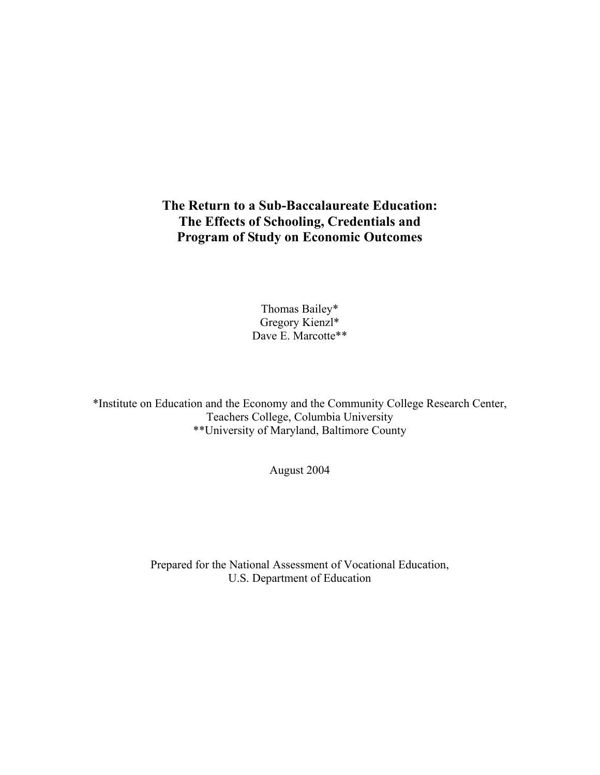## **The Return to a Sub-Baccalaureate Education: The Effects of Schooling, Credentials and Program of Study on Economic Outcomes**

Thomas Bailey\* Gregory Kienzl\* Dave E. Marcotte\*\*

\*Institute on Education and the Economy and the Community College Research Center, Teachers College, Columbia University \*\*University of Maryland, Baltimore County

August 2004

Prepared for the National Assessment of Vocational Education, U.S. Department of Education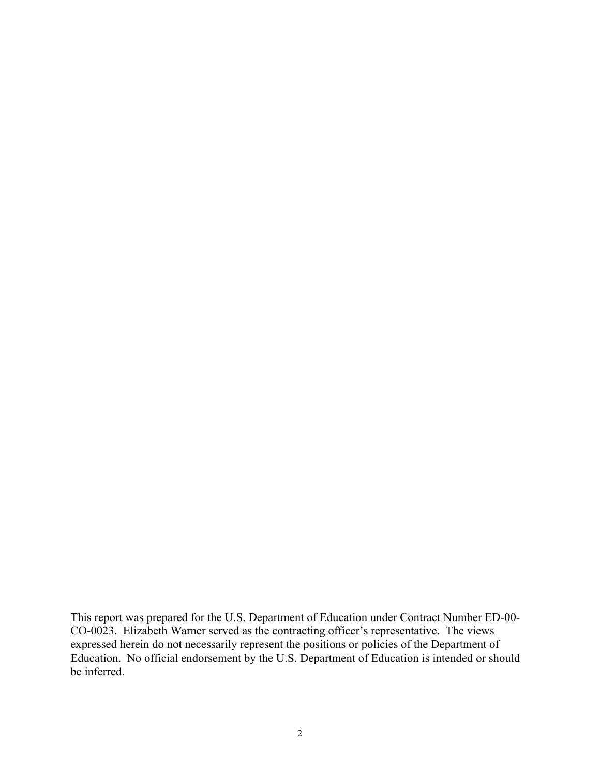This report was prepared for the U.S. Department of Education under Contract Number ED-00- CO-0023. Elizabeth Warner served as the contracting officer's representative. The views expressed herein do not necessarily represent the positions or policies of the Department of Education. No official endorsement by the U.S. Department of Education is intended or should be inferred.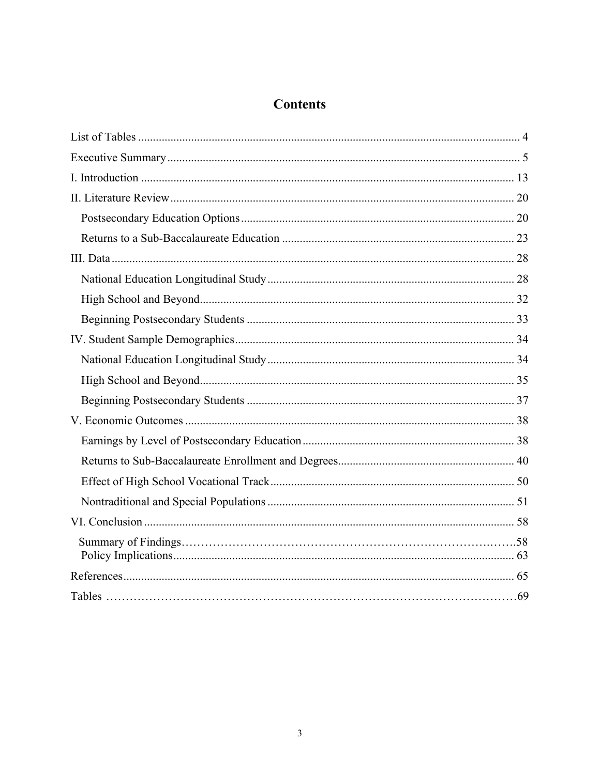# **Contents**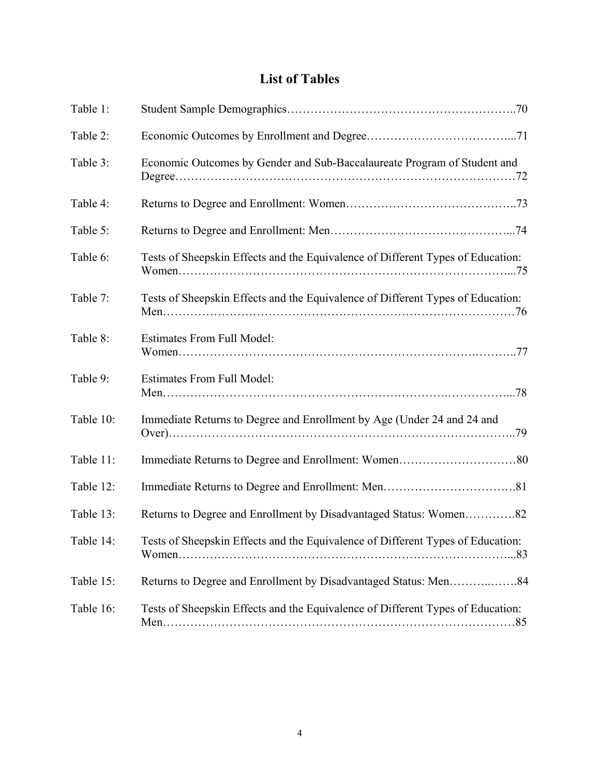# **List of Tables**

| Table 1:  |                                                                                 |
|-----------|---------------------------------------------------------------------------------|
| Table 2:  |                                                                                 |
| Table 3:  | Economic Outcomes by Gender and Sub-Baccalaureate Program of Student and        |
| Table 4:  |                                                                                 |
| Table 5:  |                                                                                 |
| Table 6:  | Tests of Sheepskin Effects and the Equivalence of Different Types of Education: |
| Table 7:  | Tests of Sheepskin Effects and the Equivalence of Different Types of Education: |
| Table 8:  | <b>Estimates From Full Model:</b>                                               |
| Table 9:  | <b>Estimates From Full Model:</b>                                               |
| Table 10: | Immediate Returns to Degree and Enrollment by Age (Under 24 and 24 and          |
| Table 11: |                                                                                 |
| Table 12: |                                                                                 |
| Table 13: | Returns to Degree and Enrollment by Disadvantaged Status: Women82               |
| Table 14: | Tests of Sheepskin Effects and the Equivalence of Different Types of Education: |
| Table 15: |                                                                                 |
| Table 16: | Tests of Sheepskin Effects and the Equivalence of Different Types of Education: |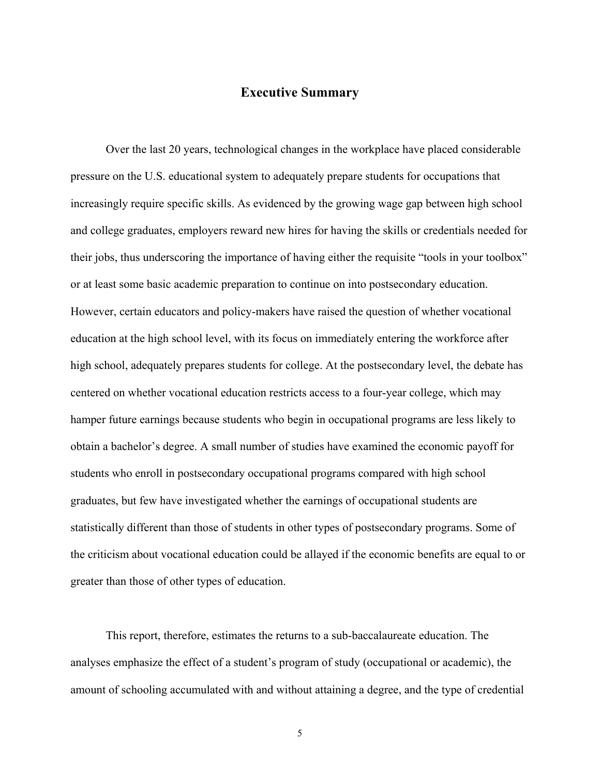## **Executive Summary**

Over the last 20 years, technological changes in the workplace have placed considerable pressure on the U.S. educational system to adequately prepare students for occupations that increasingly require specific skills. As evidenced by the growing wage gap between high school and college graduates, employers reward new hires for having the skills or credentials needed for their jobs, thus underscoring the importance of having either the requisite "tools in your toolbox" or at least some basic academic preparation to continue on into postsecondary education. However, certain educators and policy-makers have raised the question of whether vocational education at the high school level, with its focus on immediately entering the workforce after high school, adequately prepares students for college. At the postsecondary level, the debate has centered on whether vocational education restricts access to a four-year college, which may hamper future earnings because students who begin in occupational programs are less likely to obtain a bachelor's degree. A small number of studies have examined the economic payoff for students who enroll in postsecondary occupational programs compared with high school graduates, but few have investigated whether the earnings of occupational students are statistically different than those of students in other types of postsecondary programs. Some of the criticism about vocational education could be allayed if the economic benefits are equal to or greater than those of other types of education.

This report, therefore, estimates the returns to a sub-baccalaureate education. The analyses emphasize the effect of a student's program of study (occupational or academic), the amount of schooling accumulated with and without attaining a degree, and the type of credential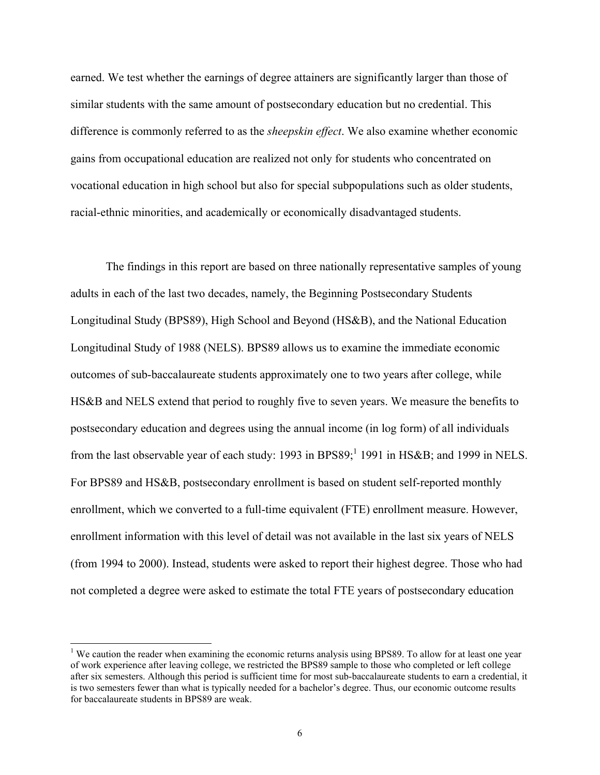earned. We test whether the earnings of degree attainers are significantly larger than those of similar students with the same amount of postsecondary education but no credential. This difference is commonly referred to as the *sheepskin effect*. We also examine whether economic gains from occupational education are realized not only for students who concentrated on vocational education in high school but also for special subpopulations such as older students, racial-ethnic minorities, and academically or economically disadvantaged students.

The findings in this report are based on three nationally representative samples of young adults in each of the last two decades, namely, the Beginning Postsecondary Students Longitudinal Study (BPS89), High School and Beyond (HS&B), and the National Education Longitudinal Study of 1988 (NELS). BPS89 allows us to examine the immediate economic outcomes of sub-baccalaureate students approximately one to two years after college, while HS&B and NELS extend that period to roughly five to seven years. We measure the benefits to postsecondary education and degrees using the annual income (in log form) of all individuals from the last observable year of each study: 1993 in BPS89; <sup>1</sup> 1991 in HS&B; and 1999 in NELS. For BPS89 and HS&B, postsecondary enrollment is based on student self-reported monthly enrollment, which we converted to a full-time equivalent (FTE) enrollment measure. However, enrollment information with this level of detail was not available in the last six years of NELS (from 1994 to 2000). Instead, students were asked to report their highest degree. Those who had not completed a degree were asked to estimate the total FTE years of postsecondary education

l

<sup>&</sup>lt;sup>1</sup> We caution the reader when examining the economic returns analysis using BPS89. To allow for at least one year of work experience after leaving college, we restricted the BPS89 sample to those who completed or left college after six semesters. Although this period is sufficient time for most sub-baccalaureate students to earn a credential, it is two semesters fewer than what is typically needed for a bachelor's degree. Thus, our economic outcome results for baccalaureate students in BPS89 are weak.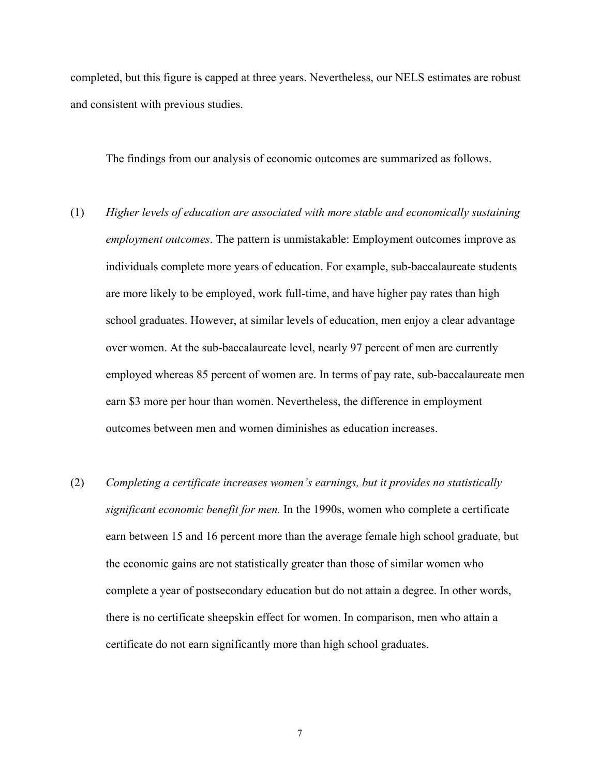completed, but this figure is capped at three years. Nevertheless, our NELS estimates are robust and consistent with previous studies.

The findings from our analysis of economic outcomes are summarized as follows.

- (1) *Higher levels of education are associated with more stable and economically sustaining employment outcomes*. The pattern is unmistakable: Employment outcomes improve as individuals complete more years of education. For example, sub-baccalaureate students are more likely to be employed, work full-time, and have higher pay rates than high school graduates. However, at similar levels of education, men enjoy a clear advantage over women. At the sub-baccalaureate level, nearly 97 percent of men are currently employed whereas 85 percent of women are. In terms of pay rate, sub-baccalaureate men earn \$3 more per hour than women. Nevertheless, the difference in employment outcomes between men and women diminishes as education increases.
- (2) *Completing a certificate increases women's earnings, but it provides no statistically significant economic benefit for men.* In the 1990s, women who complete a certificate earn between 15 and 16 percent more than the average female high school graduate, but the economic gains are not statistically greater than those of similar women who complete a year of postsecondary education but do not attain a degree. In other words, there is no certificate sheepskin effect for women. In comparison, men who attain a certificate do not earn significantly more than high school graduates.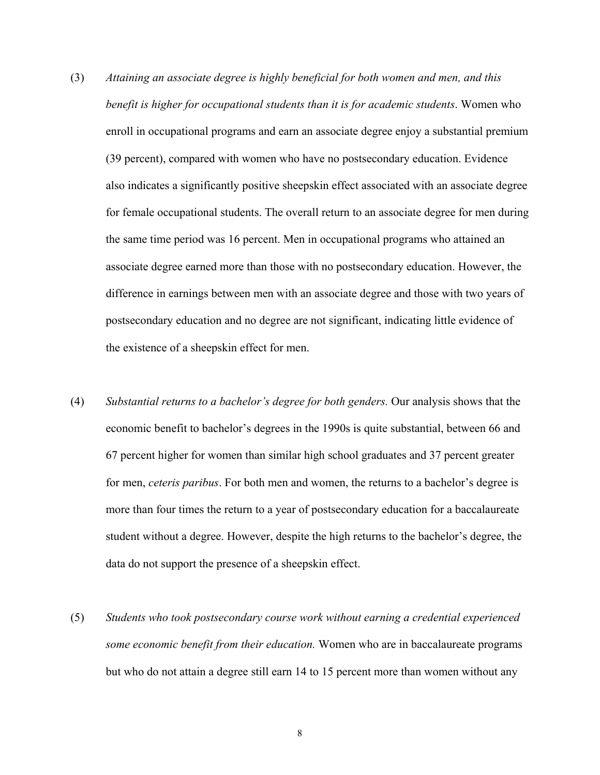- (3) *Attaining an associate degree is highly beneficial for both women and men, and this benefit is higher for occupational students than it is for academic students*. Women who enroll in occupational programs and earn an associate degree enjoy a substantial premium (39 percent), compared with women who have no postsecondary education. Evidence also indicates a significantly positive sheepskin effect associated with an associate degree for female occupational students. The overall return to an associate degree for men during the same time period was 16 percent. Men in occupational programs who attained an associate degree earned more than those with no postsecondary education. However, the difference in earnings between men with an associate degree and those with two years of postsecondary education and no degree are not significant, indicating little evidence of the existence of a sheepskin effect for men.
- (4) *Substantial returns to a bachelor's degree for both genders.* Our analysis shows that the economic benefit to bachelor's degrees in the 1990s is quite substantial, between 66 and 67 percent higher for women than similar high school graduates and 37 percent greater for men, *ceteris paribus*. For both men and women, the returns to a bachelor's degree is more than four times the return to a year of postsecondary education for a baccalaureate student without a degree. However, despite the high returns to the bachelor's degree, the data do not support the presence of a sheepskin effect.
- (5) *Students who took postsecondary course work without earning a credential experienced some economic benefit from their education.* Women who are in baccalaureate programs but who do not attain a degree still earn 14 to 15 percent more than women without any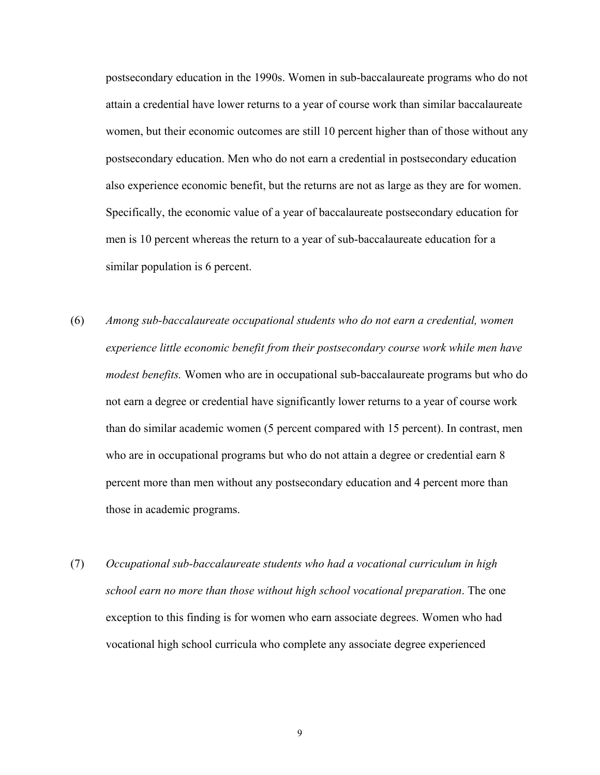postsecondary education in the 1990s. Women in sub-baccalaureate programs who do not attain a credential have lower returns to a year of course work than similar baccalaureate women, but their economic outcomes are still 10 percent higher than of those without any postsecondary education. Men who do not earn a credential in postsecondary education also experience economic benefit, but the returns are not as large as they are for women. Specifically, the economic value of a year of baccalaureate postsecondary education for men is 10 percent whereas the return to a year of sub-baccalaureate education for a similar population is 6 percent.

- (6) *Among sub-baccalaureate occupational students who do not earn a credential, women experience little economic benefit from their postsecondary course work while men have modest benefits.* Women who are in occupational sub-baccalaureate programs but who do not earn a degree or credential have significantly lower returns to a year of course work than do similar academic women (5 percent compared with 15 percent). In contrast, men who are in occupational programs but who do not attain a degree or credential earn 8 percent more than men without any postsecondary education and 4 percent more than those in academic programs.
- (7) *Occupational sub-baccalaureate students who had a vocational curriculum in high school earn no more than those without high school vocational preparation*. The one exception to this finding is for women who earn associate degrees. Women who had vocational high school curricula who complete any associate degree experienced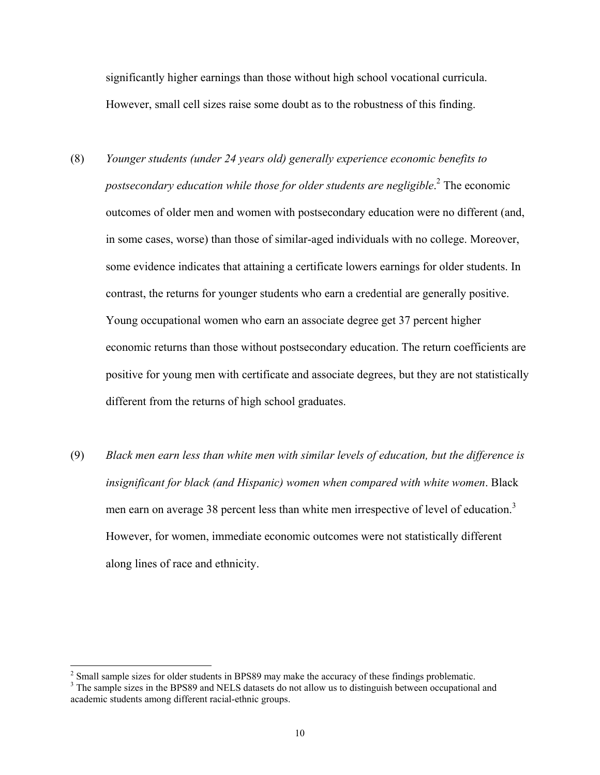significantly higher earnings than those without high school vocational curricula. However, small cell sizes raise some doubt as to the robustness of this finding.

- (8) *Younger students (under 24 years old) generally experience economic benefits to postsecondary education while those for older students are negligible*. 2 The economic outcomes of older men and women with postsecondary education were no different (and, in some cases, worse) than those of similar-aged individuals with no college. Moreover, some evidence indicates that attaining a certificate lowers earnings for older students. In contrast, the returns for younger students who earn a credential are generally positive. Young occupational women who earn an associate degree get 37 percent higher economic returns than those without postsecondary education. The return coefficients are positive for young men with certificate and associate degrees, but they are not statistically different from the returns of high school graduates.
- (9) *Black men earn less than white men with similar levels of education, but the difference is insignificant for black (and Hispanic) women when compared with white women*. Black men earn on average 38 percent less than white men irrespective of level of education.<sup>3</sup> However, for women, immediate economic outcomes were not statistically different along lines of race and ethnicity.

<sup>&</sup>lt;sup>2</sup> Small sample sizes for older students in BPS89 may make the accuracy of these findings problematic.

<sup>&</sup>lt;sup>3</sup> The sample sizes in the BPS89 and NELS datasets do not allow us to distinguish between occupational and academic students among different racial-ethnic groups.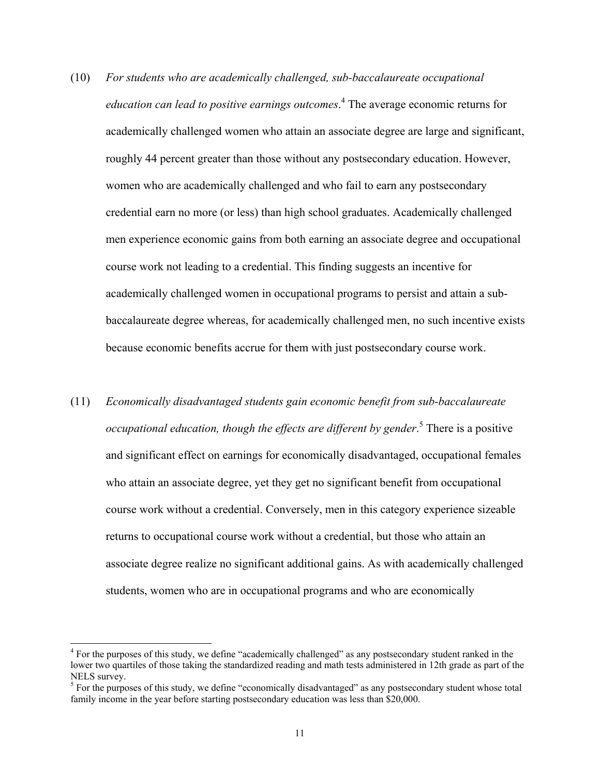- (10) *For students who are academically challenged, sub-baccalaureate occupational education can lead to positive earnings outcomes*. 4 The average economic returns for academically challenged women who attain an associate degree are large and significant, roughly 44 percent greater than those without any postsecondary education. However, women who are academically challenged and who fail to earn any postsecondary credential earn no more (or less) than high school graduates. Academically challenged men experience economic gains from both earning an associate degree and occupational course work not leading to a credential. This finding suggests an incentive for academically challenged women in occupational programs to persist and attain a subbaccalaureate degree whereas, for academically challenged men, no such incentive exists because economic benefits accrue for them with just postsecondary course work.
- (11) *Economically disadvantaged students gain economic benefit from sub-baccalaureate occupational education, though the effects are different by gender*. 5 There is a positive and significant effect on earnings for economically disadvantaged, occupational females who attain an associate degree, yet they get no significant benefit from occupational course work without a credential. Conversely, men in this category experience sizeable returns to occupational course work without a credential, but those who attain an associate degree realize no significant additional gains. As with academically challenged students, women who are in occupational programs and who are economically

l

<sup>&</sup>lt;sup>4</sup> For the purposes of this study, we define "academically challenged" as any postsecondary student ranked in the lower two quartiles of those taking the standardized reading and math tests administered in 12th grade as part of the NELS survey.

 $<sup>5</sup>$  For the purposes of this study, we define "economically disadvantaged" as any postsecondary student whose total</sup> family income in the year before starting postsecondary education was less than \$20,000.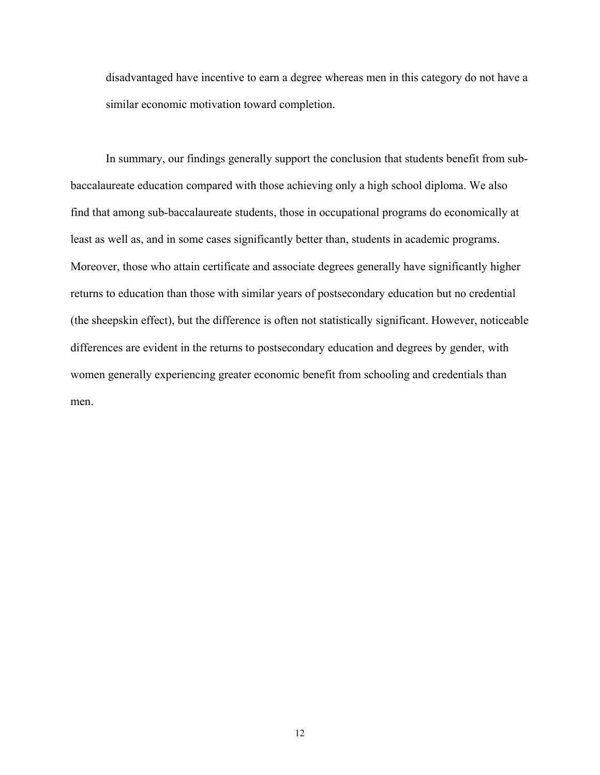disadvantaged have incentive to earn a degree whereas men in this category do not have a similar economic motivation toward completion.

In summary, our findings generally support the conclusion that students benefit from subbaccalaureate education compared with those achieving only a high school diploma. We also find that among sub-baccalaureate students, those in occupational programs do economically at least as well as, and in some cases significantly better than, students in academic programs. Moreover, those who attain certificate and associate degrees generally have significantly higher returns to education than those with similar years of postsecondary education but no credential (the sheepskin effect), but the difference is often not statistically significant. However, noticeable differences are evident in the returns to postsecondary education and degrees by gender, with women generally experiencing greater economic benefit from schooling and credentials than men.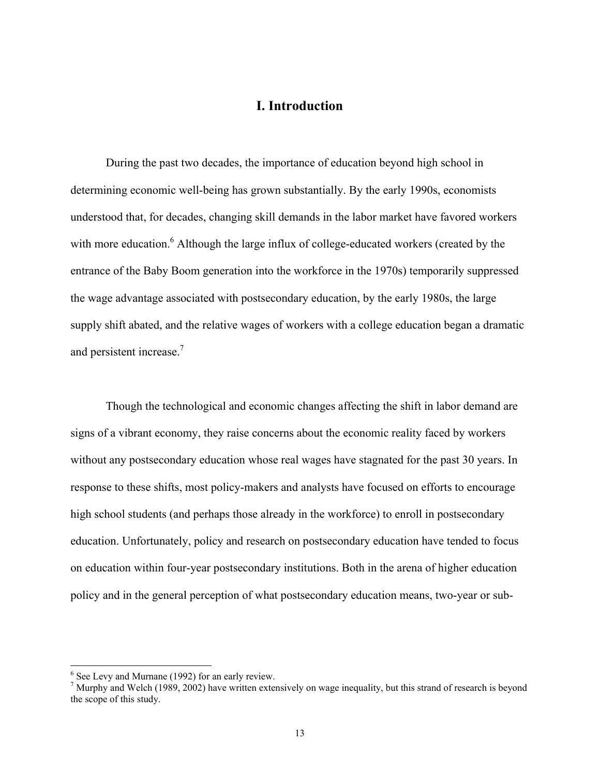## **I. Introduction**

 During the past two decades, the importance of education beyond high school in determining economic well-being has grown substantially. By the early 1990s, economists understood that, for decades, changing skill demands in the labor market have favored workers with more education.<sup>6</sup> Although the large influx of college-educated workers (created by the entrance of the Baby Boom generation into the workforce in the 1970s) temporarily suppressed the wage advantage associated with postsecondary education, by the early 1980s, the large supply shift abated, and the relative wages of workers with a college education began a dramatic and persistent increase.<sup>7</sup>

Though the technological and economic changes affecting the shift in labor demand are signs of a vibrant economy, they raise concerns about the economic reality faced by workers without any postsecondary education whose real wages have stagnated for the past 30 years. In response to these shifts, most policy-makers and analysts have focused on efforts to encourage high school students (and perhaps those already in the workforce) to enroll in postsecondary education. Unfortunately, policy and research on postsecondary education have tended to focus on education within four-year postsecondary institutions. Both in the arena of higher education policy and in the general perception of what postsecondary education means, two-year or sub-

 6 See Levy and Murnane (1992) for an early review.

 $<sup>7</sup>$  Murphy and Welch (1989, 2002) have written extensively on wage inequality, but this strand of research is beyond</sup> the scope of this study.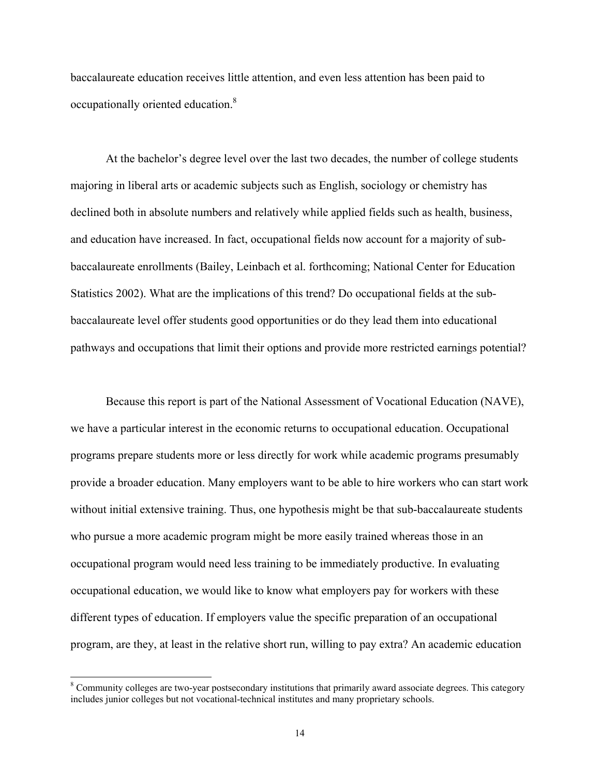baccalaureate education receives little attention, and even less attention has been paid to occupationally oriented education.8

At the bachelor's degree level over the last two decades, the number of college students majoring in liberal arts or academic subjects such as English, sociology or chemistry has declined both in absolute numbers and relatively while applied fields such as health, business, and education have increased. In fact, occupational fields now account for a majority of subbaccalaureate enrollments (Bailey, Leinbach et al. forthcoming; National Center for Education Statistics 2002). What are the implications of this trend? Do occupational fields at the subbaccalaureate level offer students good opportunities or do they lead them into educational pathways and occupations that limit their options and provide more restricted earnings potential?

 Because this report is part of the National Assessment of Vocational Education (NAVE), we have a particular interest in the economic returns to occupational education. Occupational programs prepare students more or less directly for work while academic programs presumably provide a broader education. Many employers want to be able to hire workers who can start work without initial extensive training. Thus, one hypothesis might be that sub-baccalaureate students who pursue a more academic program might be more easily trained whereas those in an occupational program would need less training to be immediately productive. In evaluating occupational education, we would like to know what employers pay for workers with these different types of education. If employers value the specific preparation of an occupational program, are they, at least in the relative short run, willing to pay extra? An academic education

<sup>&</sup>lt;sup>8</sup> Community colleges are two-year postsecondary institutions that primarily award associate degrees. This category includes junior colleges but not vocational-technical institutes and many proprietary schools.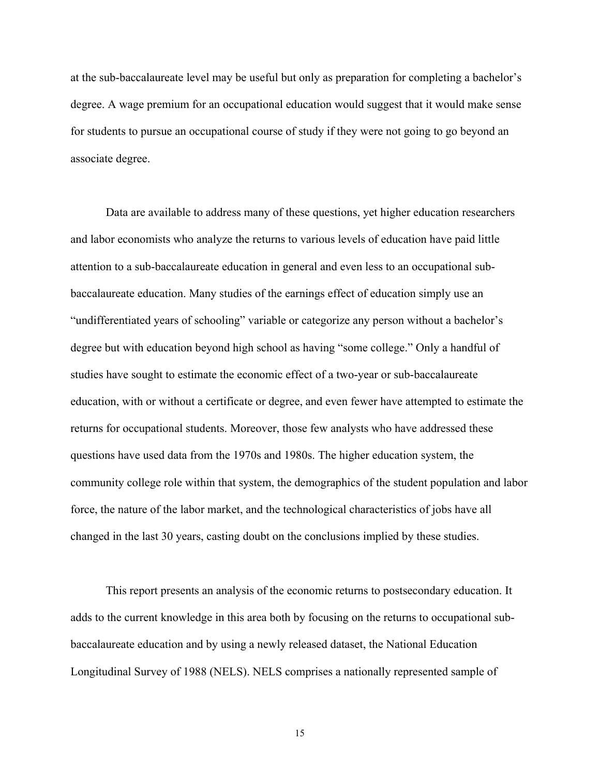at the sub-baccalaureate level may be useful but only as preparation for completing a bachelor's degree. A wage premium for an occupational education would suggest that it would make sense for students to pursue an occupational course of study if they were not going to go beyond an associate degree.

 Data are available to address many of these questions, yet higher education researchers and labor economists who analyze the returns to various levels of education have paid little attention to a sub-baccalaureate education in general and even less to an occupational subbaccalaureate education. Many studies of the earnings effect of education simply use an "undifferentiated years of schooling" variable or categorize any person without a bachelor's degree but with education beyond high school as having "some college." Only a handful of studies have sought to estimate the economic effect of a two-year or sub-baccalaureate education, with or without a certificate or degree, and even fewer have attempted to estimate the returns for occupational students. Moreover, those few analysts who have addressed these questions have used data from the 1970s and 1980s. The higher education system, the community college role within that system, the demographics of the student population and labor force, the nature of the labor market, and the technological characteristics of jobs have all changed in the last 30 years, casting doubt on the conclusions implied by these studies.

 This report presents an analysis of the economic returns to postsecondary education. It adds to the current knowledge in this area both by focusing on the returns to occupational subbaccalaureate education and by using a newly released dataset, the National Education Longitudinal Survey of 1988 (NELS). NELS comprises a nationally represented sample of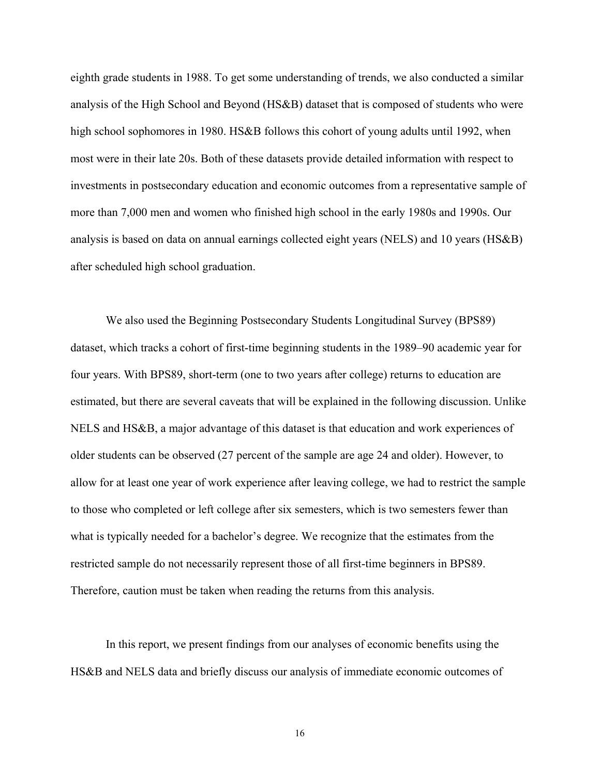eighth grade students in 1988. To get some understanding of trends, we also conducted a similar analysis of the High School and Beyond (HS&B) dataset that is composed of students who were high school sophomores in 1980. HS&B follows this cohort of young adults until 1992, when most were in their late 20s. Both of these datasets provide detailed information with respect to investments in postsecondary education and economic outcomes from a representative sample of more than 7,000 men and women who finished high school in the early 1980s and 1990s. Our analysis is based on data on annual earnings collected eight years (NELS) and 10 years (HS&B) after scheduled high school graduation.

We also used the Beginning Postsecondary Students Longitudinal Survey (BPS89) dataset, which tracks a cohort of first-time beginning students in the 1989–90 academic year for four years. With BPS89, short-term (one to two years after college) returns to education are estimated, but there are several caveats that will be explained in the following discussion. Unlike NELS and HS&B, a major advantage of this dataset is that education and work experiences of older students can be observed (27 percent of the sample are age 24 and older). However, to allow for at least one year of work experience after leaving college, we had to restrict the sample to those who completed or left college after six semesters, which is two semesters fewer than what is typically needed for a bachelor's degree. We recognize that the estimates from the restricted sample do not necessarily represent those of all first-time beginners in BPS89. Therefore, caution must be taken when reading the returns from this analysis.

In this report, we present findings from our analyses of economic benefits using the HS&B and NELS data and briefly discuss our analysis of immediate economic outcomes of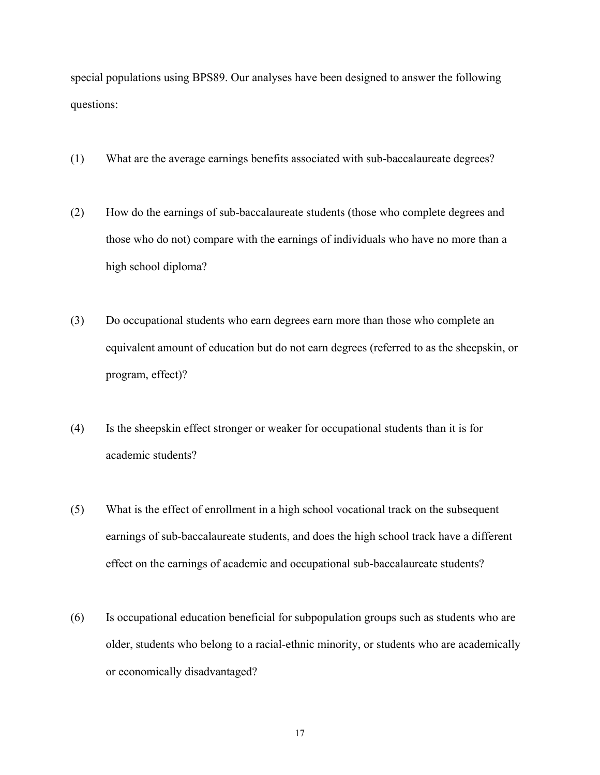special populations using BPS89. Our analyses have been designed to answer the following questions:

- (1) What are the average earnings benefits associated with sub-baccalaureate degrees?
- (2) How do the earnings of sub-baccalaureate students (those who complete degrees and those who do not) compare with the earnings of individuals who have no more than a high school diploma?
- (3) Do occupational students who earn degrees earn more than those who complete an equivalent amount of education but do not earn degrees (referred to as the sheepskin, or program, effect)?
- (4) Is the sheepskin effect stronger or weaker for occupational students than it is for academic students?
- (5) What is the effect of enrollment in a high school vocational track on the subsequent earnings of sub-baccalaureate students, and does the high school track have a different effect on the earnings of academic and occupational sub-baccalaureate students?
- (6) Is occupational education beneficial for subpopulation groups such as students who are older, students who belong to a racial-ethnic minority, or students who are academically or economically disadvantaged?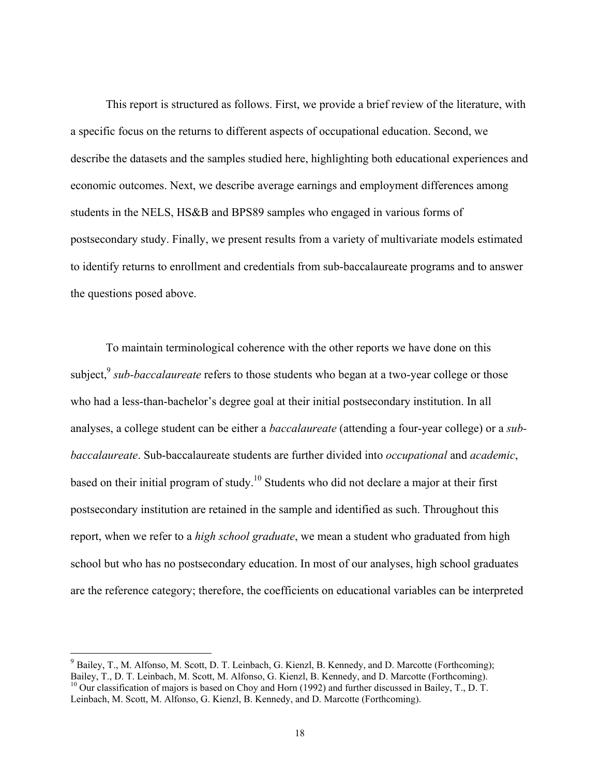This report is structured as follows. First, we provide a brief review of the literature, with a specific focus on the returns to different aspects of occupational education. Second, we describe the datasets and the samples studied here, highlighting both educational experiences and economic outcomes. Next, we describe average earnings and employment differences among students in the NELS, HS&B and BPS89 samples who engaged in various forms of postsecondary study. Finally, we present results from a variety of multivariate models estimated to identify returns to enrollment and credentials from sub-baccalaureate programs and to answer the questions posed above.

 To maintain terminological coherence with the other reports we have done on this subject,<sup>9</sup> *sub-baccalaureate* refers to those students who began at a two-year college or those who had a less-than-bachelor's degree goal at their initial postsecondary institution. In all analyses, a college student can be either a *baccalaureate* (attending a four-year college) or a *subbaccalaureate*. Sub-baccalaureate students are further divided into *occupational* and *academic*, based on their initial program of study.10 Students who did not declare a major at their first postsecondary institution are retained in the sample and identified as such. Throughout this report, when we refer to a *high school graduate*, we mean a student who graduated from high school but who has no postsecondary education. In most of our analyses, high school graduates are the reference category; therefore, the coefficients on educational variables can be interpreted

 $\overline{\phantom{a}}$ 

 $9$  Bailey, T., M. Alfonso, M. Scott, D. T. Leinbach, G. Kienzl, B. Kennedy, and D. Marcotte (Forthcoming); Bailey, T., D. T. Leinbach, M. Scott, M. Alfonso, G. Kienzl, B. Kennedy, and D. Marcotte (Forthcoming).  $^{10}$  Our classification of majors is based on Choy and Horn (1992) and further discussed in Bailey, T., D. T. Leinbach, M. Scott, M. Alfonso, G. Kienzl, B. Kennedy, and D. Marcotte (Forthcoming).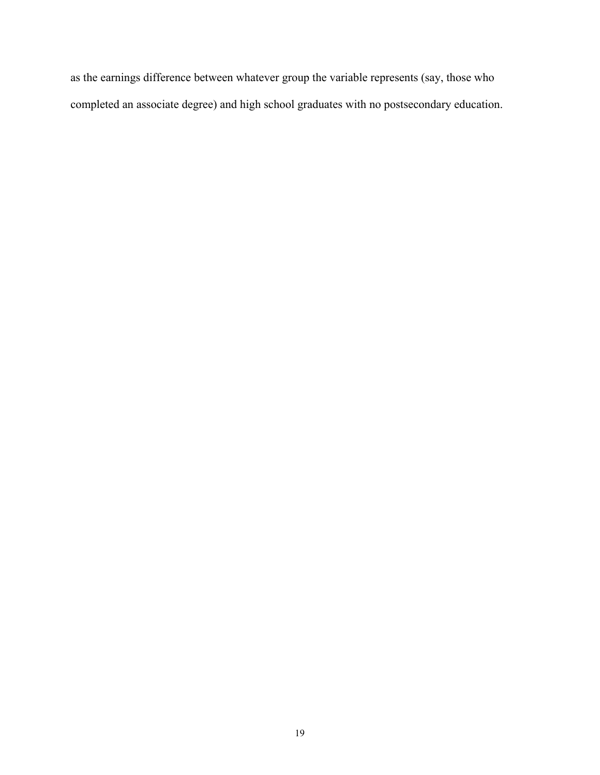as the earnings difference between whatever group the variable represents (say, those who completed an associate degree) and high school graduates with no postsecondary education.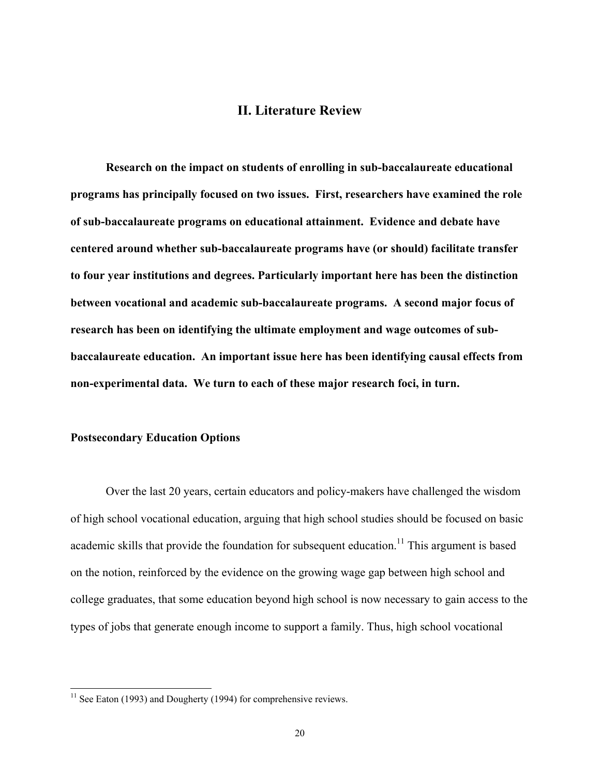## **II. Literature Review**

 **Research on the impact on students of enrolling in sub-baccalaureate educational programs has principally focused on two issues. First, researchers have examined the role of sub-baccalaureate programs on educational attainment. Evidence and debate have centered around whether sub-baccalaureate programs have (or should) facilitate transfer to four year institutions and degrees. Particularly important here has been the distinction between vocational and academic sub-baccalaureate programs. A second major focus of research has been on identifying the ultimate employment and wage outcomes of subbaccalaureate education. An important issue here has been identifying causal effects from non-experimental data. We turn to each of these major research foci, in turn.** 

#### **Postsecondary Education Options**

l

 Over the last 20 years, certain educators and policy-makers have challenged the wisdom of high school vocational education, arguing that high school studies should be focused on basic academic skills that provide the foundation for subsequent education.<sup>11</sup> This argument is based on the notion, reinforced by the evidence on the growing wage gap between high school and college graduates, that some education beyond high school is now necessary to gain access to the types of jobs that generate enough income to support a family. Thus, high school vocational

 $11$  See Eaton (1993) and Dougherty (1994) for comprehensive reviews.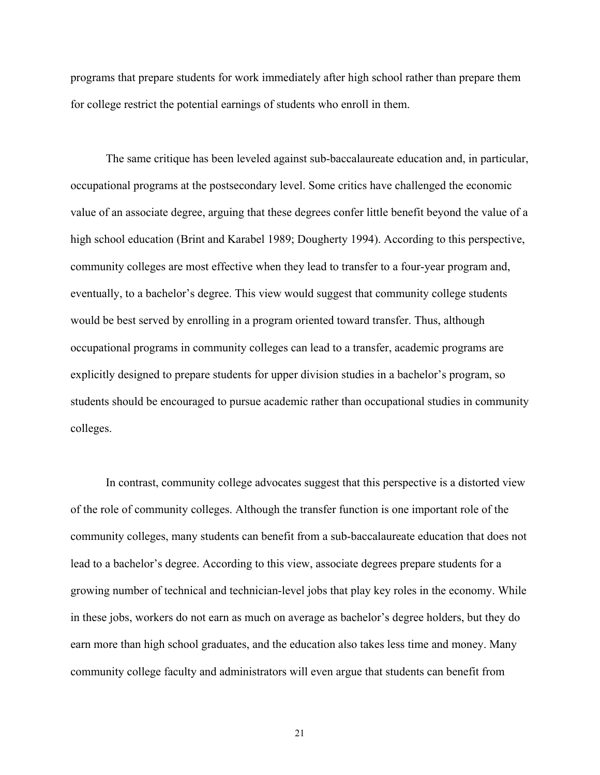programs that prepare students for work immediately after high school rather than prepare them for college restrict the potential earnings of students who enroll in them.

 The same critique has been leveled against sub-baccalaureate education and, in particular, occupational programs at the postsecondary level. Some critics have challenged the economic value of an associate degree, arguing that these degrees confer little benefit beyond the value of a high school education (Brint and Karabel 1989; Dougherty 1994). According to this perspective, community colleges are most effective when they lead to transfer to a four-year program and, eventually, to a bachelor's degree. This view would suggest that community college students would be best served by enrolling in a program oriented toward transfer. Thus, although occupational programs in community colleges can lead to a transfer, academic programs are explicitly designed to prepare students for upper division studies in a bachelor's program, so students should be encouraged to pursue academic rather than occupational studies in community colleges.

 In contrast, community college advocates suggest that this perspective is a distorted view of the role of community colleges. Although the transfer function is one important role of the community colleges, many students can benefit from a sub-baccalaureate education that does not lead to a bachelor's degree. According to this view, associate degrees prepare students for a growing number of technical and technician-level jobs that play key roles in the economy. While in these jobs, workers do not earn as much on average as bachelor's degree holders, but they do earn more than high school graduates, and the education also takes less time and money. Many community college faculty and administrators will even argue that students can benefit from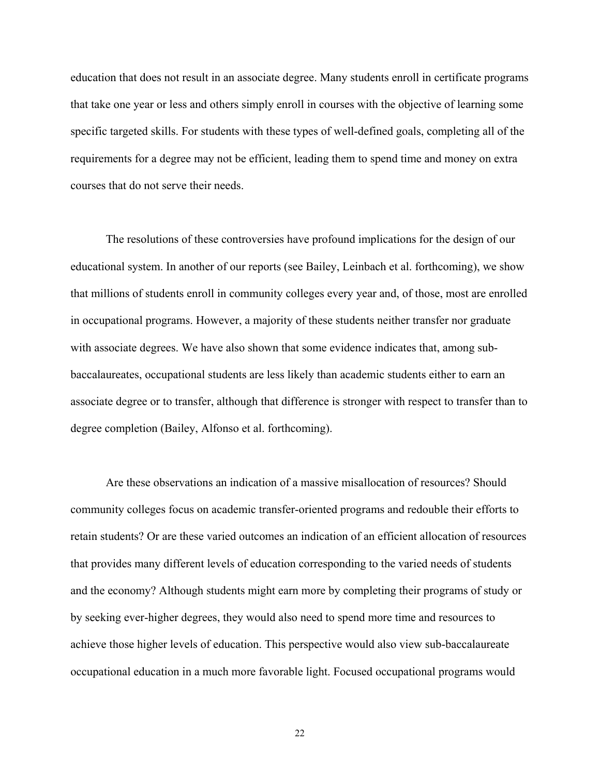education that does not result in an associate degree. Many students enroll in certificate programs that take one year or less and others simply enroll in courses with the objective of learning some specific targeted skills. For students with these types of well-defined goals, completing all of the requirements for a degree may not be efficient, leading them to spend time and money on extra courses that do not serve their needs.

 The resolutions of these controversies have profound implications for the design of our educational system. In another of our reports (see Bailey, Leinbach et al. forthcoming), we show that millions of students enroll in community colleges every year and, of those, most are enrolled in occupational programs. However, a majority of these students neither transfer nor graduate with associate degrees. We have also shown that some evidence indicates that, among subbaccalaureates, occupational students are less likely than academic students either to earn an associate degree or to transfer, although that difference is stronger with respect to transfer than to degree completion (Bailey, Alfonso et al. forthcoming).

 Are these observations an indication of a massive misallocation of resources? Should community colleges focus on academic transfer-oriented programs and redouble their efforts to retain students? Or are these varied outcomes an indication of an efficient allocation of resources that provides many different levels of education corresponding to the varied needs of students and the economy? Although students might earn more by completing their programs of study or by seeking ever-higher degrees, they would also need to spend more time and resources to achieve those higher levels of education. This perspective would also view sub-baccalaureate occupational education in a much more favorable light. Focused occupational programs would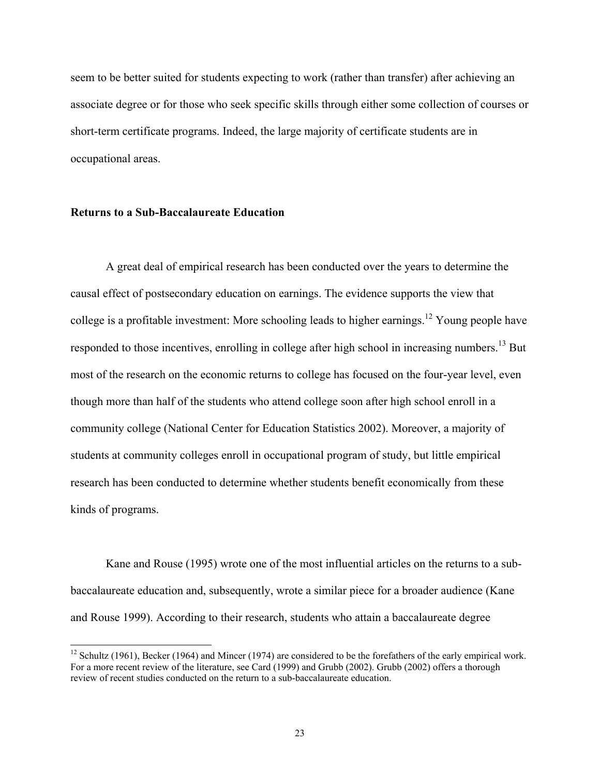seem to be better suited for students expecting to work (rather than transfer) after achieving an associate degree or for those who seek specific skills through either some collection of courses or short-term certificate programs. Indeed, the large majority of certificate students are in occupational areas.

## **Returns to a Sub-Baccalaureate Education**

 $\overline{\phantom{a}}$ 

 A great deal of empirical research has been conducted over the years to determine the causal effect of postsecondary education on earnings. The evidence supports the view that college is a profitable investment: More schooling leads to higher earnings.<sup>12</sup> Young people have responded to those incentives, enrolling in college after high school in increasing numbers.<sup>13</sup> But most of the research on the economic returns to college has focused on the four-year level, even though more than half of the students who attend college soon after high school enroll in a community college (National Center for Education Statistics 2002). Moreover, a majority of students at community colleges enroll in occupational program of study, but little empirical research has been conducted to determine whether students benefit economically from these kinds of programs.

 Kane and Rouse (1995) wrote one of the most influential articles on the returns to a subbaccalaureate education and, subsequently, wrote a similar piece for a broader audience (Kane and Rouse 1999). According to their research, students who attain a baccalaureate degree

<sup>&</sup>lt;sup>12</sup> Schultz (1961), Becker (1964) and Mincer (1974) are considered to be the forefathers of the early empirical work. For a more recent review of the literature, see Card (1999) and Grubb (2002). Grubb (2002) offers a thorough review of recent studies conducted on the return to a sub-baccalaureate education.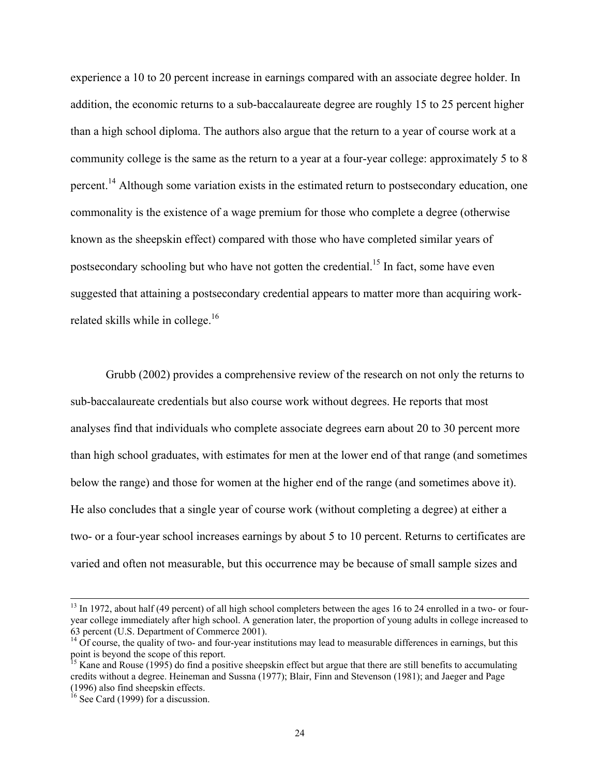experience a 10 to 20 percent increase in earnings compared with an associate degree holder. In addition, the economic returns to a sub-baccalaureate degree are roughly 15 to 25 percent higher than a high school diploma. The authors also argue that the return to a year of course work at a community college is the same as the return to a year at a four-year college: approximately 5 to 8 percent.<sup>14</sup> Although some variation exists in the estimated return to postsecondary education, one commonality is the existence of a wage premium for those who complete a degree (otherwise known as the sheepskin effect) compared with those who have completed similar years of postsecondary schooling but who have not gotten the credential.<sup>15</sup> In fact, some have even suggested that attaining a postsecondary credential appears to matter more than acquiring workrelated skills while in college.<sup>16</sup>

 Grubb (2002) provides a comprehensive review of the research on not only the returns to sub-baccalaureate credentials but also course work without degrees. He reports that most analyses find that individuals who complete associate degrees earn about 20 to 30 percent more than high school graduates, with estimates for men at the lower end of that range (and sometimes below the range) and those for women at the higher end of the range (and sometimes above it). He also concludes that a single year of course work (without completing a degree) at either a two- or a four-year school increases earnings by about 5 to 10 percent. Returns to certificates are varied and often not measurable, but this occurrence may be because of small sample sizes and

 $13$  In 1972, about half (49 percent) of all high school completers between the ages 16 to 24 enrolled in a two- or fouryear college immediately after high school. A generation later, the proportion of young adults in college increased to 63 percent (U.S. Department of Commerce 2001).

 $14$  Of course, the quality of two- and four-year institutions may lead to measurable differences in earnings, but this point is beyond the scope of this report.

<sup>&</sup>lt;sup>15</sup> Kane and Rouse (1995) do find a positive sheepskin effect but argue that there are still benefits to accumulating credits without a degree. Heineman and Sussna (1977); Blair, Finn and Stevenson (1981); and Jaeger and Page (1996) also find sheepskin effects.

 $^{16}$  See Card (1999) for a discussion.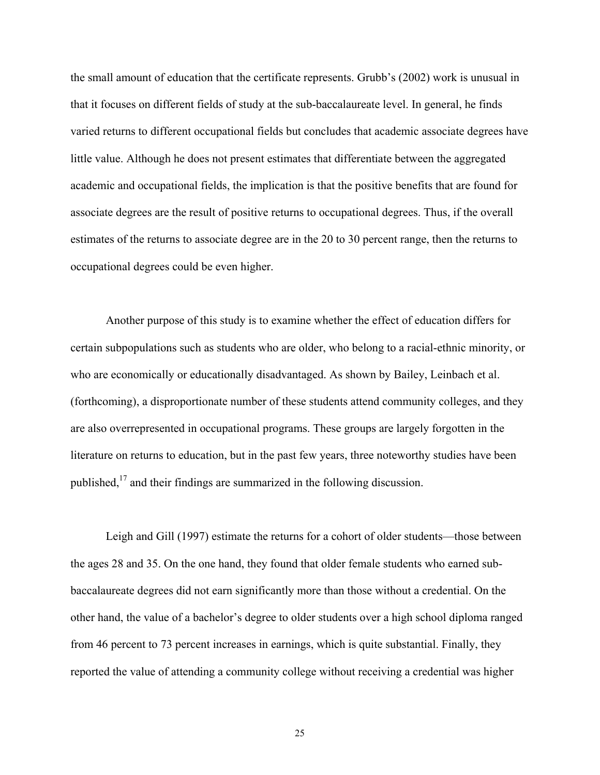the small amount of education that the certificate represents. Grubb's (2002) work is unusual in that it focuses on different fields of study at the sub-baccalaureate level. In general, he finds varied returns to different occupational fields but concludes that academic associate degrees have little value. Although he does not present estimates that differentiate between the aggregated academic and occupational fields, the implication is that the positive benefits that are found for associate degrees are the result of positive returns to occupational degrees. Thus, if the overall estimates of the returns to associate degree are in the 20 to 30 percent range, then the returns to occupational degrees could be even higher.

 Another purpose of this study is to examine whether the effect of education differs for certain subpopulations such as students who are older, who belong to a racial-ethnic minority, or who are economically or educationally disadvantaged. As shown by Bailey, Leinbach et al. (forthcoming), a disproportionate number of these students attend community colleges, and they are also overrepresented in occupational programs. These groups are largely forgotten in the literature on returns to education, but in the past few years, three noteworthy studies have been published,17 and their findings are summarized in the following discussion.

Leigh and Gill (1997) estimate the returns for a cohort of older students—those between the ages 28 and 35. On the one hand, they found that older female students who earned subbaccalaureate degrees did not earn significantly more than those without a credential. On the other hand, the value of a bachelor's degree to older students over a high school diploma ranged from 46 percent to 73 percent increases in earnings, which is quite substantial. Finally, they reported the value of attending a community college without receiving a credential was higher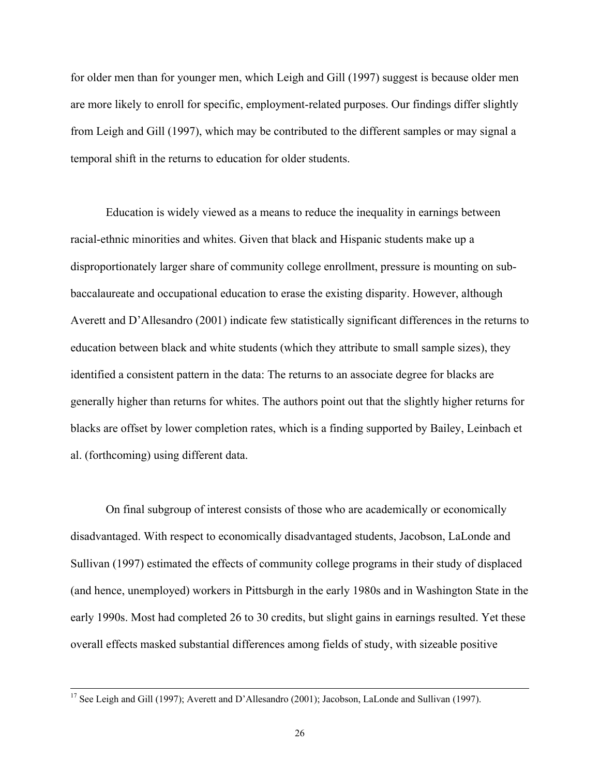for older men than for younger men, which Leigh and Gill (1997) suggest is because older men are more likely to enroll for specific, employment-related purposes. Our findings differ slightly from Leigh and Gill (1997), which may be contributed to the different samples or may signal a temporal shift in the returns to education for older students.

 Education is widely viewed as a means to reduce the inequality in earnings between racial-ethnic minorities and whites. Given that black and Hispanic students make up a disproportionately larger share of community college enrollment, pressure is mounting on subbaccalaureate and occupational education to erase the existing disparity. However, although Averett and D'Allesandro (2001) indicate few statistically significant differences in the returns to education between black and white students (which they attribute to small sample sizes), they identified a consistent pattern in the data: The returns to an associate degree for blacks are generally higher than returns for whites. The authors point out that the slightly higher returns for blacks are offset by lower completion rates, which is a finding supported by Bailey, Leinbach et al. (forthcoming) using different data.

 On final subgroup of interest consists of those who are academically or economically disadvantaged. With respect to economically disadvantaged students, Jacobson, LaLonde and Sullivan (1997) estimated the effects of community college programs in their study of displaced (and hence, unemployed) workers in Pittsburgh in the early 1980s and in Washington State in the early 1990s. Most had completed 26 to 30 credits, but slight gains in earnings resulted. Yet these overall effects masked substantial differences among fields of study, with sizeable positive

<sup>&</sup>lt;sup>17</sup> See Leigh and Gill (1997); Averett and D'Allesandro (2001); Jacobson, LaLonde and Sullivan (1997).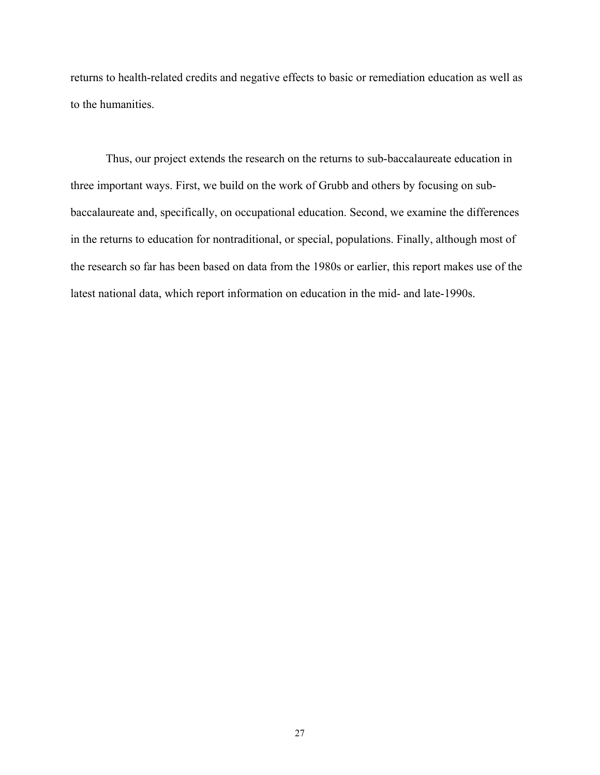returns to health-related credits and negative effects to basic or remediation education as well as to the humanities.

 Thus, our project extends the research on the returns to sub-baccalaureate education in three important ways. First, we build on the work of Grubb and others by focusing on subbaccalaureate and, specifically, on occupational education. Second, we examine the differences in the returns to education for nontraditional, or special, populations. Finally, although most of the research so far has been based on data from the 1980s or earlier, this report makes use of the latest national data, which report information on education in the mid- and late-1990s.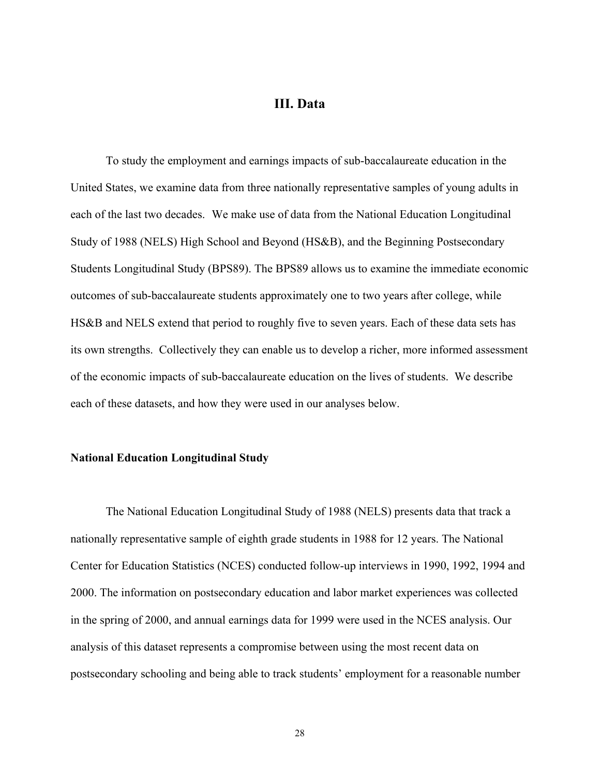## **III. Data**

To study the employment and earnings impacts of sub-baccalaureate education in the United States, we examine data from three nationally representative samples of young adults in each of the last two decades. We make use of data from the National Education Longitudinal Study of 1988 (NELS) High School and Beyond (HS&B), and the Beginning Postsecondary Students Longitudinal Study (BPS89). The BPS89 allows us to examine the immediate economic outcomes of sub-baccalaureate students approximately one to two years after college, while HS&B and NELS extend that period to roughly five to seven years. Each of these data sets has its own strengths. Collectively they can enable us to develop a richer, more informed assessment of the economic impacts of sub-baccalaureate education on the lives of students. We describe each of these datasets, and how they were used in our analyses below.

#### **National Education Longitudinal Study**

The National Education Longitudinal Study of 1988 (NELS) presents data that track a nationally representative sample of eighth grade students in 1988 for 12 years. The National Center for Education Statistics (NCES) conducted follow-up interviews in 1990, 1992, 1994 and 2000. The information on postsecondary education and labor market experiences was collected in the spring of 2000, and annual earnings data for 1999 were used in the NCES analysis. Our analysis of this dataset represents a compromise between using the most recent data on postsecondary schooling and being able to track students' employment for a reasonable number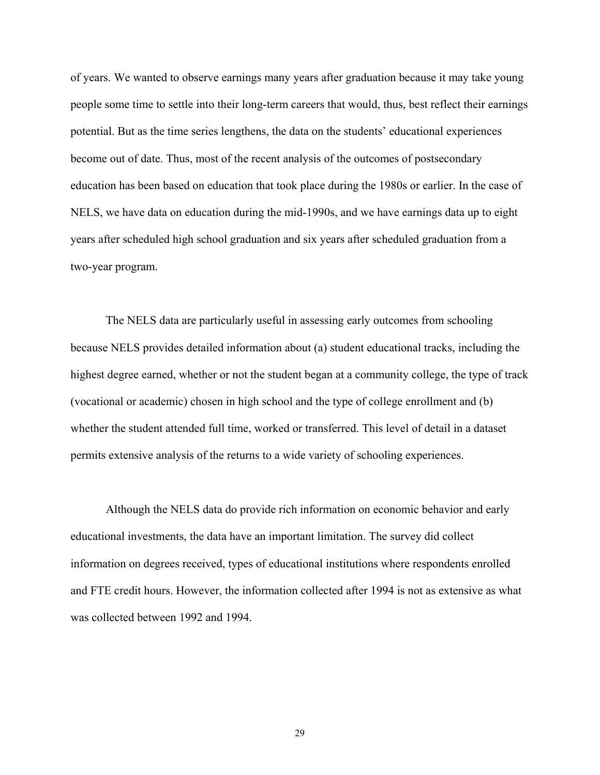of years. We wanted to observe earnings many years after graduation because it may take young people some time to settle into their long-term careers that would, thus, best reflect their earnings potential. But as the time series lengthens, the data on the students' educational experiences become out of date. Thus, most of the recent analysis of the outcomes of postsecondary education has been based on education that took place during the 1980s or earlier. In the case of NELS, we have data on education during the mid-1990s, and we have earnings data up to eight years after scheduled high school graduation and six years after scheduled graduation from a two-year program.

 The NELS data are particularly useful in assessing early outcomes from schooling because NELS provides detailed information about (a) student educational tracks, including the highest degree earned, whether or not the student began at a community college, the type of track (vocational or academic) chosen in high school and the type of college enrollment and (b) whether the student attended full time, worked or transferred. This level of detail in a dataset permits extensive analysis of the returns to a wide variety of schooling experiences.

 Although the NELS data do provide rich information on economic behavior and early educational investments, the data have an important limitation. The survey did collect information on degrees received, types of educational institutions where respondents enrolled and FTE credit hours. However, the information collected after 1994 is not as extensive as what was collected between 1992 and 1994.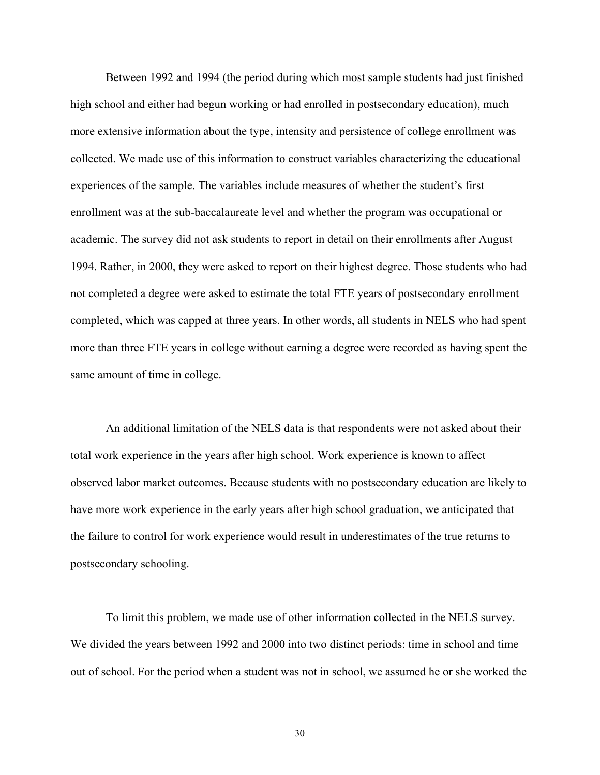Between 1992 and 1994 (the period during which most sample students had just finished high school and either had begun working or had enrolled in postsecondary education), much more extensive information about the type, intensity and persistence of college enrollment was collected. We made use of this information to construct variables characterizing the educational experiences of the sample. The variables include measures of whether the student's first enrollment was at the sub-baccalaureate level and whether the program was occupational or academic. The survey did not ask students to report in detail on their enrollments after August 1994. Rather, in 2000, they were asked to report on their highest degree. Those students who had not completed a degree were asked to estimate the total FTE years of postsecondary enrollment completed, which was capped at three years. In other words, all students in NELS who had spent more than three FTE years in college without earning a degree were recorded as having spent the same amount of time in college.

 An additional limitation of the NELS data is that respondents were not asked about their total work experience in the years after high school. Work experience is known to affect observed labor market outcomes. Because students with no postsecondary education are likely to have more work experience in the early years after high school graduation, we anticipated that the failure to control for work experience would result in underestimates of the true returns to postsecondary schooling.

To limit this problem, we made use of other information collected in the NELS survey. We divided the years between 1992 and 2000 into two distinct periods: time in school and time out of school. For the period when a student was not in school, we assumed he or she worked the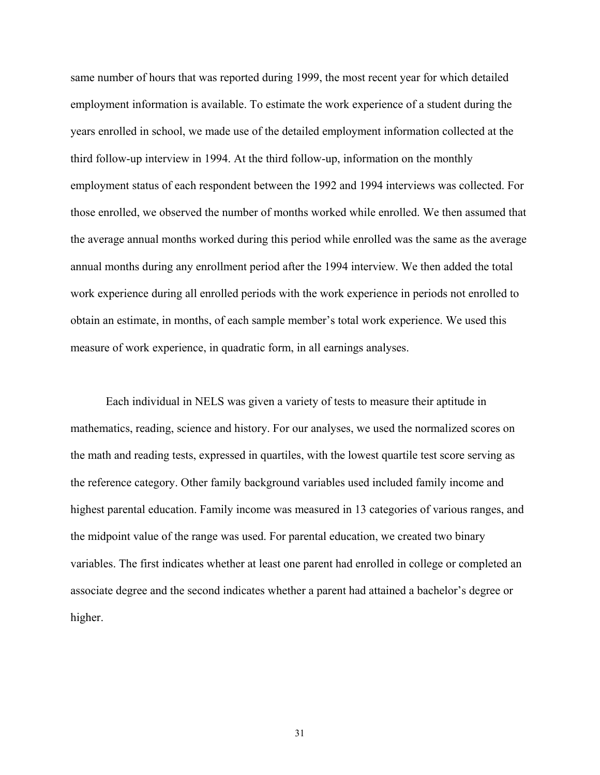same number of hours that was reported during 1999, the most recent year for which detailed employment information is available. To estimate the work experience of a student during the years enrolled in school, we made use of the detailed employment information collected at the third follow-up interview in 1994. At the third follow-up, information on the monthly employment status of each respondent between the 1992 and 1994 interviews was collected. For those enrolled, we observed the number of months worked while enrolled. We then assumed that the average annual months worked during this period while enrolled was the same as the average annual months during any enrollment period after the 1994 interview. We then added the total work experience during all enrolled periods with the work experience in periods not enrolled to obtain an estimate, in months, of each sample member's total work experience. We used this measure of work experience, in quadratic form, in all earnings analyses.

Each individual in NELS was given a variety of tests to measure their aptitude in mathematics, reading, science and history. For our analyses, we used the normalized scores on the math and reading tests, expressed in quartiles, with the lowest quartile test score serving as the reference category. Other family background variables used included family income and highest parental education. Family income was measured in 13 categories of various ranges, and the midpoint value of the range was used. For parental education, we created two binary variables. The first indicates whether at least one parent had enrolled in college or completed an associate degree and the second indicates whether a parent had attained a bachelor's degree or higher.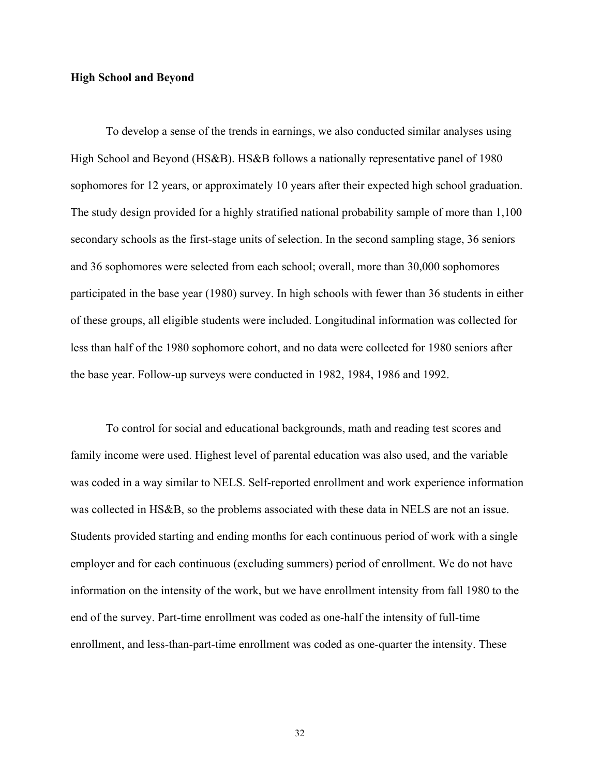## **High School and Beyond**

To develop a sense of the trends in earnings, we also conducted similar analyses using High School and Beyond (HS&B). HS&B follows a nationally representative panel of 1980 sophomores for 12 years, or approximately 10 years after their expected high school graduation. The study design provided for a highly stratified national probability sample of more than 1,100 secondary schools as the first-stage units of selection. In the second sampling stage, 36 seniors and 36 sophomores were selected from each school; overall, more than 30,000 sophomores participated in the base year (1980) survey. In high schools with fewer than 36 students in either of these groups, all eligible students were included. Longitudinal information was collected for less than half of the 1980 sophomore cohort, and no data were collected for 1980 seniors after the base year. Follow-up surveys were conducted in 1982, 1984, 1986 and 1992.

To control for social and educational backgrounds, math and reading test scores and family income were used. Highest level of parental education was also used, and the variable was coded in a way similar to NELS. Self-reported enrollment and work experience information was collected in HS&B, so the problems associated with these data in NELS are not an issue. Students provided starting and ending months for each continuous period of work with a single employer and for each continuous (excluding summers) period of enrollment. We do not have information on the intensity of the work, but we have enrollment intensity from fall 1980 to the end of the survey. Part-time enrollment was coded as one-half the intensity of full-time enrollment, and less-than-part-time enrollment was coded as one-quarter the intensity. These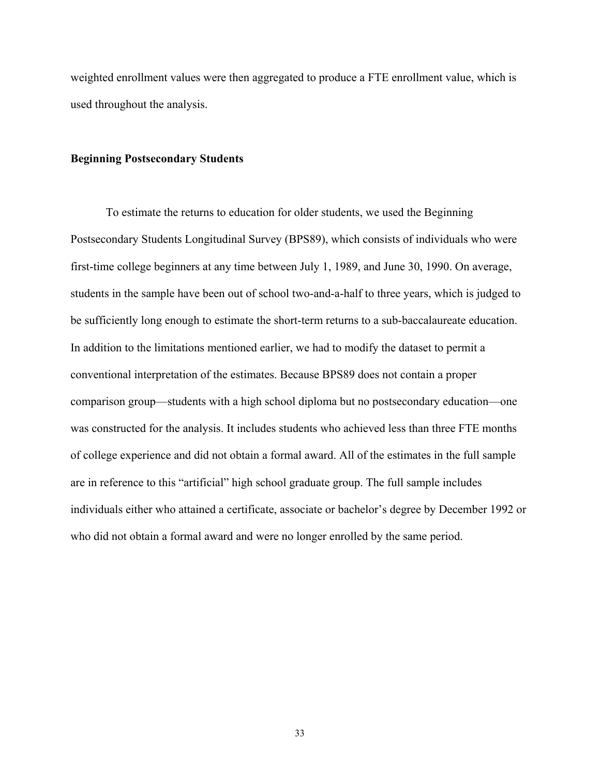weighted enrollment values were then aggregated to produce a FTE enrollment value, which is used throughout the analysis.

#### **Beginning Postsecondary Students**

To estimate the returns to education for older students, we used the Beginning Postsecondary Students Longitudinal Survey (BPS89), which consists of individuals who were first-time college beginners at any time between July 1, 1989, and June 30, 1990. On average, students in the sample have been out of school two-and-a-half to three years, which is judged to be sufficiently long enough to estimate the short-term returns to a sub-baccalaureate education. In addition to the limitations mentioned earlier, we had to modify the dataset to permit a conventional interpretation of the estimates. Because BPS89 does not contain a proper comparison group—students with a high school diploma but no postsecondary education—one was constructed for the analysis. It includes students who achieved less than three FTE months of college experience and did not obtain a formal award. All of the estimates in the full sample are in reference to this "artificial" high school graduate group. The full sample includes individuals either who attained a certificate, associate or bachelor's degree by December 1992 or who did not obtain a formal award and were no longer enrolled by the same period.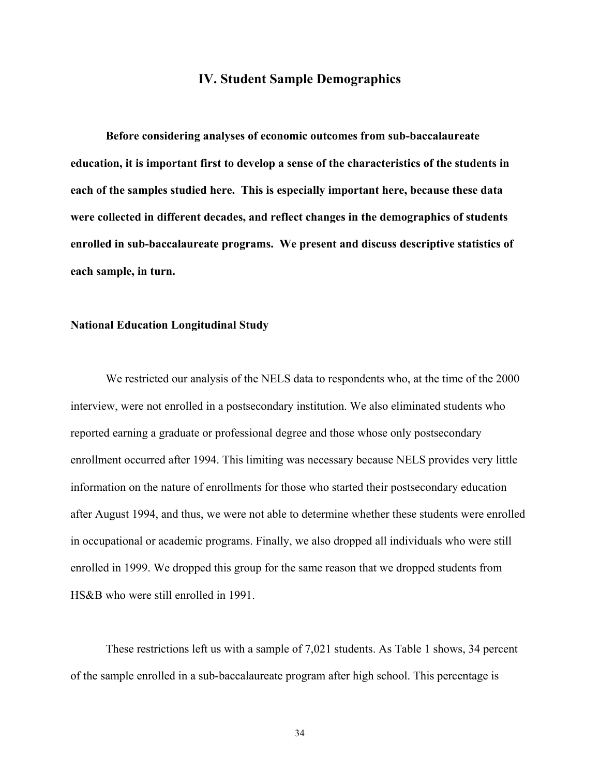## **IV. Student Sample Demographics**

 **Before considering analyses of economic outcomes from sub-baccalaureate education, it is important first to develop a sense of the characteristics of the students in each of the samples studied here. This is especially important here, because these data were collected in different decades, and reflect changes in the demographics of students enrolled in sub-baccalaureate programs. We present and discuss descriptive statistics of each sample, in turn.** 

## **National Education Longitudinal Study**

We restricted our analysis of the NELS data to respondents who, at the time of the 2000 interview, were not enrolled in a postsecondary institution. We also eliminated students who reported earning a graduate or professional degree and those whose only postsecondary enrollment occurred after 1994. This limiting was necessary because NELS provides very little information on the nature of enrollments for those who started their postsecondary education after August 1994, and thus, we were not able to determine whether these students were enrolled in occupational or academic programs. Finally, we also dropped all individuals who were still enrolled in 1999. We dropped this group for the same reason that we dropped students from HS&B who were still enrolled in 1991.

 These restrictions left us with a sample of 7,021 students. As Table 1 shows, 34 percent of the sample enrolled in a sub-baccalaureate program after high school. This percentage is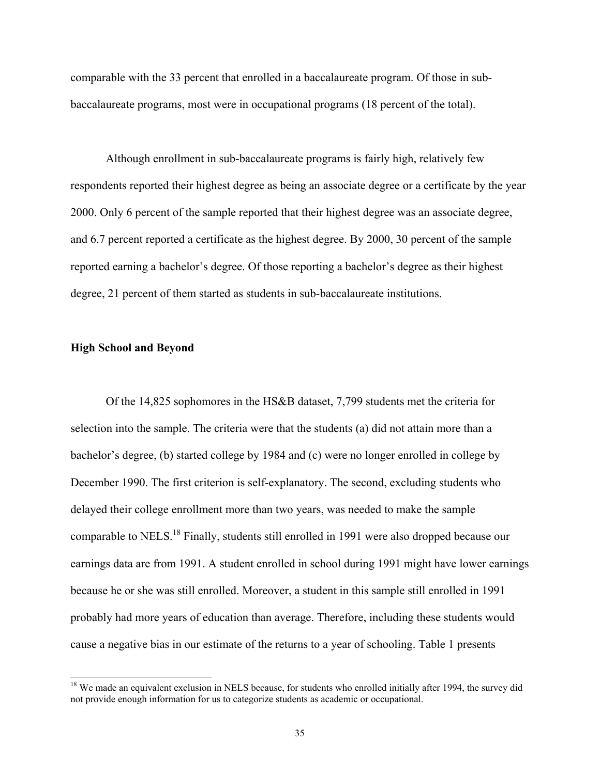comparable with the 33 percent that enrolled in a baccalaureate program. Of those in subbaccalaureate programs, most were in occupational programs (18 percent of the total).

 Although enrollment in sub-baccalaureate programs is fairly high, relatively few respondents reported their highest degree as being an associate degree or a certificate by the year 2000. Only 6 percent of the sample reported that their highest degree was an associate degree, and 6.7 percent reported a certificate as the highest degree. By 2000, 30 percent of the sample reported earning a bachelor's degree. Of those reporting a bachelor's degree as their highest degree, 21 percent of them started as students in sub-baccalaureate institutions.

## **High School and Beyond**

l

 Of the 14,825 sophomores in the HS&B dataset, 7,799 students met the criteria for selection into the sample. The criteria were that the students (a) did not attain more than a bachelor's degree, (b) started college by 1984 and (c) were no longer enrolled in college by December 1990. The first criterion is self-explanatory. The second, excluding students who delayed their college enrollment more than two years, was needed to make the sample comparable to NELS.18 Finally, students still enrolled in 1991 were also dropped because our earnings data are from 1991. A student enrolled in school during 1991 might have lower earnings because he or she was still enrolled. Moreover, a student in this sample still enrolled in 1991 probably had more years of education than average. Therefore, including these students would cause a negative bias in our estimate of the returns to a year of schooling. Table 1 presents

<sup>&</sup>lt;sup>18</sup> We made an equivalent exclusion in NELS because, for students who enrolled initially after 1994, the survey did not provide enough information for us to categorize students as academic or occupational.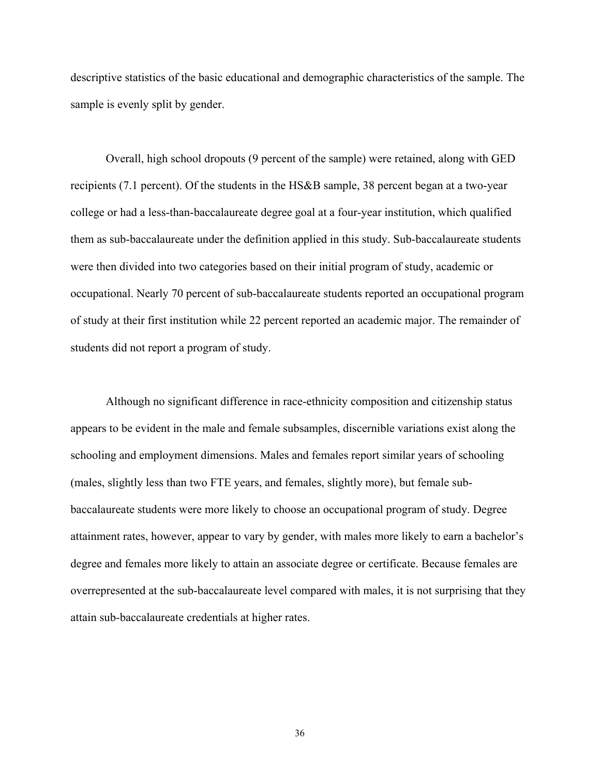descriptive statistics of the basic educational and demographic characteristics of the sample. The sample is evenly split by gender.

 Overall, high school dropouts (9 percent of the sample) were retained, along with GED recipients (7.1 percent). Of the students in the HS&B sample, 38 percent began at a two-year college or had a less-than-baccalaureate degree goal at a four-year institution, which qualified them as sub-baccalaureate under the definition applied in this study. Sub-baccalaureate students were then divided into two categories based on their initial program of study, academic or occupational. Nearly 70 percent of sub-baccalaureate students reported an occupational program of study at their first institution while 22 percent reported an academic major. The remainder of students did not report a program of study.

 Although no significant difference in race-ethnicity composition and citizenship status appears to be evident in the male and female subsamples, discernible variations exist along the schooling and employment dimensions. Males and females report similar years of schooling (males, slightly less than two FTE years, and females, slightly more), but female subbaccalaureate students were more likely to choose an occupational program of study. Degree attainment rates, however, appear to vary by gender, with males more likely to earn a bachelor's degree and females more likely to attain an associate degree or certificate. Because females are overrepresented at the sub-baccalaureate level compared with males, it is not surprising that they attain sub-baccalaureate credentials at higher rates.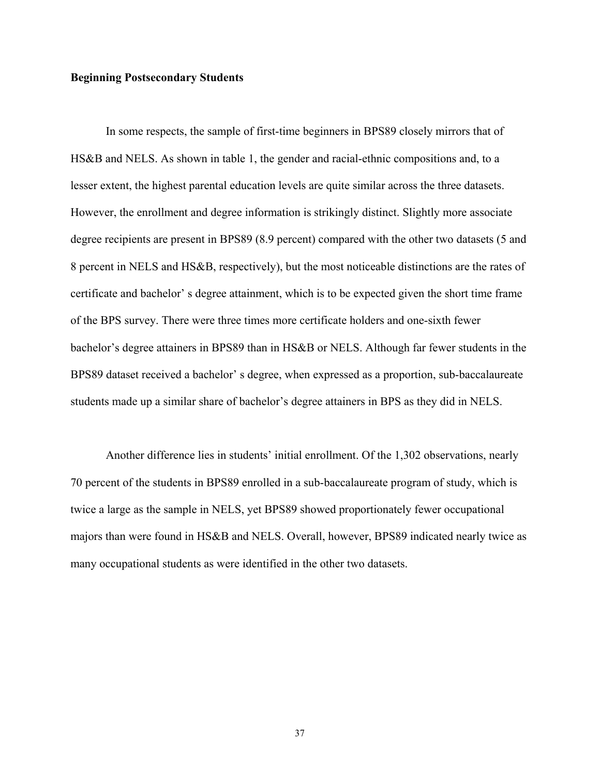# **Beginning Postsecondary Students**

In some respects, the sample of first-time beginners in BPS89 closely mirrors that of HS&B and NELS. As shown in table 1, the gender and racial-ethnic compositions and, to a lesser extent, the highest parental education levels are quite similar across the three datasets. However, the enrollment and degree information is strikingly distinct. Slightly more associate degree recipients are present in BPS89 (8.9 percent) compared with the other two datasets (5 and 8 percent in NELS and HS&B, respectively), but the most noticeable distinctions are the rates of certificate and bachelor' s degree attainment, which is to be expected given the short time frame of the BPS survey. There were three times more certificate holders and one-sixth fewer bachelor's degree attainers in BPS89 than in HS&B or NELS. Although far fewer students in the BPS89 dataset received a bachelor' s degree, when expressed as a proportion, sub-baccalaureate students made up a similar share of bachelor's degree attainers in BPS as they did in NELS.

Another difference lies in students' initial enrollment. Of the 1,302 observations, nearly 70 percent of the students in BPS89 enrolled in a sub-baccalaureate program of study, which is twice a large as the sample in NELS, yet BPS89 showed proportionately fewer occupational majors than were found in HS&B and NELS. Overall, however, BPS89 indicated nearly twice as many occupational students as were identified in the other two datasets.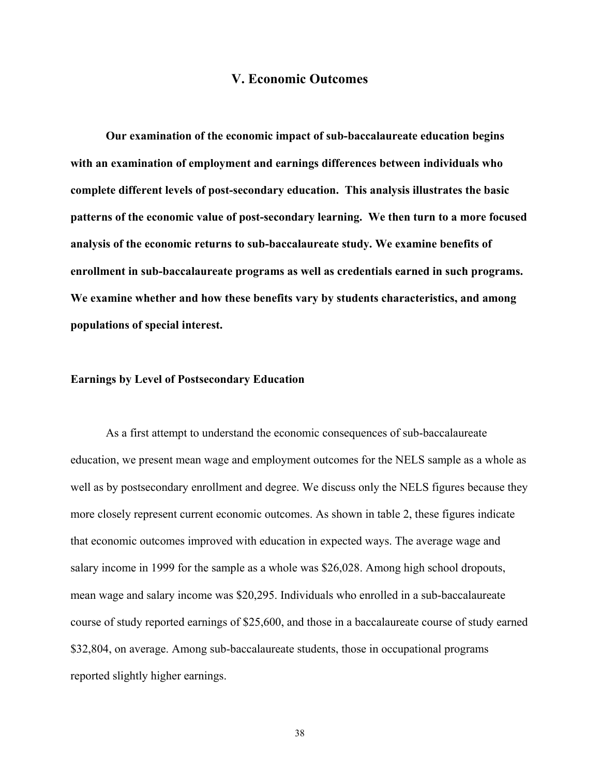# **V. Economic Outcomes**

 **Our examination of the economic impact of sub-baccalaureate education begins with an examination of employment and earnings differences between individuals who complete different levels of post-secondary education. This analysis illustrates the basic patterns of the economic value of post-secondary learning. We then turn to a more focused analysis of the economic returns to sub-baccalaureate study. We examine benefits of enrollment in sub-baccalaureate programs as well as credentials earned in such programs. We examine whether and how these benefits vary by students characteristics, and among populations of special interest.** 

# **Earnings by Level of Postsecondary Education**

 As a first attempt to understand the economic consequences of sub-baccalaureate education, we present mean wage and employment outcomes for the NELS sample as a whole as well as by postsecondary enrollment and degree. We discuss only the NELS figures because they more closely represent current economic outcomes. As shown in table 2, these figures indicate that economic outcomes improved with education in expected ways. The average wage and salary income in 1999 for the sample as a whole was \$26,028. Among high school dropouts, mean wage and salary income was \$20,295. Individuals who enrolled in a sub-baccalaureate course of study reported earnings of \$25,600, and those in a baccalaureate course of study earned \$32,804, on average. Among sub-baccalaureate students, those in occupational programs reported slightly higher earnings.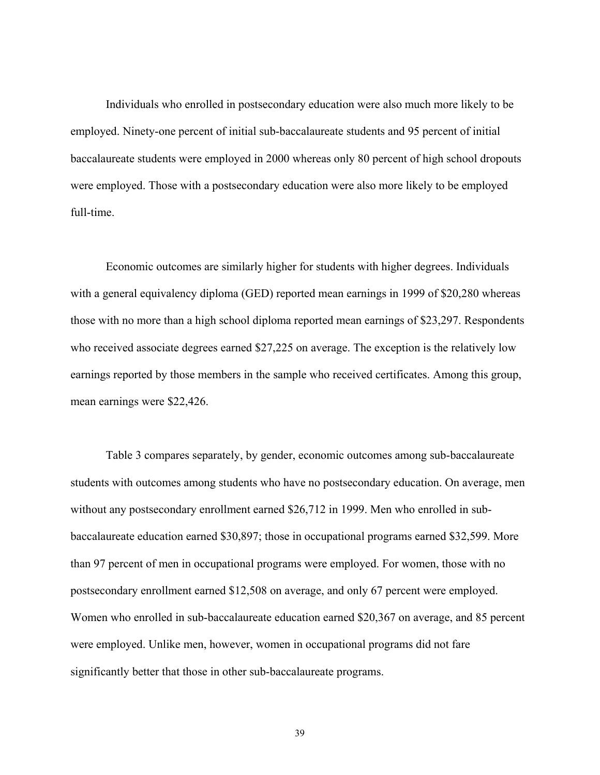Individuals who enrolled in postsecondary education were also much more likely to be employed. Ninety-one percent of initial sub-baccalaureate students and 95 percent of initial baccalaureate students were employed in 2000 whereas only 80 percent of high school dropouts were employed. Those with a postsecondary education were also more likely to be employed full-time.

 Economic outcomes are similarly higher for students with higher degrees. Individuals with a general equivalency diploma (GED) reported mean earnings in 1999 of \$20,280 whereas those with no more than a high school diploma reported mean earnings of \$23,297. Respondents who received associate degrees earned \$27,225 on average. The exception is the relatively low earnings reported by those members in the sample who received certificates. Among this group, mean earnings were \$22,426.

 Table 3 compares separately, by gender, economic outcomes among sub-baccalaureate students with outcomes among students who have no postsecondary education. On average, men without any postsecondary enrollment earned \$26,712 in 1999. Men who enrolled in subbaccalaureate education earned \$30,897; those in occupational programs earned \$32,599. More than 97 percent of men in occupational programs were employed. For women, those with no postsecondary enrollment earned \$12,508 on average, and only 67 percent were employed. Women who enrolled in sub-baccalaureate education earned \$20,367 on average, and 85 percent were employed. Unlike men, however, women in occupational programs did not fare significantly better that those in other sub-baccalaureate programs.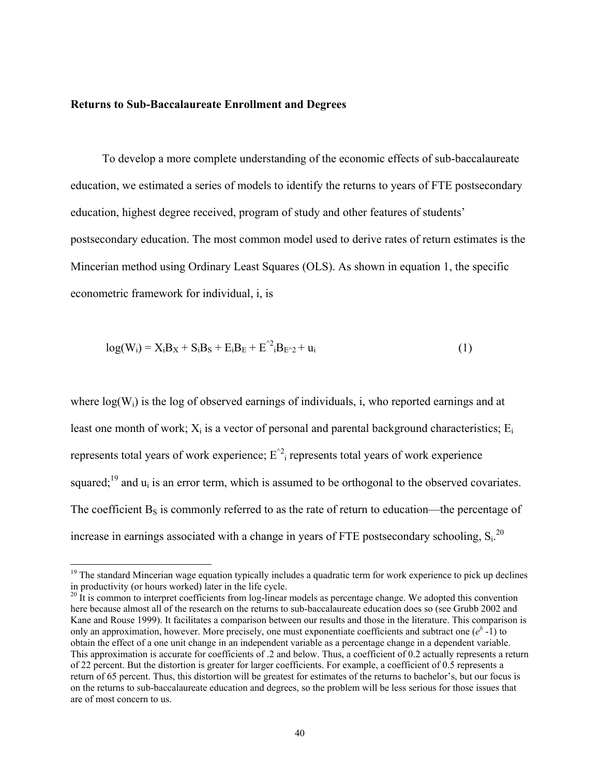#### **Returns to Sub-Baccalaureate Enrollment and Degrees**

l

To develop a more complete understanding of the economic effects of sub-baccalaureate education, we estimated a series of models to identify the returns to years of FTE postsecondary education, highest degree received, program of study and other features of students' postsecondary education. The most common model used to derive rates of return estimates is the Mincerian method using Ordinary Least Squares (OLS). As shown in equation 1, the specific econometric framework for individual, i, is

$$
log(Wi) = XiBX + SiBS + EiBE + E2iBE2 + ui
$$
 (1)

where  $log(W_i)$  is the log of observed earnings of individuals, i, who reported earnings and at least one month of work;  $X_i$  is a vector of personal and parental background characteristics;  $E_i$ represents total years of work experience;  $E^{\prime 2}$  represents total years of work experience squared;<sup>19</sup> and  $u_i$  is an error term, which is assumed to be orthogonal to the observed covariates. The coefficient  $B_s$  is commonly referred to as the rate of return to education—the percentage of increase in earnings associated with a change in years of FTE postsecondary schooling,  $S_i$ <sup>20</sup>

<sup>&</sup>lt;sup>19</sup> The standard Mincerian wage equation typically includes a quadratic term for work experience to pick up declines in productivity (or hours worked) later in the life cycle.

 $20 \text{ It}$  is common to interpret coefficients from log-linear models as percentage change. We adopted this convention here because almost all of the research on the returns to sub-baccalaureate education does so (see Grubb 2002 and Kane and Rouse 1999). It facilitates a comparison between our results and those in the literature. This comparison is only an approximation, however. More precisely, one must exponentiate coefficients and subtract one  $(e^{b} - 1)$  to obtain the effect of a one unit change in an independent variable as a percentage change in a dependent variable. This approximation is accurate for coefficients of .2 and below. Thus, a coefficient of 0.2 actually represents a return of 22 percent. But the distortion is greater for larger coefficients. For example, a coefficient of 0.5 represents a return of 65 percent. Thus, this distortion will be greatest for estimates of the returns to bachelor's, but our focus is on the returns to sub-baccalaureate education and degrees, so the problem will be less serious for those issues that are of most concern to us.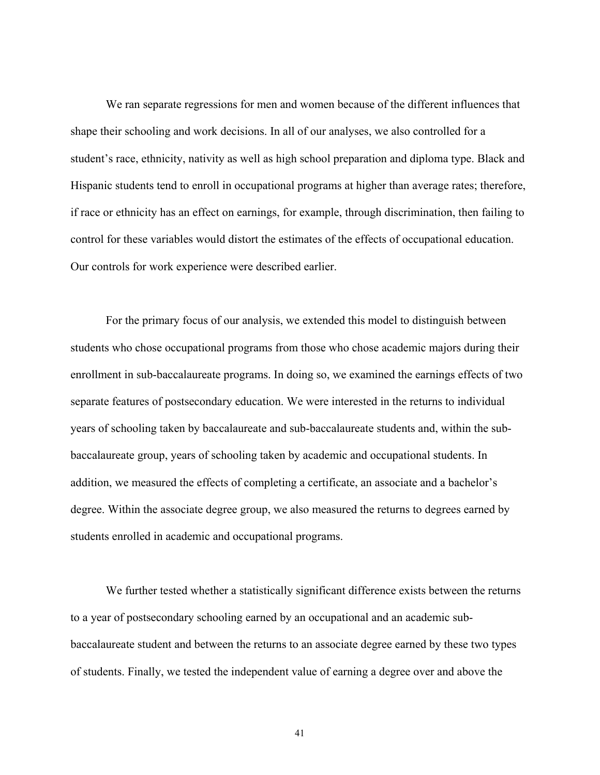We ran separate regressions for men and women because of the different influences that shape their schooling and work decisions. In all of our analyses, we also controlled for a student's race, ethnicity, nativity as well as high school preparation and diploma type. Black and Hispanic students tend to enroll in occupational programs at higher than average rates; therefore, if race or ethnicity has an effect on earnings, for example, through discrimination, then failing to control for these variables would distort the estimates of the effects of occupational education. Our controls for work experience were described earlier.

 For the primary focus of our analysis, we extended this model to distinguish between students who chose occupational programs from those who chose academic majors during their enrollment in sub-baccalaureate programs. In doing so, we examined the earnings effects of two separate features of postsecondary education. We were interested in the returns to individual years of schooling taken by baccalaureate and sub-baccalaureate students and, within the subbaccalaureate group, years of schooling taken by academic and occupational students. In addition, we measured the effects of completing a certificate, an associate and a bachelor's degree. Within the associate degree group, we also measured the returns to degrees earned by students enrolled in academic and occupational programs.

 We further tested whether a statistically significant difference exists between the returns to a year of postsecondary schooling earned by an occupational and an academic subbaccalaureate student and between the returns to an associate degree earned by these two types of students. Finally, we tested the independent value of earning a degree over and above the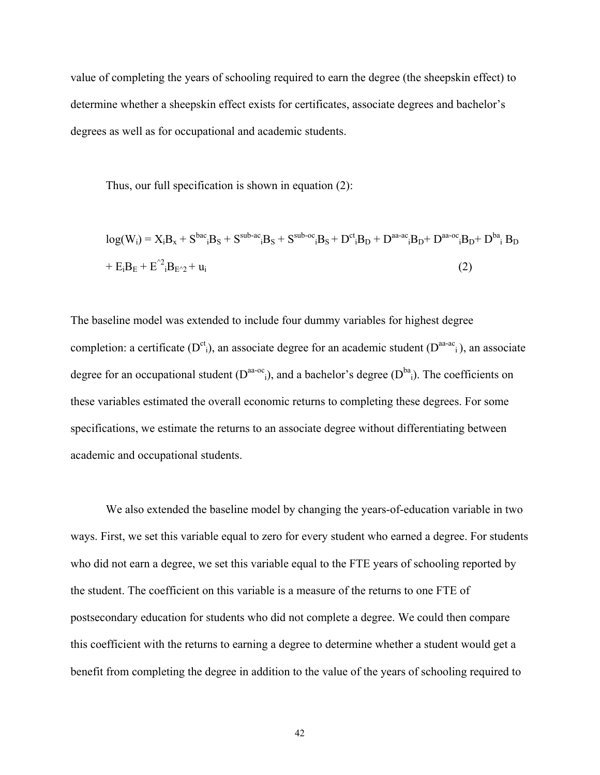value of completing the years of schooling required to earn the degree (the sheepskin effect) to determine whether a sheepskin effect exists for certificates, associate degrees and bachelor's degrees as well as for occupational and academic students.

Thus, our full specification is shown in equation (2):

$$
log(Wi) = XiBx + SbaciBS + Ssub-aciBS + Ssub-ociBS + DctiBD + Daa-aciBD + Daa-ociBD + DbaiBD
$$
  
+ E<sub>i</sub>B<sub>E</sub> + E<sup>2</sup><sub>i</sub>B<sub>E<2</sub> + u<sub>i</sub> (2)

The baseline model was extended to include four dummy variables for highest degree completion: a certificate ( $D^{ct}$ <sub>i</sub>), an associate degree for an academic student ( $D^{aa-ac}$ <sub>i</sub>), an associate degree for an occupational student  $(D^{aa-oc})$ , and a bachelor's degree  $(D^{ba})$ . The coefficients on these variables estimated the overall economic returns to completing these degrees. For some specifications, we estimate the returns to an associate degree without differentiating between academic and occupational students.

 We also extended the baseline model by changing the years-of-education variable in two ways. First, we set this variable equal to zero for every student who earned a degree. For students who did not earn a degree, we set this variable equal to the FTE years of schooling reported by the student. The coefficient on this variable is a measure of the returns to one FTE of postsecondary education for students who did not complete a degree. We could then compare this coefficient with the returns to earning a degree to determine whether a student would get a benefit from completing the degree in addition to the value of the years of schooling required to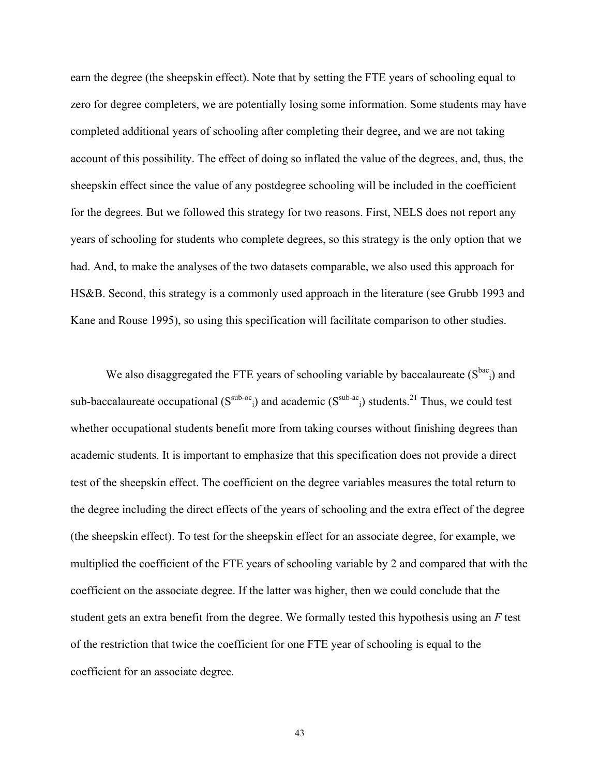earn the degree (the sheepskin effect). Note that by setting the FTE years of schooling equal to zero for degree completers, we are potentially losing some information. Some students may have completed additional years of schooling after completing their degree, and we are not taking account of this possibility. The effect of doing so inflated the value of the degrees, and, thus, the sheepskin effect since the value of any postdegree schooling will be included in the coefficient for the degrees. But we followed this strategy for two reasons. First, NELS does not report any years of schooling for students who complete degrees, so this strategy is the only option that we had. And, to make the analyses of the two datasets comparable, we also used this approach for HS&B. Second, this strategy is a commonly used approach in the literature (see Grubb 1993 and Kane and Rouse 1995), so using this specification will facilitate comparison to other studies.

We also disaggregated the FTE years of schooling variable by baccalaureate  $(S^{bac})$  and sub-baccalaureate occupational  $(S^{sub-oc}$ <sub>i</sub>) and academic  $(S^{sub-ac}$ <sub>i</sub>) students.<sup>21</sup> Thus, we could test whether occupational students benefit more from taking courses without finishing degrees than academic students. It is important to emphasize that this specification does not provide a direct test of the sheepskin effect. The coefficient on the degree variables measures the total return to the degree including the direct effects of the years of schooling and the extra effect of the degree (the sheepskin effect). To test for the sheepskin effect for an associate degree, for example, we multiplied the coefficient of the FTE years of schooling variable by 2 and compared that with the coefficient on the associate degree. If the latter was higher, then we could conclude that the student gets an extra benefit from the degree. We formally tested this hypothesis using an *F* test of the restriction that twice the coefficient for one FTE year of schooling is equal to the coefficient for an associate degree.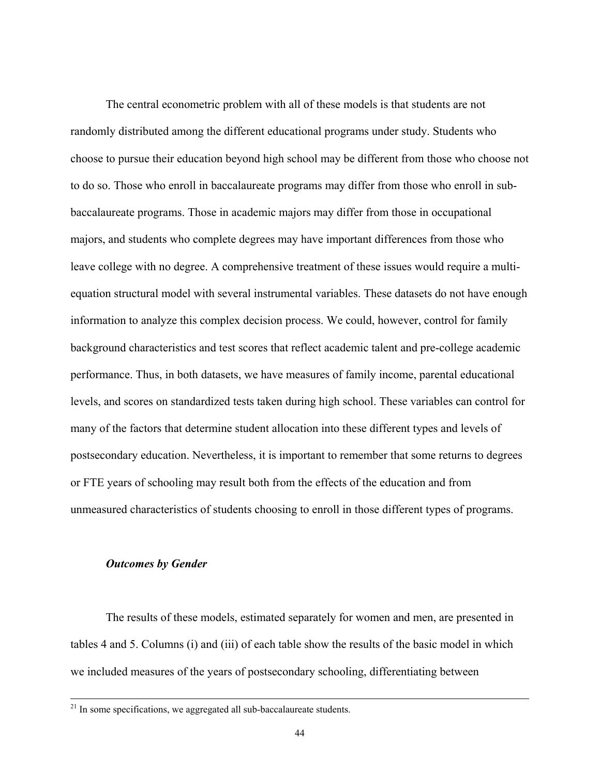The central econometric problem with all of these models is that students are not randomly distributed among the different educational programs under study. Students who choose to pursue their education beyond high school may be different from those who choose not to do so. Those who enroll in baccalaureate programs may differ from those who enroll in subbaccalaureate programs. Those in academic majors may differ from those in occupational majors, and students who complete degrees may have important differences from those who leave college with no degree. A comprehensive treatment of these issues would require a multiequation structural model with several instrumental variables. These datasets do not have enough information to analyze this complex decision process. We could, however, control for family background characteristics and test scores that reflect academic talent and pre-college academic performance. Thus, in both datasets, we have measures of family income, parental educational levels, and scores on standardized tests taken during high school. These variables can control for many of the factors that determine student allocation into these different types and levels of postsecondary education. Nevertheless, it is important to remember that some returns to degrees or FTE years of schooling may result both from the effects of the education and from unmeasured characteristics of students choosing to enroll in those different types of programs.

# *Outcomes by Gender*

The results of these models, estimated separately for women and men, are presented in tables 4 and 5. Columns (i) and (iii) of each table show the results of the basic model in which we included measures of the years of postsecondary schooling, differentiating between

 $21$  In some specifications, we aggregated all sub-baccalaureate students.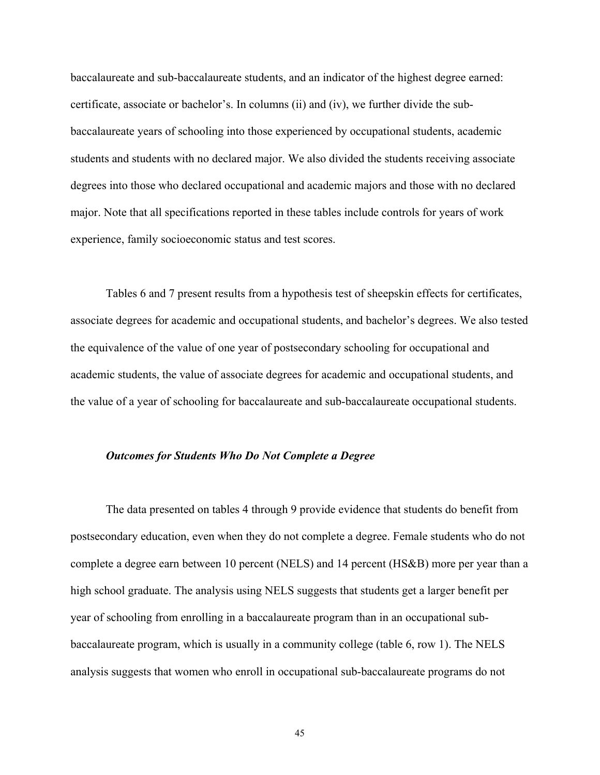baccalaureate and sub-baccalaureate students, and an indicator of the highest degree earned: certificate, associate or bachelor's. In columns (ii) and (iv), we further divide the subbaccalaureate years of schooling into those experienced by occupational students, academic students and students with no declared major. We also divided the students receiving associate degrees into those who declared occupational and academic majors and those with no declared major. Note that all specifications reported in these tables include controls for years of work experience, family socioeconomic status and test scores.

Tables 6 and 7 present results from a hypothesis test of sheepskin effects for certificates, associate degrees for academic and occupational students, and bachelor's degrees. We also tested the equivalence of the value of one year of postsecondary schooling for occupational and academic students, the value of associate degrees for academic and occupational students, and the value of a year of schooling for baccalaureate and sub-baccalaureate occupational students.

# *Outcomes for Students Who Do Not Complete a Degree*

The data presented on tables 4 through 9 provide evidence that students do benefit from postsecondary education, even when they do not complete a degree. Female students who do not complete a degree earn between 10 percent (NELS) and 14 percent (HS&B) more per year than a high school graduate. The analysis using NELS suggests that students get a larger benefit per year of schooling from enrolling in a baccalaureate program than in an occupational subbaccalaureate program, which is usually in a community college (table 6, row 1). The NELS analysis suggests that women who enroll in occupational sub-baccalaureate programs do not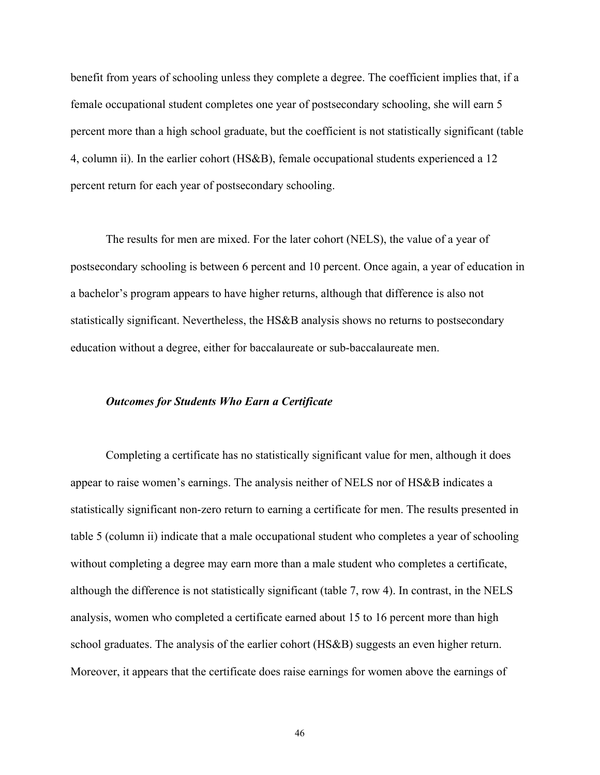benefit from years of schooling unless they complete a degree. The coefficient implies that, if a female occupational student completes one year of postsecondary schooling, she will earn 5 percent more than a high school graduate, but the coefficient is not statistically significant (table 4, column ii). In the earlier cohort (HS&B), female occupational students experienced a 12 percent return for each year of postsecondary schooling.

The results for men are mixed. For the later cohort (NELS), the value of a year of postsecondary schooling is between 6 percent and 10 percent. Once again, a year of education in a bachelor's program appears to have higher returns, although that difference is also not statistically significant. Nevertheless, the HS&B analysis shows no returns to postsecondary education without a degree, either for baccalaureate or sub-baccalaureate men.

#### *Outcomes for Students Who Earn a Certificate*

Completing a certificate has no statistically significant value for men, although it does appear to raise women's earnings. The analysis neither of NELS nor of HS&B indicates a statistically significant non-zero return to earning a certificate for men. The results presented in table 5 (column ii) indicate that a male occupational student who completes a year of schooling without completing a degree may earn more than a male student who completes a certificate, although the difference is not statistically significant (table 7, row 4). In contrast, in the NELS analysis, women who completed a certificate earned about 15 to 16 percent more than high school graduates. The analysis of the earlier cohort (HS&B) suggests an even higher return. Moreover, it appears that the certificate does raise earnings for women above the earnings of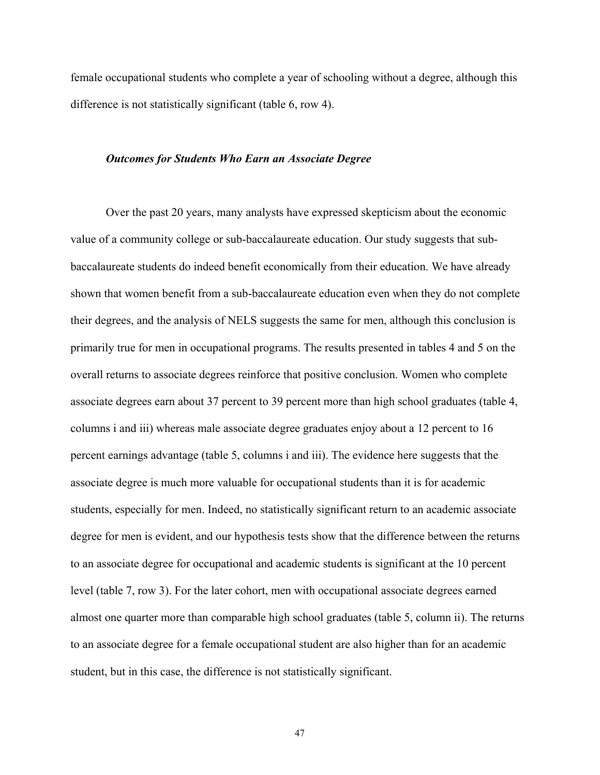female occupational students who complete a year of schooling without a degree, although this difference is not statistically significant (table 6, row 4).

#### *Outcomes for Students Who Earn an Associate Degree*

Over the past 20 years, many analysts have expressed skepticism about the economic value of a community college or sub-baccalaureate education. Our study suggests that subbaccalaureate students do indeed benefit economically from their education. We have already shown that women benefit from a sub-baccalaureate education even when they do not complete their degrees, and the analysis of NELS suggests the same for men, although this conclusion is primarily true for men in occupational programs. The results presented in tables 4 and 5 on the overall returns to associate degrees reinforce that positive conclusion. Women who complete associate degrees earn about 37 percent to 39 percent more than high school graduates (table 4, columns i and iii) whereas male associate degree graduates enjoy about a 12 percent to 16 percent earnings advantage (table 5, columns i and iii). The evidence here suggests that the associate degree is much more valuable for occupational students than it is for academic students, especially for men. Indeed, no statistically significant return to an academic associate degree for men is evident, and our hypothesis tests show that the difference between the returns to an associate degree for occupational and academic students is significant at the 10 percent level (table 7, row 3). For the later cohort, men with occupational associate degrees earned almost one quarter more than comparable high school graduates (table 5, column ii). The returns to an associate degree for a female occupational student are also higher than for an academic student, but in this case, the difference is not statistically significant.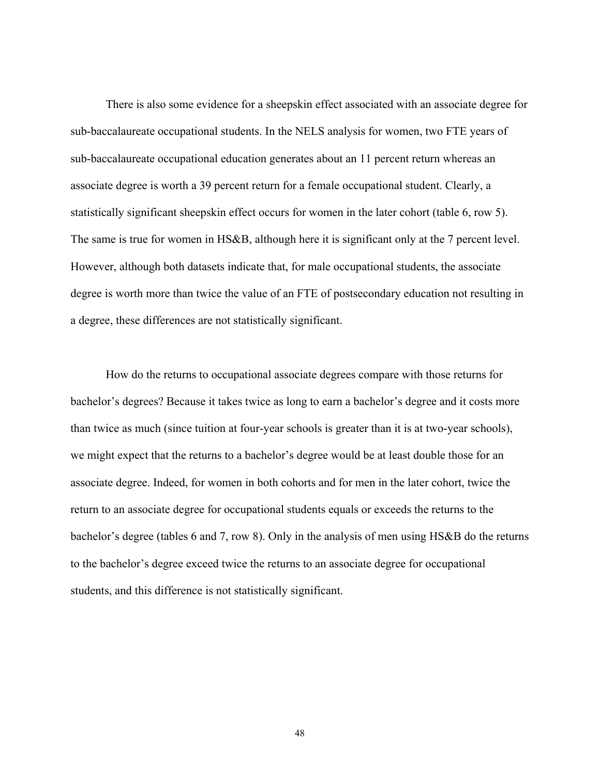There is also some evidence for a sheepskin effect associated with an associate degree for sub-baccalaureate occupational students. In the NELS analysis for women, two FTE years of sub-baccalaureate occupational education generates about an 11 percent return whereas an associate degree is worth a 39 percent return for a female occupational student. Clearly, a statistically significant sheepskin effect occurs for women in the later cohort (table 6, row 5). The same is true for women in HS&B, although here it is significant only at the 7 percent level. However, although both datasets indicate that, for male occupational students, the associate degree is worth more than twice the value of an FTE of postsecondary education not resulting in a degree, these differences are not statistically significant.

How do the returns to occupational associate degrees compare with those returns for bachelor's degrees? Because it takes twice as long to earn a bachelor's degree and it costs more than twice as much (since tuition at four-year schools is greater than it is at two-year schools), we might expect that the returns to a bachelor's degree would be at least double those for an associate degree. Indeed, for women in both cohorts and for men in the later cohort, twice the return to an associate degree for occupational students equals or exceeds the returns to the bachelor's degree (tables 6 and 7, row 8). Only in the analysis of men using HS&B do the returns to the bachelor's degree exceed twice the returns to an associate degree for occupational students, and this difference is not statistically significant.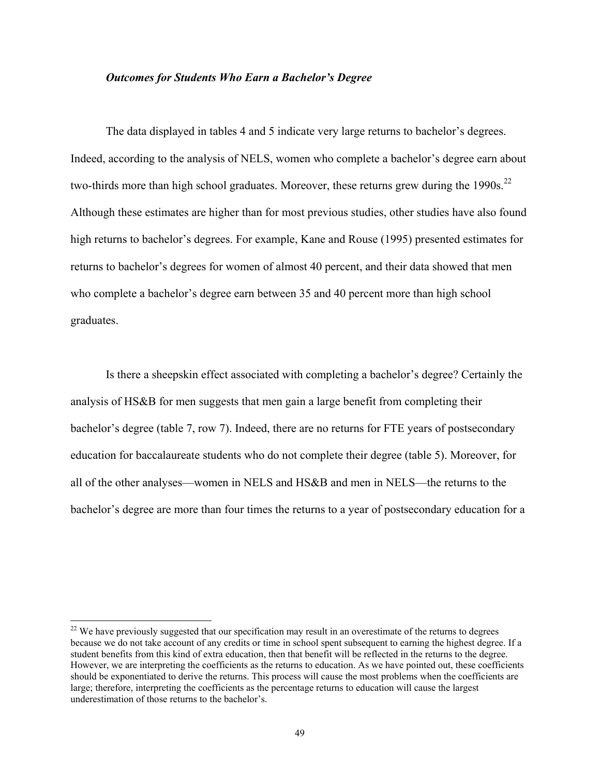# *Outcomes for Students Who Earn a Bachelor's Degree*

The data displayed in tables 4 and 5 indicate very large returns to bachelor's degrees. Indeed, according to the analysis of NELS, women who complete a bachelor's degree earn about two-thirds more than high school graduates. Moreover, these returns grew during the  $1990s$ <sup>22</sup> Although these estimates are higher than for most previous studies, other studies have also found high returns to bachelor's degrees. For example, Kane and Rouse (1995) presented estimates for returns to bachelor's degrees for women of almost 40 percent, and their data showed that men who complete a bachelor's degree earn between 35 and 40 percent more than high school graduates.

Is there a sheepskin effect associated with completing a bachelor's degree? Certainly the analysis of HS&B for men suggests that men gain a large benefit from completing their bachelor's degree (table 7, row 7). Indeed, there are no returns for FTE years of postsecondary education for baccalaureate students who do not complete their degree (table 5). Moreover, for all of the other analyses—women in NELS and HS&B and men in NELS—the returns to the bachelor's degree are more than four times the returns to a year of postsecondary education for a

l

<sup>&</sup>lt;sup>22</sup> We have previously suggested that our specification may result in an overestimate of the returns to degrees because we do not take account of any credits or time in school spent subsequent to earning the highest degree. If a student benefits from this kind of extra education, then that benefit will be reflected in the returns to the degree. However, we are interpreting the coefficients as the returns to education. As we have pointed out, these coefficients should be exponentiated to derive the returns. This process will cause the most problems when the coefficients are large; therefore, interpreting the coefficients as the percentage returns to education will cause the largest underestimation of those returns to the bachelor's.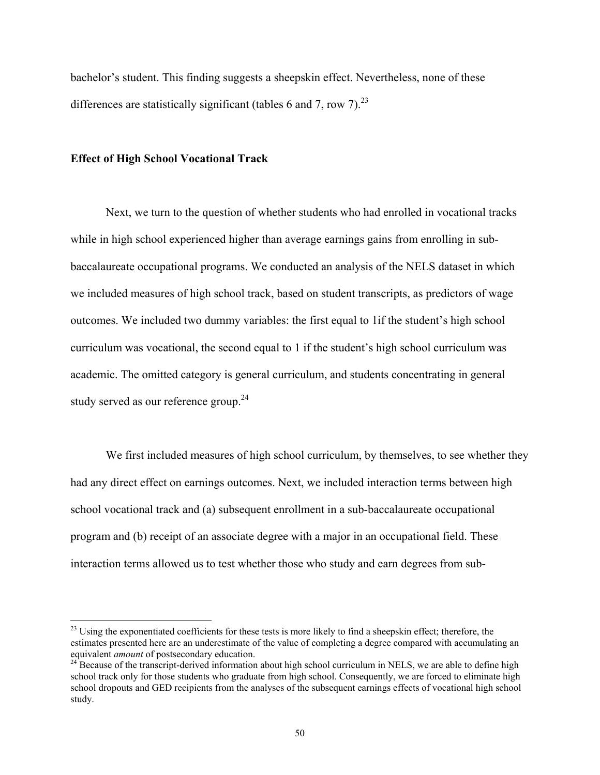bachelor's student. This finding suggests a sheepskin effect. Nevertheless, none of these differences are statistically significant (tables 6 and 7, row 7).<sup>23</sup>

#### **Effect of High School Vocational Track**

l

Next, we turn to the question of whether students who had enrolled in vocational tracks while in high school experienced higher than average earnings gains from enrolling in subbaccalaureate occupational programs. We conducted an analysis of the NELS dataset in which we included measures of high school track, based on student transcripts, as predictors of wage outcomes. We included two dummy variables: the first equal to 1if the student's high school curriculum was vocational, the second equal to 1 if the student's high school curriculum was academic. The omitted category is general curriculum, and students concentrating in general study served as our reference group.<sup>24</sup>

We first included measures of high school curriculum, by themselves, to see whether they had any direct effect on earnings outcomes. Next, we included interaction terms between high school vocational track and (a) subsequent enrollment in a sub-baccalaureate occupational program and (b) receipt of an associate degree with a major in an occupational field. These interaction terms allowed us to test whether those who study and earn degrees from sub-

<sup>&</sup>lt;sup>23</sup> Using the exponentiated coefficients for these tests is more likely to find a sheepskin effect; therefore, the estimates presented here are an underestimate of the value of completing a degree compared with accumulating an equivalent *amount* of postsecondary education.<br><sup>24</sup> Because of the transcript-derived information about high school curriculum in NELS, we are able to define high

school track only for those students who graduate from high school. Consequently, we are forced to eliminate high school dropouts and GED recipients from the analyses of the subsequent earnings effects of vocational high school study.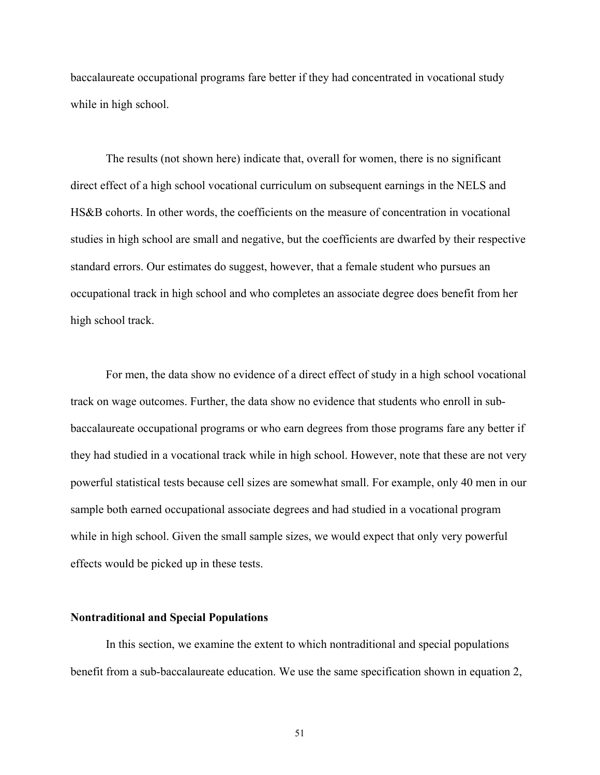baccalaureate occupational programs fare better if they had concentrated in vocational study while in high school.

The results (not shown here) indicate that, overall for women, there is no significant direct effect of a high school vocational curriculum on subsequent earnings in the NELS and HS&B cohorts. In other words, the coefficients on the measure of concentration in vocational studies in high school are small and negative, but the coefficients are dwarfed by their respective standard errors. Our estimates do suggest, however, that a female student who pursues an occupational track in high school and who completes an associate degree does benefit from her high school track.

For men, the data show no evidence of a direct effect of study in a high school vocational track on wage outcomes. Further, the data show no evidence that students who enroll in subbaccalaureate occupational programs or who earn degrees from those programs fare any better if they had studied in a vocational track while in high school. However, note that these are not very powerful statistical tests because cell sizes are somewhat small. For example, only 40 men in our sample both earned occupational associate degrees and had studied in a vocational program while in high school. Given the small sample sizes, we would expect that only very powerful effects would be picked up in these tests.

#### **Nontraditional and Special Populations**

In this section, we examine the extent to which nontraditional and special populations benefit from a sub-baccalaureate education. We use the same specification shown in equation 2,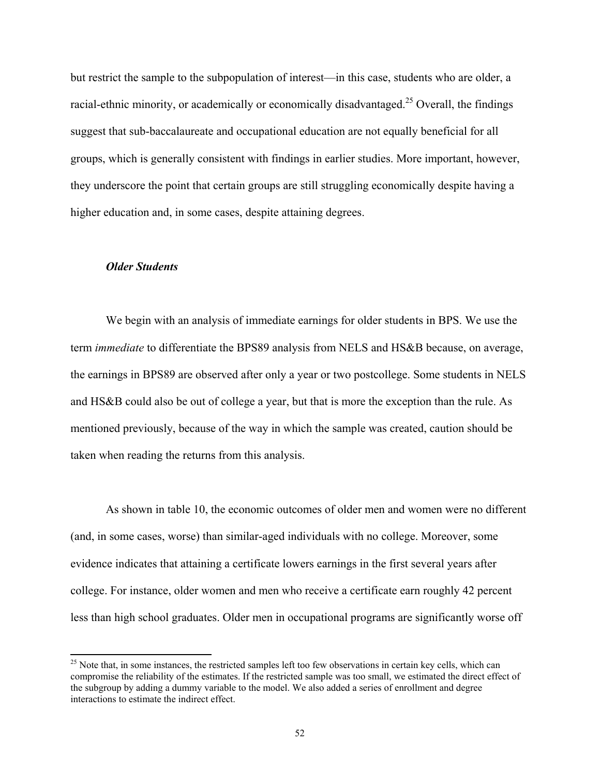but restrict the sample to the subpopulation of interest—in this case, students who are older, a racial-ethnic minority, or academically or economically disadvantaged.<sup>25</sup> Overall, the findings suggest that sub-baccalaureate and occupational education are not equally beneficial for all groups, which is generally consistent with findings in earlier studies. More important, however, they underscore the point that certain groups are still struggling economically despite having a higher education and, in some cases, despite attaining degrees.

# *Older Students*

l

We begin with an analysis of immediate earnings for older students in BPS. We use the term *immediate* to differentiate the BPS89 analysis from NELS and HS&B because, on average, the earnings in BPS89 are observed after only a year or two postcollege. Some students in NELS and HS&B could also be out of college a year, but that is more the exception than the rule. As mentioned previously, because of the way in which the sample was created, caution should be taken when reading the returns from this analysis.

As shown in table 10, the economic outcomes of older men and women were no different (and, in some cases, worse) than similar-aged individuals with no college. Moreover, some evidence indicates that attaining a certificate lowers earnings in the first several years after college. For instance, older women and men who receive a certificate earn roughly 42 percent less than high school graduates. Older men in occupational programs are significantly worse off

 $^{25}$  Note that, in some instances, the restricted samples left too few observations in certain key cells, which can compromise the reliability of the estimates. If the restricted sample was too small, we estimated the direct effect of the subgroup by adding a dummy variable to the model. We also added a series of enrollment and degree interactions to estimate the indirect effect.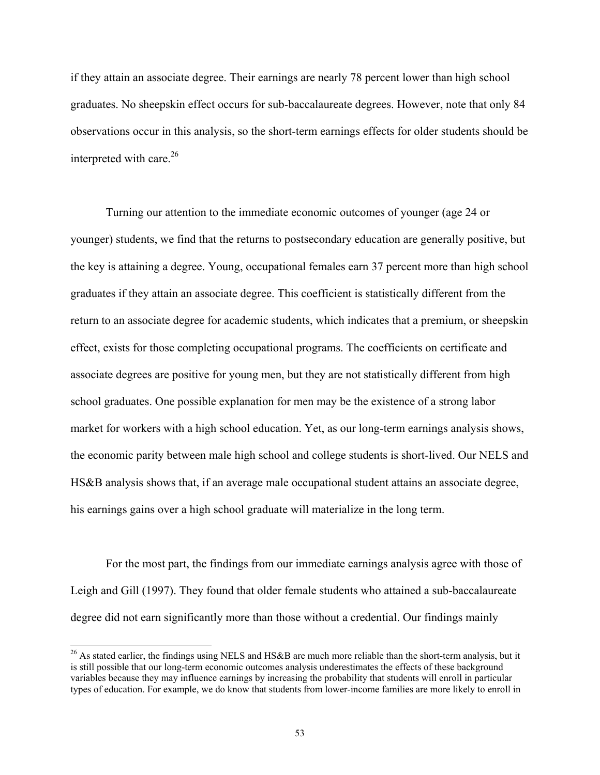if they attain an associate degree. Their earnings are nearly 78 percent lower than high school graduates. No sheepskin effect occurs for sub-baccalaureate degrees. However, note that only 84 observations occur in this analysis, so the short-term earnings effects for older students should be interpreted with care. $26$ 

Turning our attention to the immediate economic outcomes of younger (age 24 or younger) students, we find that the returns to postsecondary education are generally positive, but the key is attaining a degree. Young, occupational females earn 37 percent more than high school graduates if they attain an associate degree. This coefficient is statistically different from the return to an associate degree for academic students, which indicates that a premium, or sheepskin effect, exists for those completing occupational programs. The coefficients on certificate and associate degrees are positive for young men, but they are not statistically different from high school graduates. One possible explanation for men may be the existence of a strong labor market for workers with a high school education. Yet, as our long-term earnings analysis shows, the economic parity between male high school and college students is short-lived. Our NELS and HS&B analysis shows that, if an average male occupational student attains an associate degree, his earnings gains over a high school graduate will materialize in the long term.

 For the most part, the findings from our immediate earnings analysis agree with those of Leigh and Gill (1997). They found that older female students who attained a sub-baccalaureate degree did not earn significantly more than those without a credential. Our findings mainly

l

<sup>&</sup>lt;sup>26</sup> As stated earlier, the findings using NELS and HS&B are much more reliable than the short-term analysis, but it is still possible that our long-term economic outcomes analysis underestimates the effects of these background variables because they may influence earnings by increasing the probability that students will enroll in particular types of education. For example, we do know that students from lower-income families are more likely to enroll in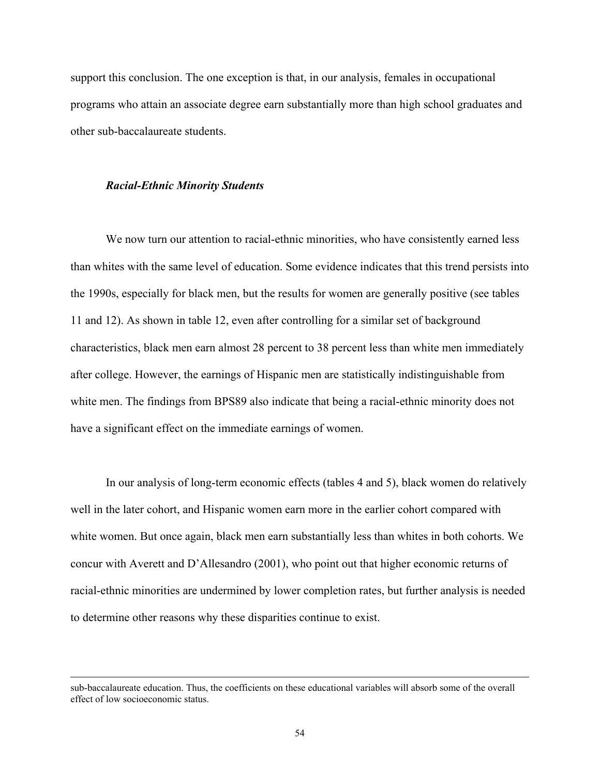support this conclusion. The one exception is that, in our analysis, females in occupational programs who attain an associate degree earn substantially more than high school graduates and other sub-baccalaureate students.

#### *Racial-Ethnic Minority Students*

l

We now turn our attention to racial-ethnic minorities, who have consistently earned less than whites with the same level of education. Some evidence indicates that this trend persists into the 1990s, especially for black men, but the results for women are generally positive (see tables 11 and 12). As shown in table 12, even after controlling for a similar set of background characteristics, black men earn almost 28 percent to 38 percent less than white men immediately after college. However, the earnings of Hispanic men are statistically indistinguishable from white men. The findings from BPS89 also indicate that being a racial-ethnic minority does not have a significant effect on the immediate earnings of women.

In our analysis of long-term economic effects (tables 4 and 5), black women do relatively well in the later cohort, and Hispanic women earn more in the earlier cohort compared with white women. But once again, black men earn substantially less than whites in both cohorts. We concur with Averett and D'Allesandro (2001), who point out that higher economic returns of racial-ethnic minorities are undermined by lower completion rates, but further analysis is needed to determine other reasons why these disparities continue to exist.

sub-baccalaureate education. Thus, the coefficients on these educational variables will absorb some of the overall effect of low socioeconomic status.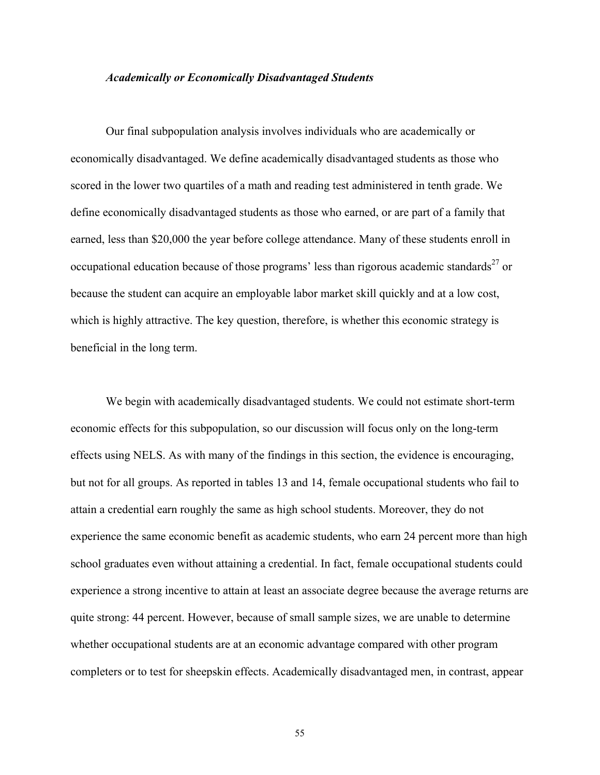# *Academically or Economically Disadvantaged Students*

Our final subpopulation analysis involves individuals who are academically or economically disadvantaged. We define academically disadvantaged students as those who scored in the lower two quartiles of a math and reading test administered in tenth grade. We define economically disadvantaged students as those who earned, or are part of a family that earned, less than \$20,000 the year before college attendance. Many of these students enroll in occupational education because of those programs' less than rigorous academic standards<sup>27</sup> or because the student can acquire an employable labor market skill quickly and at a low cost, which is highly attractive. The key question, therefore, is whether this economic strategy is beneficial in the long term.

We begin with academically disadvantaged students. We could not estimate short-term economic effects for this subpopulation, so our discussion will focus only on the long-term effects using NELS. As with many of the findings in this section, the evidence is encouraging, but not for all groups. As reported in tables 13 and 14, female occupational students who fail to attain a credential earn roughly the same as high school students. Moreover, they do not experience the same economic benefit as academic students, who earn 24 percent more than high school graduates even without attaining a credential. In fact, female occupational students could experience a strong incentive to attain at least an associate degree because the average returns are quite strong: 44 percent. However, because of small sample sizes, we are unable to determine whether occupational students are at an economic advantage compared with other program completers or to test for sheepskin effects. Academically disadvantaged men, in contrast, appear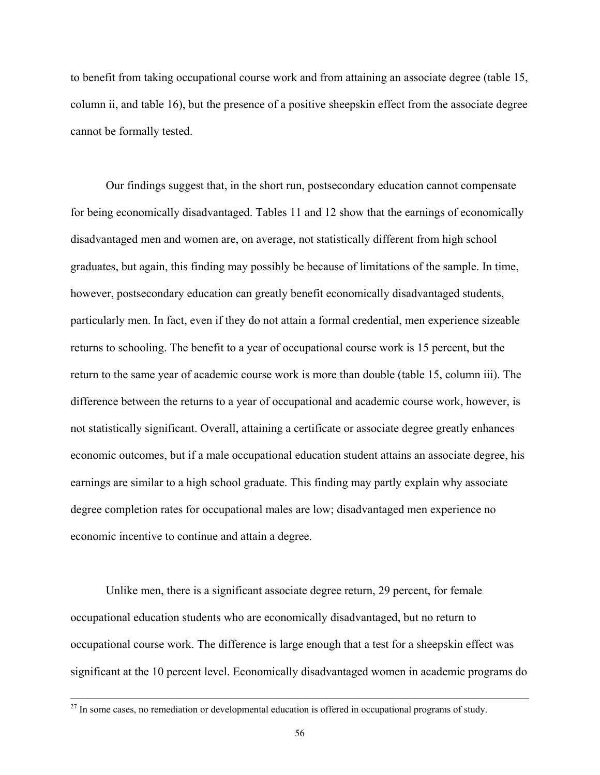to benefit from taking occupational course work and from attaining an associate degree (table 15, column ii, and table 16), but the presence of a positive sheepskin effect from the associate degree cannot be formally tested.

Our findings suggest that, in the short run, postsecondary education cannot compensate for being economically disadvantaged. Tables 11 and 12 show that the earnings of economically disadvantaged men and women are, on average, not statistically different from high school graduates, but again, this finding may possibly be because of limitations of the sample. In time, however, postsecondary education can greatly benefit economically disadvantaged students, particularly men. In fact, even if they do not attain a formal credential, men experience sizeable returns to schooling. The benefit to a year of occupational course work is 15 percent, but the return to the same year of academic course work is more than double (table 15, column iii). The difference between the returns to a year of occupational and academic course work, however, is not statistically significant. Overall, attaining a certificate or associate degree greatly enhances economic outcomes, but if a male occupational education student attains an associate degree, his earnings are similar to a high school graduate. This finding may partly explain why associate degree completion rates for occupational males are low; disadvantaged men experience no economic incentive to continue and attain a degree.

Unlike men, there is a significant associate degree return, 29 percent, for female occupational education students who are economically disadvantaged, but no return to occupational course work. The difference is large enough that a test for a sheepskin effect was significant at the 10 percent level. Economically disadvantaged women in academic programs do

 $27$  In some cases, no remediation or developmental education is offered in occupational programs of study.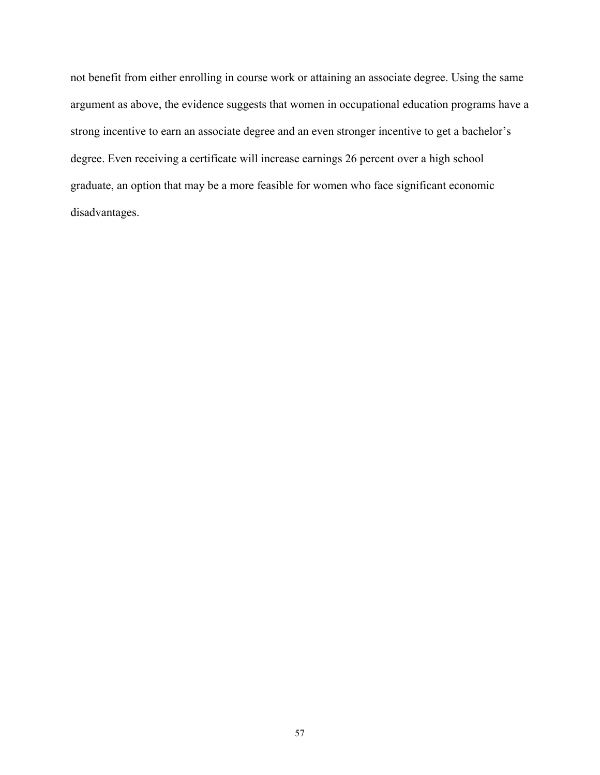not benefit from either enrolling in course work or attaining an associate degree. Using the same argument as above, the evidence suggests that women in occupational education programs have a strong incentive to earn an associate degree and an even stronger incentive to get a bachelor's degree. Even receiving a certificate will increase earnings 26 percent over a high school graduate, an option that may be a more feasible for women who face significant economic disadvantages.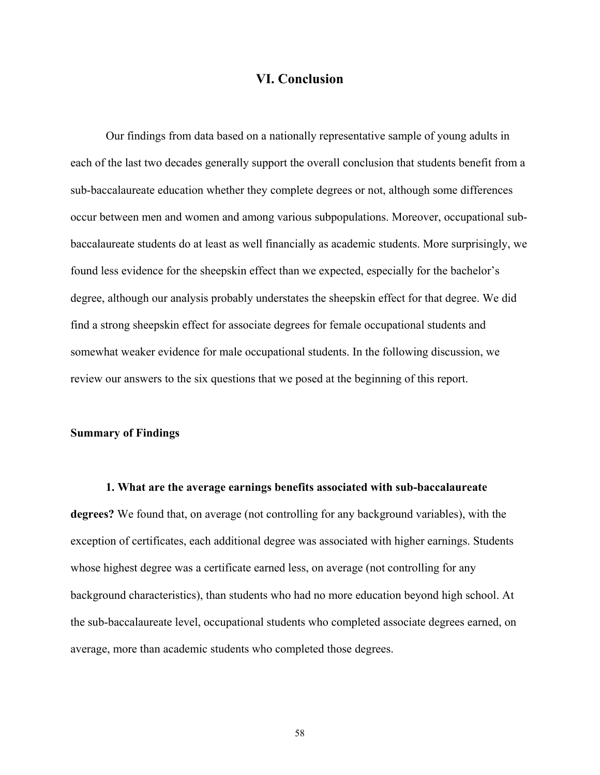# **VI. Conclusion**

Our findings from data based on a nationally representative sample of young adults in each of the last two decades generally support the overall conclusion that students benefit from a sub-baccalaureate education whether they complete degrees or not, although some differences occur between men and women and among various subpopulations. Moreover, occupational subbaccalaureate students do at least as well financially as academic students. More surprisingly, we found less evidence for the sheepskin effect than we expected, especially for the bachelor's degree, although our analysis probably understates the sheepskin effect for that degree. We did find a strong sheepskin effect for associate degrees for female occupational students and somewhat weaker evidence for male occupational students. In the following discussion, we review our answers to the six questions that we posed at the beginning of this report.

#### **Summary of Findings**

**1. What are the average earnings benefits associated with sub-baccalaureate degrees?** We found that, on average (not controlling for any background variables), with the exception of certificates, each additional degree was associated with higher earnings. Students whose highest degree was a certificate earned less, on average (not controlling for any background characteristics), than students who had no more education beyond high school. At the sub-baccalaureate level, occupational students who completed associate degrees earned, on average, more than academic students who completed those degrees.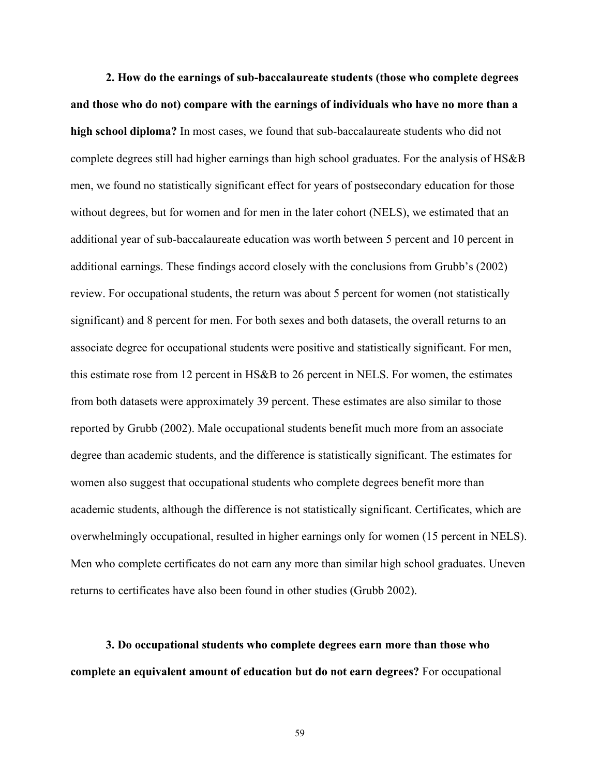**2. How do the earnings of sub-baccalaureate students (those who complete degrees and those who do not) compare with the earnings of individuals who have no more than a high school diploma?** In most cases, we found that sub-baccalaureate students who did not complete degrees still had higher earnings than high school graduates. For the analysis of HS&B men, we found no statistically significant effect for years of postsecondary education for those without degrees, but for women and for men in the later cohort (NELS), we estimated that an additional year of sub-baccalaureate education was worth between 5 percent and 10 percent in additional earnings. These findings accord closely with the conclusions from Grubb's (2002) review. For occupational students, the return was about 5 percent for women (not statistically significant) and 8 percent for men. For both sexes and both datasets, the overall returns to an associate degree for occupational students were positive and statistically significant. For men, this estimate rose from 12 percent in HS&B to 26 percent in NELS. For women, the estimates from both datasets were approximately 39 percent. These estimates are also similar to those reported by Grubb (2002). Male occupational students benefit much more from an associate degree than academic students, and the difference is statistically significant. The estimates for women also suggest that occupational students who complete degrees benefit more than academic students, although the difference is not statistically significant. Certificates, which are overwhelmingly occupational, resulted in higher earnings only for women (15 percent in NELS). Men who complete certificates do not earn any more than similar high school graduates. Uneven returns to certificates have also been found in other studies (Grubb 2002).

**3. Do occupational students who complete degrees earn more than those who complete an equivalent amount of education but do not earn degrees?** For occupational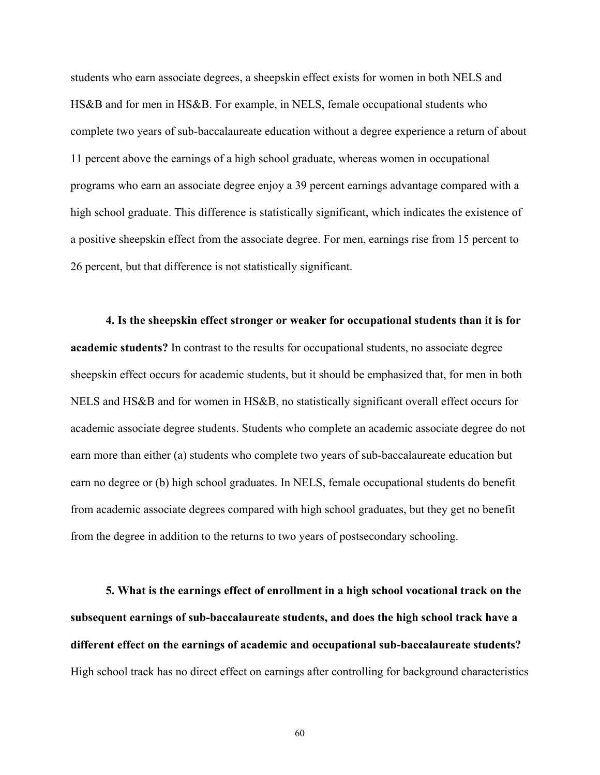students who earn associate degrees, a sheepskin effect exists for women in both NELS and HS&B and for men in HS&B. For example, in NELS, female occupational students who complete two years of sub-baccalaureate education without a degree experience a return of about 11 percent above the earnings of a high school graduate, whereas women in occupational programs who earn an associate degree enjoy a 39 percent earnings advantage compared with a high school graduate. This difference is statistically significant, which indicates the existence of a positive sheepskin effect from the associate degree. For men, earnings rise from 15 percent to 26 percent, but that difference is not statistically significant.

**4. Is the sheepskin effect stronger or weaker for occupational students than it is for academic students?** In contrast to the results for occupational students, no associate degree sheepskin effect occurs for academic students, but it should be emphasized that, for men in both NELS and HS&B and for women in HS&B, no statistically significant overall effect occurs for academic associate degree students. Students who complete an academic associate degree do not earn more than either (a) students who complete two years of sub-baccalaureate education but earn no degree or (b) high school graduates. In NELS, female occupational students do benefit from academic associate degrees compared with high school graduates, but they get no benefit from the degree in addition to the returns to two years of postsecondary schooling.

**5. What is the earnings effect of enrollment in a high school vocational track on the subsequent earnings of sub-baccalaureate students, and does the high school track have a different effect on the earnings of academic and occupational sub-baccalaureate students?** High school track has no direct effect on earnings after controlling for background characteristics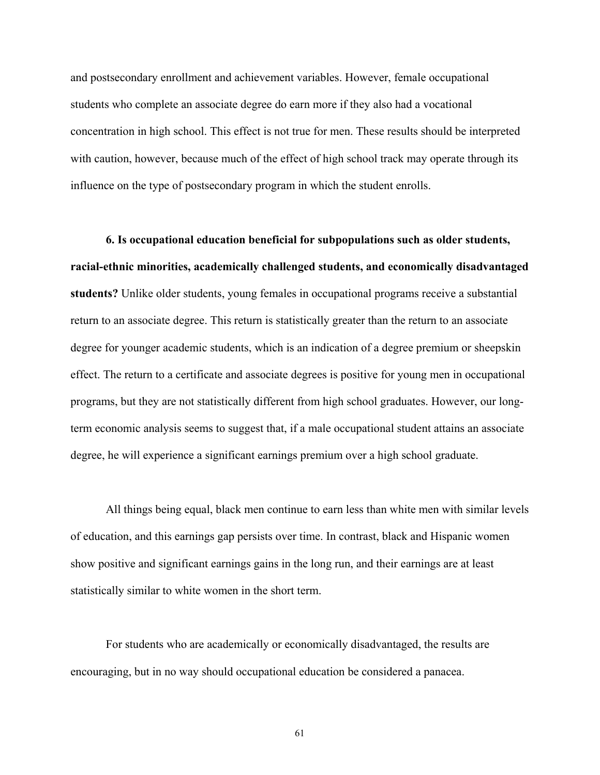and postsecondary enrollment and achievement variables. However, female occupational students who complete an associate degree do earn more if they also had a vocational concentration in high school. This effect is not true for men. These results should be interpreted with caution, however, because much of the effect of high school track may operate through its influence on the type of postsecondary program in which the student enrolls.

**6. Is occupational education beneficial for subpopulations such as older students, racial-ethnic minorities, academically challenged students, and economically disadvantaged students?** Unlike older students, young females in occupational programs receive a substantial return to an associate degree. This return is statistically greater than the return to an associate degree for younger academic students, which is an indication of a degree premium or sheepskin effect. The return to a certificate and associate degrees is positive for young men in occupational programs, but they are not statistically different from high school graduates. However, our longterm economic analysis seems to suggest that, if a male occupational student attains an associate degree, he will experience a significant earnings premium over a high school graduate.

All things being equal, black men continue to earn less than white men with similar levels of education, and this earnings gap persists over time. In contrast, black and Hispanic women show positive and significant earnings gains in the long run, and their earnings are at least statistically similar to white women in the short term.

For students who are academically or economically disadvantaged, the results are encouraging, but in no way should occupational education be considered a panacea.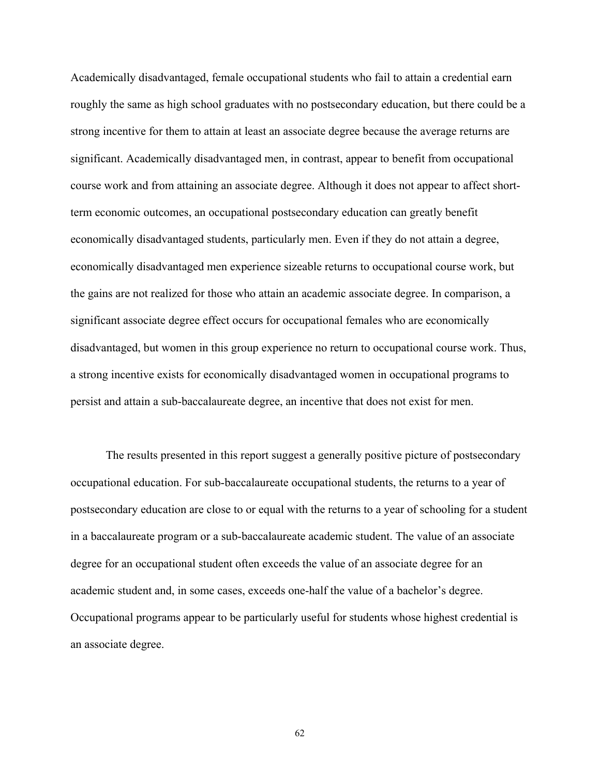Academically disadvantaged, female occupational students who fail to attain a credential earn roughly the same as high school graduates with no postsecondary education, but there could be a strong incentive for them to attain at least an associate degree because the average returns are significant. Academically disadvantaged men, in contrast, appear to benefit from occupational course work and from attaining an associate degree. Although it does not appear to affect shortterm economic outcomes, an occupational postsecondary education can greatly benefit economically disadvantaged students, particularly men. Even if they do not attain a degree, economically disadvantaged men experience sizeable returns to occupational course work, but the gains are not realized for those who attain an academic associate degree. In comparison, a significant associate degree effect occurs for occupational females who are economically disadvantaged, but women in this group experience no return to occupational course work. Thus, a strong incentive exists for economically disadvantaged women in occupational programs to persist and attain a sub-baccalaureate degree, an incentive that does not exist for men.

The results presented in this report suggest a generally positive picture of postsecondary occupational education. For sub-baccalaureate occupational students, the returns to a year of postsecondary education are close to or equal with the returns to a year of schooling for a student in a baccalaureate program or a sub-baccalaureate academic student. The value of an associate degree for an occupational student often exceeds the value of an associate degree for an academic student and, in some cases, exceeds one-half the value of a bachelor's degree. Occupational programs appear to be particularly useful for students whose highest credential is an associate degree.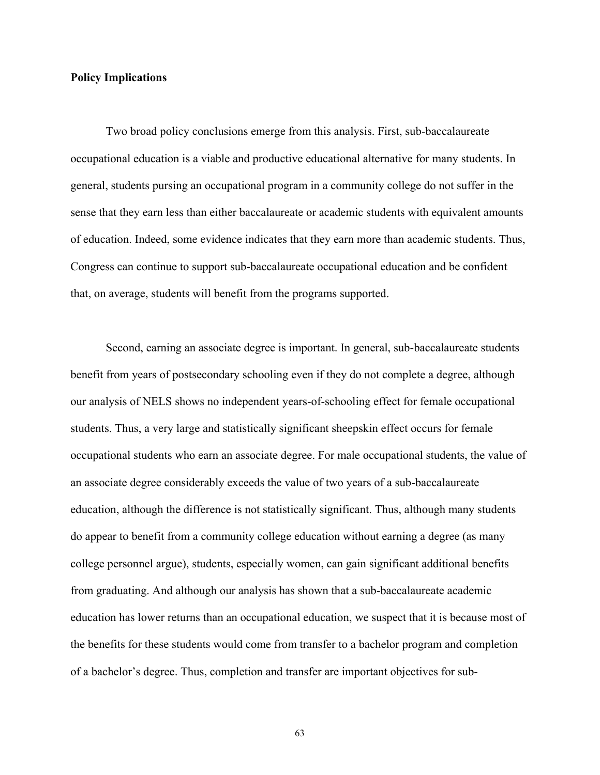# **Policy Implications**

Two broad policy conclusions emerge from this analysis. First, sub-baccalaureate occupational education is a viable and productive educational alternative for many students. In general, students pursing an occupational program in a community college do not suffer in the sense that they earn less than either baccalaureate or academic students with equivalent amounts of education. Indeed, some evidence indicates that they earn more than academic students. Thus, Congress can continue to support sub-baccalaureate occupational education and be confident that, on average, students will benefit from the programs supported.

Second, earning an associate degree is important. In general, sub-baccalaureate students benefit from years of postsecondary schooling even if they do not complete a degree, although our analysis of NELS shows no independent years-of-schooling effect for female occupational students. Thus, a very large and statistically significant sheepskin effect occurs for female occupational students who earn an associate degree. For male occupational students, the value of an associate degree considerably exceeds the value of two years of a sub-baccalaureate education, although the difference is not statistically significant. Thus, although many students do appear to benefit from a community college education without earning a degree (as many college personnel argue), students, especially women, can gain significant additional benefits from graduating. And although our analysis has shown that a sub-baccalaureate academic education has lower returns than an occupational education, we suspect that it is because most of the benefits for these students would come from transfer to a bachelor program and completion of a bachelor's degree. Thus, completion and transfer are important objectives for sub-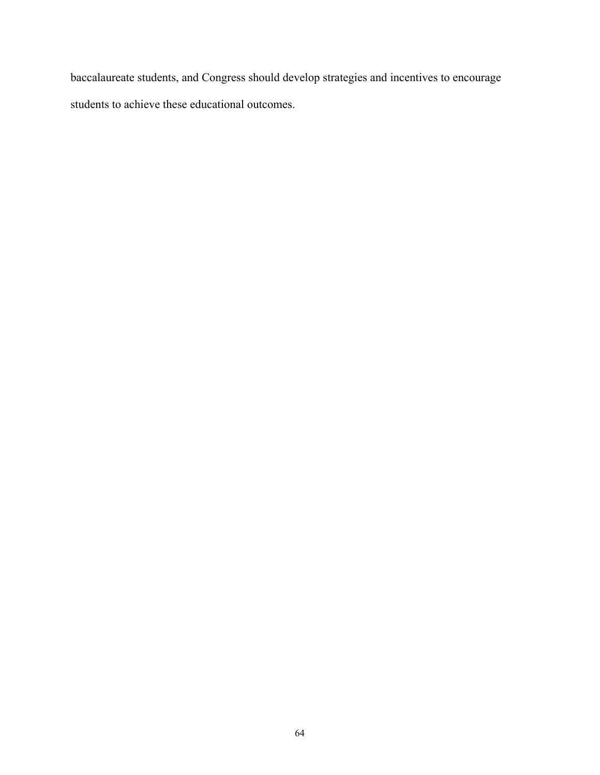baccalaureate students, and Congress should develop strategies and incentives to encourage students to achieve these educational outcomes.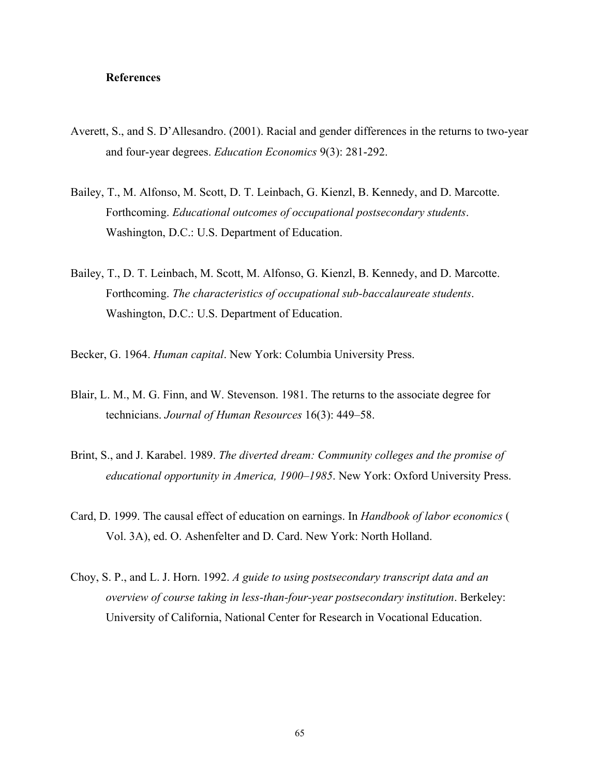# **References**

- Averett, S., and S. D'Allesandro. (2001). Racial and gender differences in the returns to two-year and four-year degrees. *Education Economics* 9(3): 281-292.
- Bailey, T., M. Alfonso, M. Scott, D. T. Leinbach, G. Kienzl, B. Kennedy, and D. Marcotte. Forthcoming. *Educational outcomes of occupational postsecondary students*. Washington, D.C.: U.S. Department of Education.
- Bailey, T., D. T. Leinbach, M. Scott, M. Alfonso, G. Kienzl, B. Kennedy, and D. Marcotte. Forthcoming. *The characteristics of occupational sub-baccalaureate students*. Washington, D.C.: U.S. Department of Education.
- Becker, G. 1964. *Human capital*. New York: Columbia University Press.
- Blair, L. M., M. G. Finn, and W. Stevenson. 1981. The returns to the associate degree for technicians. *Journal of Human Resources* 16(3): 449–58.
- Brint, S., and J. Karabel. 1989. *The diverted dream: Community colleges and the promise of educational opportunity in America, 1900–1985*. New York: Oxford University Press.
- Card, D. 1999. The causal effect of education on earnings. In *Handbook of labor economics* ( Vol. 3A), ed. O. Ashenfelter and D. Card. New York: North Holland.
- Choy, S. P., and L. J. Horn. 1992. *A guide to using postsecondary transcript data and an overview of course taking in less-than-four-year postsecondary institution*. Berkeley: University of California, National Center for Research in Vocational Education.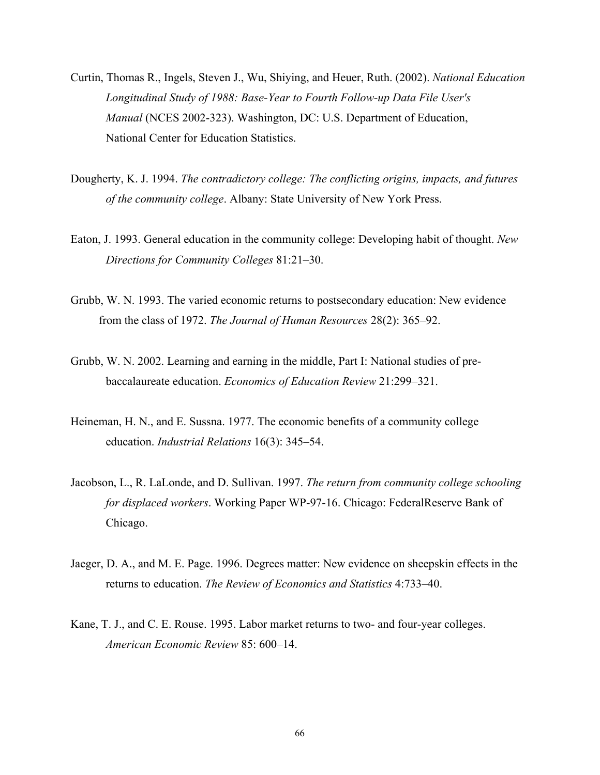- Curtin, Thomas R., Ingels, Steven J., Wu, Shiying, and Heuer, Ruth. (2002). *National Education Longitudinal Study of 1988: Base-Year to Fourth Follow-up Data File User's Manual* (NCES 2002-323). Washington, DC: U.S. Department of Education, National Center for Education Statistics.
- Dougherty, K. J. 1994. *The contradictory college: The conflicting origins, impacts, and futures of the community college*. Albany: State University of New York Press.
- Eaton, J. 1993. General education in the community college: Developing habit of thought. *New Directions for Community Colleges* 81:21–30.
- Grubb, W. N. 1993. The varied economic returns to postsecondary education: New evidence from the class of 1972. *The Journal of Human Resources* 28(2): 365–92.
- Grubb, W. N. 2002. Learning and earning in the middle, Part I: National studies of prebaccalaureate education. *Economics of Education Review* 21:299–321.
- Heineman, H. N., and E. Sussna. 1977. The economic benefits of a community college education. *Industrial Relations* 16(3): 345–54.
- Jacobson, L., R. LaLonde, and D. Sullivan. 1997. *The return from community college schooling for displaced workers*. Working Paper WP-97-16. Chicago: FederalReserve Bank of Chicago.
- Jaeger, D. A., and M. E. Page. 1996. Degrees matter: New evidence on sheepskin effects in the returns to education. *The Review of Economics and Statistics* 4:733–40.
- Kane, T. J., and C. E. Rouse. 1995. Labor market returns to two- and four-year colleges. *American Economic Review* 85: 600–14.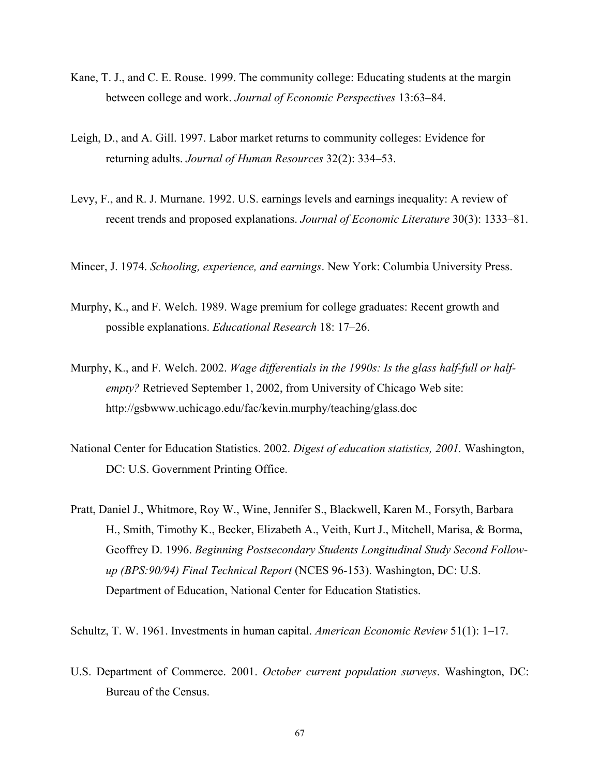- Kane, T. J., and C. E. Rouse. 1999. The community college: Educating students at the margin between college and work. *Journal of Economic Perspectives* 13:63–84.
- Leigh, D., and A. Gill. 1997. Labor market returns to community colleges: Evidence for returning adults. *Journal of Human Resources* 32(2): 334–53.
- Levy, F., and R. J. Murnane. 1992. U.S. earnings levels and earnings inequality: A review of recent trends and proposed explanations. *Journal of Economic Literature* 30(3): 1333–81.
- Mincer, J. 1974. *Schooling, experience, and earnings*. New York: Columbia University Press.
- Murphy, K., and F. Welch. 1989. Wage premium for college graduates: Recent growth and possible explanations. *Educational Research* 18: 17–26.
- Murphy, K., and F. Welch. 2002. *Wage differentials in the 1990s: Is the glass half-full or halfempty?* Retrieved September 1, 2002, from University of Chicago Web site: http://gsbwww.uchicago.edu/fac/kevin.murphy/teaching/glass.doc
- National Center for Education Statistics. 2002. *Digest of education statistics, 2001.* Washington, DC: U.S. Government Printing Office.
- Pratt, Daniel J., Whitmore, Roy W., Wine, Jennifer S., Blackwell, Karen M., Forsyth, Barbara H., Smith, Timothy K., Becker, Elizabeth A., Veith, Kurt J., Mitchell, Marisa, & Borma, Geoffrey D. 1996. *Beginning Postsecondary Students Longitudinal Study Second Followup (BPS:90/94) Final Technical Report* (NCES 96-153). Washington, DC: U.S. Department of Education, National Center for Education Statistics.

Schultz, T. W. 1961. Investments in human capital. *American Economic Review* 51(1): 1–17.

U.S. Department of Commerce. 2001. *October current population surveys*. Washington, DC: Bureau of the Census.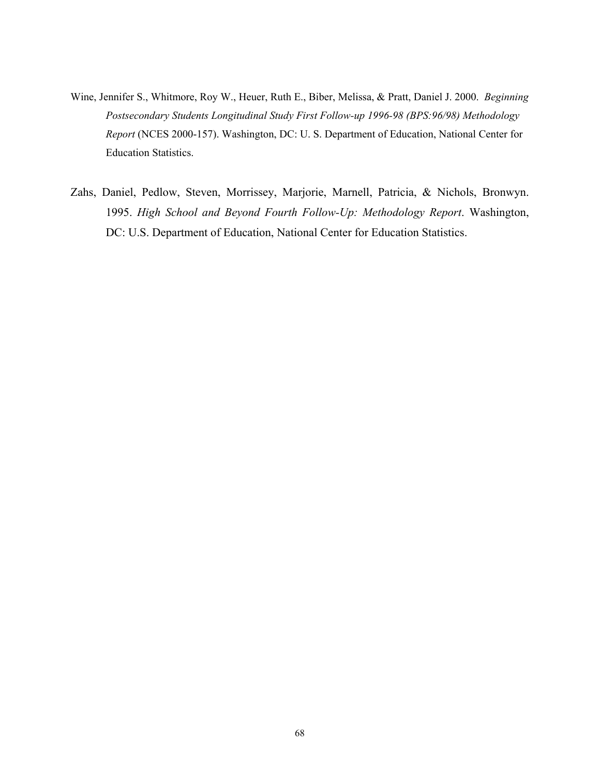- Wine, Jennifer S., Whitmore, Roy W., Heuer, Ruth E., Biber, Melissa, & Pratt, Daniel J. 2000. *Beginning Postsecondary Students Longitudinal Study First Follow-up 1996-98 (BPS:96/98) Methodology Report* (NCES 2000-157). Washington, DC: U. S. Department of Education, National Center for Education Statistics.
- Zahs, Daniel, Pedlow, Steven, Morrissey, Marjorie, Marnell, Patricia, & Nichols, Bronwyn. 1995. *High School and Beyond Fourth Follow-Up: Methodology Report*. Washington, DC: U.S. Department of Education, National Center for Education Statistics.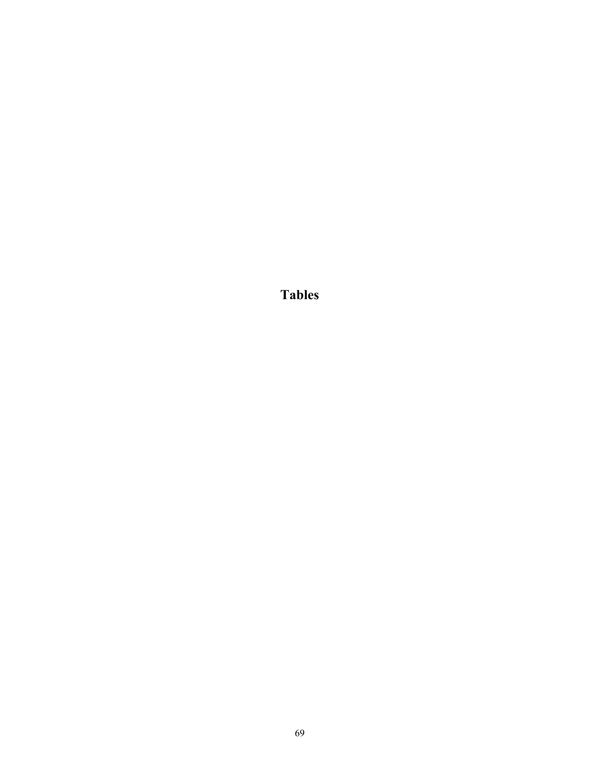**Tables**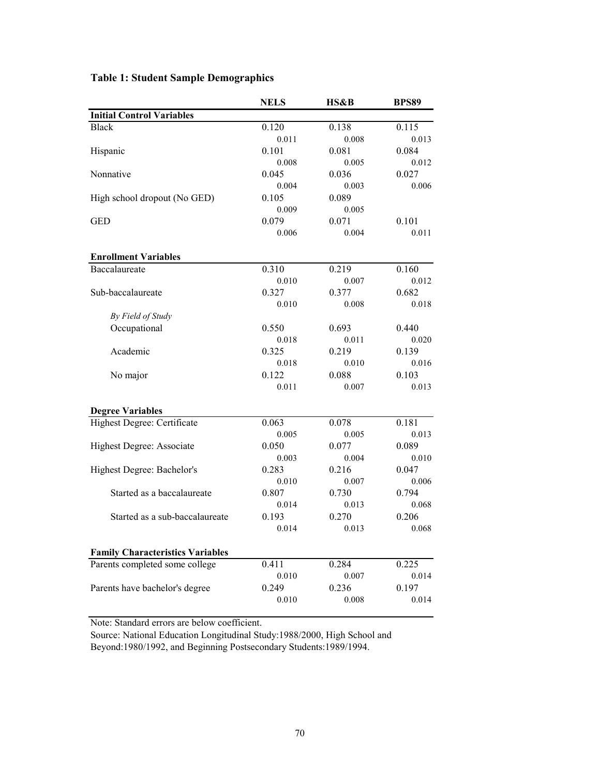|                                         | <b>NELS</b> | HS&B  | <b>BPS89</b> |
|-----------------------------------------|-------------|-------|--------------|
| <b>Initial Control Variables</b>        |             |       |              |
| <b>Black</b>                            | 0.120       | 0.138 | 0.115        |
|                                         | 0.011       | 0.008 | 0.013        |
| Hispanic                                | 0.101       | 0.081 | 0.084        |
|                                         | 0.008       | 0.005 | 0.012        |
| Nonnative                               | 0.045       | 0.036 | 0.027        |
|                                         | 0.004       | 0.003 | 0.006        |
| High school dropout (No GED)            | 0.105       | 0.089 |              |
|                                         | 0.009       | 0.005 |              |
| <b>GED</b>                              | 0.079       | 0.071 | 0.101        |
|                                         | 0.006       | 0.004 | 0.011        |
| <b>Enrollment Variables</b>             |             |       |              |
| Baccalaureate                           | 0.310       | 0.219 | 0.160        |
|                                         | 0.010       | 0.007 | 0.012        |
| Sub-baccalaureate                       | 0.327       | 0.377 | 0.682        |
|                                         | 0.010       | 0.008 | 0.018        |
| By Field of Study                       |             |       |              |
| Occupational                            | 0.550       | 0.693 | 0.440        |
|                                         | 0.018       | 0.011 | 0.020        |
| Academic                                | 0.325       | 0.219 | 0.139        |
|                                         | 0.018       | 0.010 | 0.016        |
| No major                                | 0.122       | 0.088 | 0.103        |
|                                         | 0.011       | 0.007 | 0.013        |
|                                         |             |       |              |
| <b>Degree Variables</b>                 |             |       |              |
| Highest Degree: Certificate             | 0.063       | 0.078 | 0.181        |
|                                         | 0.005       | 0.005 | 0.013        |
| Highest Degree: Associate               | 0.050       | 0.077 | 0.089        |
|                                         | 0.003       | 0.004 | 0.010        |
| Highest Degree: Bachelor's              | 0.283       | 0.216 | 0.047        |
|                                         | 0.010       | 0.007 | 0.006        |
| Started as a baccalaureate              | 0.807       | 0.730 | 0.794        |
|                                         | 0.014       | 0.013 | 0.068        |
| Started as a sub-baccalaureate          | 0.193       | 0.270 | 0.206        |
|                                         | 0.014       | 0.013 | 0.068        |
| <b>Family Characteristics Variables</b> |             |       |              |
| Parents completed some college          | 0.411       | 0.284 | 0.225        |
|                                         | 0.010       | 0.007 | 0.014        |
| Parents have bachelor's degree          | 0.249       | 0.236 | 0.197        |
|                                         | 0.010       | 0.008 | 0.014        |
|                                         |             |       |              |

# **Table 1: Student Sample Demographics**

Note: Standard errors are below coefficient.

Source: National Education Longitudinal Study:1988/2000, High School and Beyond:1980/1992, and Beginning Postsecondary Students:1989/1994.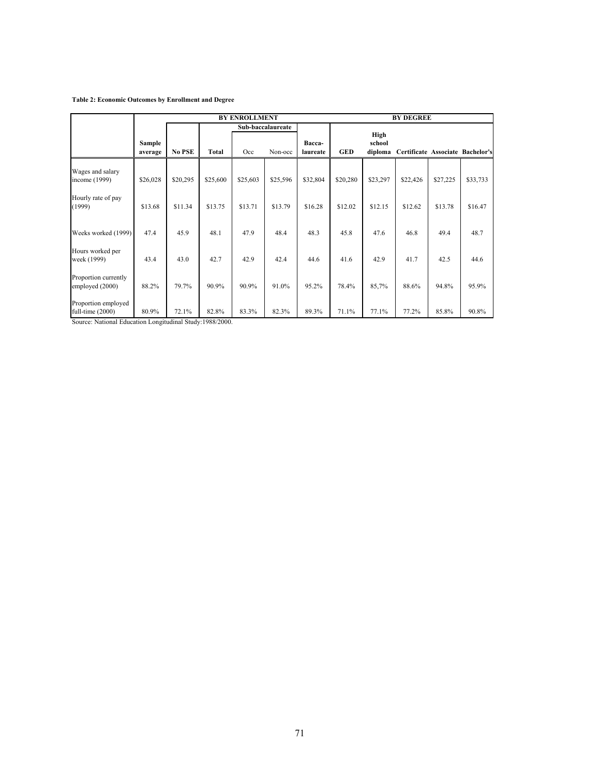#### **Table 2: Economic Outcomes by Enrollment and Degree**

|                                         | <b>BY ENROLLMENT</b>     |          |                   |          |          | <b>BY DEGREE</b>   |            |                           |                                  |          |          |
|-----------------------------------------|--------------------------|----------|-------------------|----------|----------|--------------------|------------|---------------------------|----------------------------------|----------|----------|
|                                         |                          |          | Sub-baccalaureate |          |          |                    |            |                           |                                  |          |          |
|                                         | <b>Sample</b><br>average | No PSE   | Total             | Occ      | Non-occ  | Bacca-<br>laureate | <b>GED</b> | High<br>school<br>diploma | Certificate Associate Bachelor's |          |          |
| Wages and salary<br>income (1999)       | \$26,028                 | \$20,295 | \$25,600          | \$25,603 | \$25,596 | \$32,804           | \$20,280   | \$23,297                  | \$22,426                         | \$27,225 | \$33,733 |
| Hourly rate of pay<br>(1999)            | \$13.68                  | \$11.34  | \$13.75           | \$13.71  | \$13.79  | \$16.28            | \$12.02    | \$12.15                   | \$12.62                          | \$13.78  | \$16.47  |
| Weeks worked (1999)                     | 47.4                     | 45.9     | 48.1              | 47.9     | 48.4     | 48.3               | 45.8       | 47.6                      | 46.8                             | 49.4     | 48.7     |
| Hours worked per<br>week (1999)         | 43.4                     | 43.0     | 42.7              | 42.9     | 42.4     | 44.6               | 41.6       | 42.9                      | 41.7                             | 42.5     | 44.6     |
| Proportion currently<br>employed (2000) | 88.2%                    | 79.7%    | 90.9%             | 90.9%    | 91.0%    | 95.2%              | 78.4%      | 85,7%                     | 88.6%                            | 94.8%    | 95.9%    |
| Proportion employed<br>full-time (2000) | 80.9%                    | 72.1%    | 82.8%             | 83.3%    | 82.3%    | 89.3%              | 71.1%      | 77.1%                     | 77.2%                            | 85.8%    | 90.8%    |

Source: National Education Longitudinal Study:1988/2000.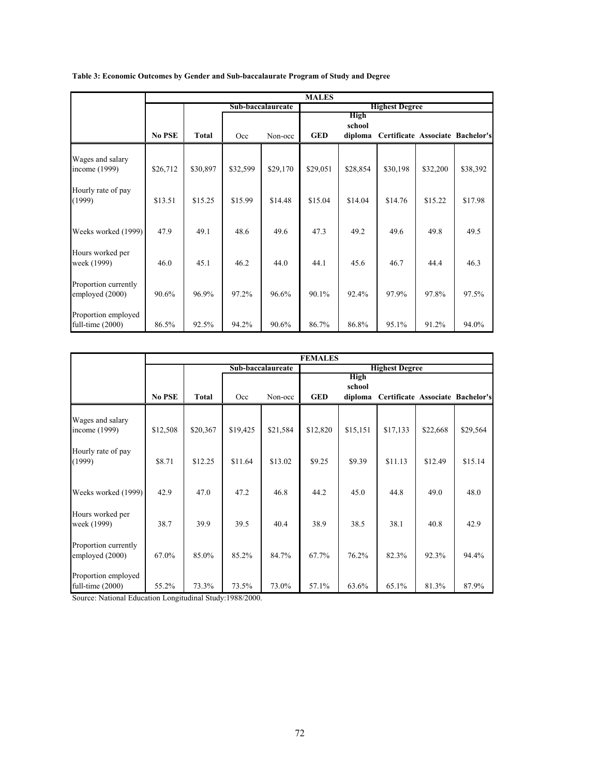| Table 3: Economic Outcomes by Gender and Sub-baccalaurate Program of Study and Degree |  |  |  |
|---------------------------------------------------------------------------------------|--|--|--|
|                                                                                       |  |  |  |
|                                                                                       |  |  |  |

|                                           | <b>MALES</b> |                   |          |          |                       |                                  |          |          |                                  |
|-------------------------------------------|--------------|-------------------|----------|----------|-----------------------|----------------------------------|----------|----------|----------------------------------|
|                                           |              | Sub-baccalaureate |          |          | <b>Highest Degree</b> |                                  |          |          |                                  |
|                                           | No PSE       | <b>Total</b>      | Occ      | Non-occ  | GED                   | <b>High</b><br>school<br>diploma |          |          | Certificate Associate Bachelor's |
| Wages and salary<br>income (1999)         | \$26,712     | \$30,897          | \$32,599 | \$29,170 | \$29,051              | \$28,854                         | \$30,198 | \$32,200 | \$38,392                         |
| Hourly rate of pay<br>(1999)              | \$13.51      | \$15.25           | \$15.99  | \$14.48  | \$15.04               | \$14.04                          | \$14.76  | \$15.22  | \$17.98                          |
| Weeks worked (1999)                       | 47.9         | 49.1              | 48.6     | 49.6     | 47.3                  | 49.2                             | 49.6     | 49.8     | 49.5                             |
| Hours worked per<br>week (1999)           | 46.0         | 45.1              | 46.2     | 44.0     | 44.1                  | 45.6                             | 46.7     | 44.4     | 46.3                             |
| Proportion currently<br>employed (2000)   | 90.6%        | 96.9%             | 97.2%    | 96.6%    | 90.1%                 | 92.4%                            | 97.9%    | 97.8%    | 97.5%                            |
| Proportion employed<br>full-time $(2000)$ | 86.5%        | 92.5%             | 94.2%    | 90.6%    | 86.7%                 | 86.8%                            | 95.1%    | 91.2%    | 94.0%                            |

|                                         | <b>FEMALES</b> |                   |          |          |                       |                                  |          |          |                                  |  |
|-----------------------------------------|----------------|-------------------|----------|----------|-----------------------|----------------------------------|----------|----------|----------------------------------|--|
|                                         |                | Sub-baccalaureate |          |          | <b>Highest Degree</b> |                                  |          |          |                                  |  |
|                                         | No PSE         | Total             | Occ      | Non-occ  | <b>GED</b>            | <b>High</b><br>school<br>diploma |          |          | Certificate Associate Bachelor's |  |
| Wages and salary<br>income (1999)       | \$12,508       | \$20,367          | \$19,425 | \$21,584 | \$12,820              | \$15,151                         | \$17,133 | \$22,668 | \$29,564                         |  |
| Hourly rate of pay<br>(1999)            | \$8.71         | \$12.25           | \$11.64  | \$13.02  | \$9.25                | \$9.39                           | \$11.13  | \$12.49  | \$15.14                          |  |
| Weeks worked (1999)                     | 42.9           | 47.0              | 47.2     | 46.8     | 44.2                  | 45.0                             | 44.8     | 49.0     | 48.0                             |  |
| Hours worked per<br>week (1999)         | 38.7           | 39.9              | 39.5     | 40.4     | 38.9                  | 38.5                             | 38.1     | 40.8     | 42.9                             |  |
| Proportion currently<br>employed (2000) | 67.0%          | 85.0%             | 85.2%    | 84.7%    | 67.7%                 | 76.2%                            | 82.3%    | 92.3%    | 94.4%                            |  |
| Proportion employed<br>full-time (2000) | 55.2%          | 73.3%             | 73.5%    | 73.0%    | 57.1%                 | 63.6%                            | 65.1%    | 81.3%    | 87.9%                            |  |

Source: National Education Longitudinal Study:1988/2000.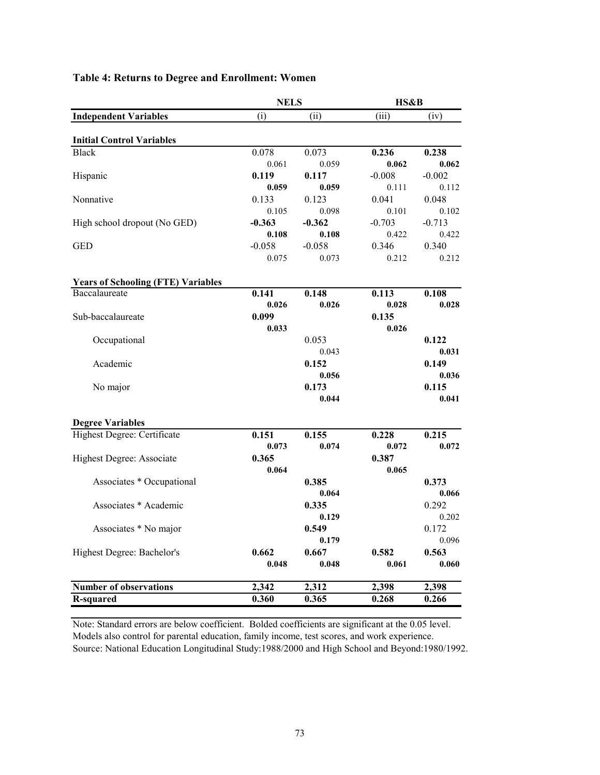|                                           | <b>NELS</b> |          | HS&B     |          |
|-------------------------------------------|-------------|----------|----------|----------|
| <b>Independent Variables</b>              | (i)         | (ii)     | (iii)    | (iv)     |
| <b>Initial Control Variables</b>          |             |          |          |          |
| <b>Black</b>                              | 0.078       | 0.073    | 0.236    | 0.238    |
|                                           | 0.061       | 0.059    | 0.062    | 0.062    |
| Hispanic                                  | 0.119       | 0.117    | $-0.008$ | $-0.002$ |
|                                           | 0.059       | 0.059    | 0.111    | 0.112    |
| Nonnative                                 | 0.133       | 0.123    | 0.041    | 0.048    |
|                                           | 0.105       | 0.098    | 0.101    | 0.102    |
| High school dropout (No GED)              | $-0.363$    | $-0.362$ | $-0.703$ | $-0.713$ |
|                                           | 0.108       | 0.108    | 0.422    | 0.422    |
| <b>GED</b>                                | $-0.058$    | $-0.058$ | 0.346    | 0.340    |
|                                           | 0.075       | 0.073    | 0.212    | 0.212    |
| <b>Years of Schooling (FTE) Variables</b> |             |          |          |          |
| Baccalaureate                             | 0.141       | 0.148    | 0.113    | 0.108    |
|                                           | 0.026       | 0.026    | 0.028    | 0.028    |
| Sub-baccalaureate                         | 0.099       |          | 0.135    |          |
|                                           | 0.033       |          | 0.026    |          |
| Occupational                              |             | 0.053    |          | 0.122    |
|                                           |             | 0.043    |          | 0.031    |
| Academic                                  |             | 0.152    |          | 0.149    |
|                                           |             | 0.056    |          | 0.036    |
| No major                                  |             | 0.173    |          | 0.115    |
|                                           |             | 0.044    |          | 0.041    |
| <b>Degree Variables</b>                   |             |          |          |          |
| Highest Degree: Certificate               | 0.151       | 0.155    | 0.228    | 0.215    |
|                                           | 0.073       | 0.074    | 0.072    | 0.072    |
| Highest Degree: Associate                 | 0.365       |          | 0.387    |          |
|                                           | 0.064       |          | 0.065    |          |
| Associates * Occupational                 |             | 0.385    |          | 0.373    |
|                                           |             | 0.064    |          | 0.066    |
| Associates * Academic                     |             | 0.335    |          | 0.292    |
|                                           |             | 0.129    |          | 0.202    |
| Associates * No major                     |             | 0.549    |          | 0.172    |
|                                           |             | 0.179    |          | 0.096    |
| Highest Degree: Bachelor's                | 0.662       | 0.667    | 0.582    | 0.563    |
|                                           | 0.048       | 0.048    | 0.061    | 0.060    |
| <b>Number of observations</b>             | 2,342       | 2,312    | 2,398    | 2,398    |
| <b>R-squared</b>                          | 0.360       | 0.365    | 0.268    | 0.266    |
|                                           |             |          |          |          |

# **Table 4: Returns to Degree and Enrollment: Women**

Note: Standard errors are below coefficient. Bolded coefficients are significant at the 0.05 level. Models also control for parental education, family income, test scores, and work experience. Source: National Education Longitudinal Study:1988/2000 and High School and Beyond:1980/1992.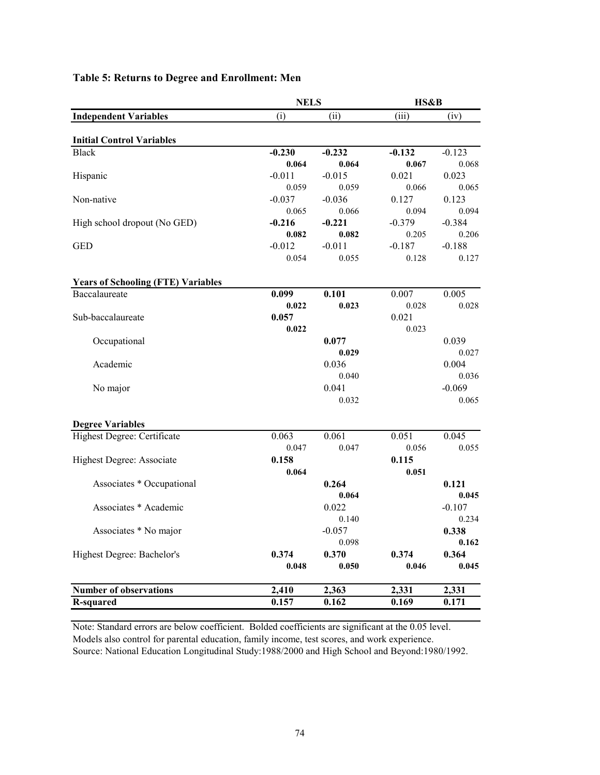|                                           | <b>NELS</b> |          | HS&B     |          |
|-------------------------------------------|-------------|----------|----------|----------|
| <b>Independent Variables</b>              | (i)         | (i)      | (iii)    | (iv)     |
|                                           |             |          |          |          |
| <b>Initial Control Variables</b>          |             |          |          |          |
| <b>Black</b>                              | $-0.230$    | $-0.232$ | $-0.132$ | $-0.123$ |
|                                           | 0.064       | 0.064    | 0.067    | 0.068    |
| Hispanic                                  | $-0.011$    | $-0.015$ | 0.021    | 0.023    |
|                                           | 0.059       | 0.059    | 0.066    | 0.065    |
| Non-native                                | $-0.037$    | $-0.036$ | 0.127    | 0.123    |
|                                           | 0.065       | 0.066    | 0.094    | 0.094    |
| High school dropout (No GED)              | $-0.216$    | $-0.221$ | $-0.379$ | $-0.384$ |
|                                           | 0.082       | 0.082    | 0.205    | 0.206    |
| <b>GED</b>                                | $-0.012$    | $-0.011$ | $-0.187$ | $-0.188$ |
|                                           | 0.054       | 0.055    | 0.128    | 0.127    |
| <b>Years of Schooling (FTE) Variables</b> |             |          |          |          |
| Baccalaureate                             | 0.099       | 0.101    | 0.007    | 0.005    |
|                                           | 0.022       | 0.023    | 0.028    | 0.028    |
| Sub-baccalaureate                         | 0.057       |          | 0.021    |          |
|                                           | 0.022       |          | 0.023    |          |
| Occupational                              |             | 0.077    |          | 0.039    |
|                                           |             | 0.029    |          | 0.027    |
| Academic                                  |             | 0.036    |          | 0.004    |
|                                           |             | 0.040    |          | 0.036    |
| No major                                  |             | 0.041    |          | $-0.069$ |
|                                           |             | 0.032    |          | 0.065    |
|                                           |             |          |          |          |
| <b>Degree Variables</b>                   |             |          |          |          |
| Highest Degree: Certificate               | 0.063       | 0.061    | 0.051    | 0.045    |
|                                           | 0.047       | 0.047    | 0.056    | 0.055    |
| Highest Degree: Associate                 | 0.158       |          | 0.115    |          |
|                                           | 0.064       |          | 0.051    |          |
| Associates * Occupational                 |             | 0.264    |          | 0.121    |
|                                           |             | 0.064    |          | 0.045    |
| Associates * Academic                     |             | 0.022    |          | $-0.107$ |
|                                           |             | 0.140    |          | 0.234    |
| Associates * No major                     |             | $-0.057$ |          | 0.338    |
|                                           |             | 0.098    |          | 0.162    |
| Highest Degree: Bachelor's                | 0.374       | 0.370    | 0.374    | 0.364    |
|                                           | 0.048       | 0.050    | 0.046    | 0.045    |
|                                           |             |          |          |          |
| Number of observations                    | 2,410       | 2,363    | 2,331    | 2,331    |
| <b>R-squared</b>                          | 0.157       | 0.162    | 0.169    | 0.171    |

# **Table 5: Returns to Degree and Enrollment: Men**

Note: Standard errors are below coefficient. Bolded coefficients are significant at the 0.05 level. Models also control for parental education, family income, test scores, and work experience. Source: National Education Longitudinal Study:1988/2000 and High School and Beyond:1980/1992.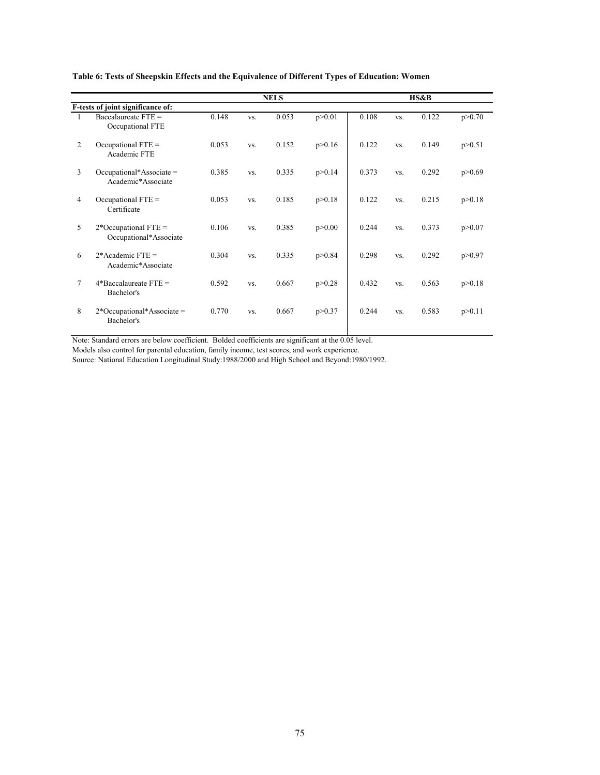|                |                                                  |       |     | <b>NELS</b> |          |       |     | HS&B  |          |
|----------------|--------------------------------------------------|-------|-----|-------------|----------|-------|-----|-------|----------|
|                | F-tests of joint significance of:                |       |     |             |          |       |     |       |          |
| 1              | Baccalaureate FTE =<br>Occupational FTE          | 0.148 | VS. | 0.053       | p > 0.01 | 0.108 | VS. | 0.122 | p > 0.70 |
| 2              | Occupational $FTE =$<br>Academic FTE             | 0.053 | VS. | 0.152       | p > 0.16 | 0.122 | VS. | 0.149 | p > 0.51 |
| 3              | Occupational*Associate =<br>Academic*Associate   | 0.385 | VS. | 0.335       | p > 0.14 | 0.373 | VS. | 0.292 | p > 0.69 |
| $\overline{4}$ | Occupational $FTE =$<br>Certificate              | 0.053 | VS. | 0.185       | p > 0.18 | 0.122 | VS. | 0.215 | p > 0.18 |
| 5.             | $2*Occupational FTE =$<br>Occupational*Associate | 0.106 | VS. | 0.385       | p > 0.00 | 0.244 | VS. | 0.373 | p > 0.07 |
| 6              | $2*$ Academic FTE =<br>Academic*Associate        | 0.304 | VS. | 0.335       | p > 0.84 | 0.298 | VS. | 0.292 | p > 0.97 |
| $\tau$         | $4*$ Baccalaureate FTE =<br>Bachelor's           | 0.592 | VS. | 0.667       | p > 0.28 | 0.432 | VS. | 0.563 | p > 0.18 |
| 8              | $2*Occupational*Associate =$<br>Bachelor's       | 0.770 | VS. | 0.667       | p > 0.37 | 0.244 | VS. | 0.583 | p > 0.11 |

## **Table 6: Tests of Sheepskin Effects and the Equivalence of Different Types of Education: Women**

Note: Standard errors are below coefficient. Bolded coefficients are significant at the 0.05 level.

Models also control for parental education, family income, test scores, and work experience.

Source: National Education Longitudinal Study:1988/2000 and High School and Beyond:1980/1992.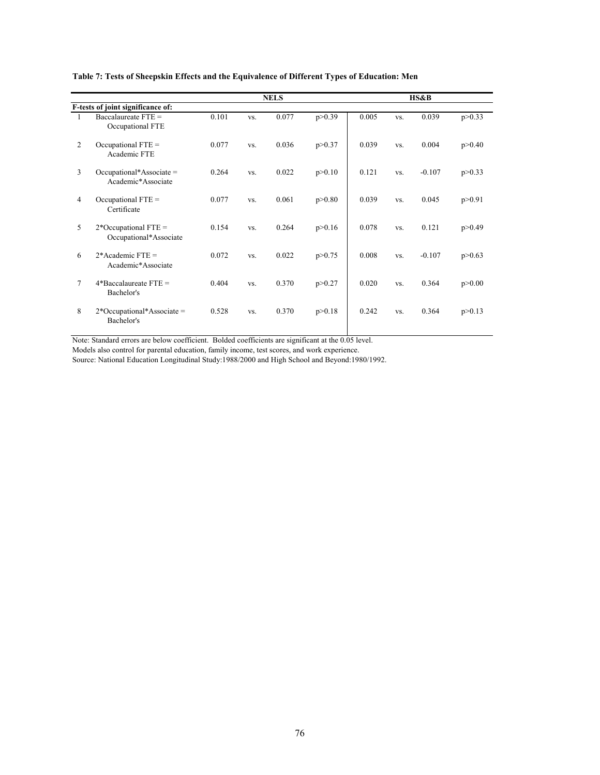|                |                                                  |       |     | <b>NELS</b> |          |       |     | HS&B     |          |
|----------------|--------------------------------------------------|-------|-----|-------------|----------|-------|-----|----------|----------|
|                | F-tests of joint significance of:                |       |     |             |          |       |     |          |          |
| 1              | Baccalaureate $FTE =$<br>Occupational FTE        | 0.101 | VS. | 0.077       | p > 0.39 | 0.005 | VS. | 0.039    | p > 0.33 |
| $\overline{2}$ | Occupational $FTE =$<br>Academic FTE             | 0.077 | VS. | 0.036       | p > 0.37 | 0.039 | VS. | 0.004    | p > 0.40 |
| 3              | $Occupational*Associate =$<br>Academic*Associate | 0.264 | VS. | 0.022       | p > 0.10 | 0.121 | VS. | $-0.107$ | p > 0.33 |
| $\overline{4}$ | Occupational $FTE =$<br>Certificate              | 0.077 | VS. | 0.061       | p > 0.80 | 0.039 | VS. | 0.045    | p > 0.91 |
| 5              | $2*Occupational FTE =$<br>Occupational*Associate | 0.154 | VS. | 0.264       | p > 0.16 | 0.078 | VS. | 0.121    | p > 0.49 |
| 6              | $2*$ Academic FTE =<br>Academic*Associate        | 0.072 | VS. | 0.022       | p > 0.75 | 0.008 | VS. | $-0.107$ | p > 0.63 |
| $\tau$         | $4*$ Baccalaureate FTE =<br>Bachelor's           | 0.404 | VS. | 0.370       | p > 0.27 | 0.020 | VS. | 0.364    | p > 0.00 |
| 8              | $2*Occupational*Associate =$<br>Bachelor's       | 0.528 | VS. | 0.370       | p > 0.18 | 0.242 | VS. | 0.364    | p > 0.13 |

## **Table 7: Tests of Sheepskin Effects and the Equivalence of Different Types of Education: Men**

Note: Standard errors are below coefficient. Bolded coefficients are significant at the 0.05 level.

Models also control for parental education, family income, test scores, and work experience.

Source: National Education Longitudinal Study:1988/2000 and High School and Beyond:1980/1992.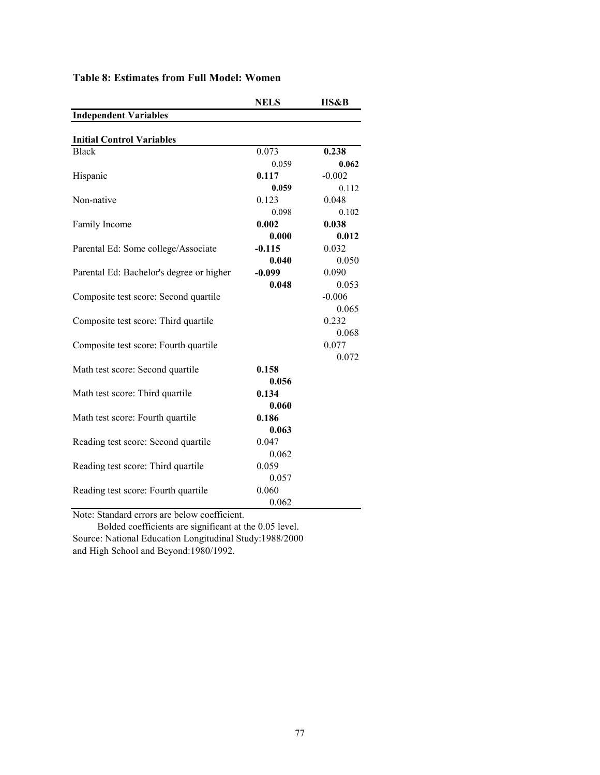|                                             | <b>NELS</b> | HS&B     |
|---------------------------------------------|-------------|----------|
| <b>Independent Variables</b>                |             |          |
|                                             |             |          |
| <b>Initial Control Variables</b>            |             |          |
| <b>Black</b>                                | 0.073       | 0.238    |
|                                             | 0.059       | 0.062    |
| Hispanic                                    | 0.117       | $-0.002$ |
|                                             | 0.059       | 0.112    |
| Non-native                                  | 0.123       | 0.048    |
|                                             | 0.098       | 0.102    |
| Family Income                               | 0.002       | 0.038    |
|                                             | 0.000       | 0.012    |
| Parental Ed: Some college/Associate         | $-0.115$    | 0.032    |
|                                             | 0.040       | 0.050    |
| Parental Ed: Bachelor's degree or higher    | $-0.099$    | 0.090    |
|                                             | 0.048       | 0.053    |
| Composite test score: Second quartile       |             | $-0.006$ |
|                                             |             | 0.065    |
| Composite test score: Third quartile        |             | 0.232    |
|                                             |             | 0.068    |
| Composite test score: Fourth quartile       |             | 0.077    |
|                                             |             | 0.072    |
| Math test score: Second quartile            | 0.158       |          |
|                                             | 0.056       |          |
| Math test score: Third quartile             | 0.134       |          |
|                                             | 0.060       |          |
| Math test score: Fourth quartile            | 0.186       |          |
|                                             | 0.063       |          |
| Reading test score: Second quartile         | 0.047       |          |
|                                             | 0.062       |          |
| Reading test score: Third quartile          | 0.059       |          |
|                                             | 0.057       |          |
| Reading test score: Fourth quartile         | 0.060       |          |
|                                             | 0.062       |          |
| Note: Standard errors are helow coefficient |             |          |

# **Table 8: Estimates from Full Model: Women**

Note: Standard errors are below coefficient.

 Bolded coefficients are significant at the 0.05 level. Source: National Education Longitudinal Study:1988/2000 and High School and Beyond:1980/1992.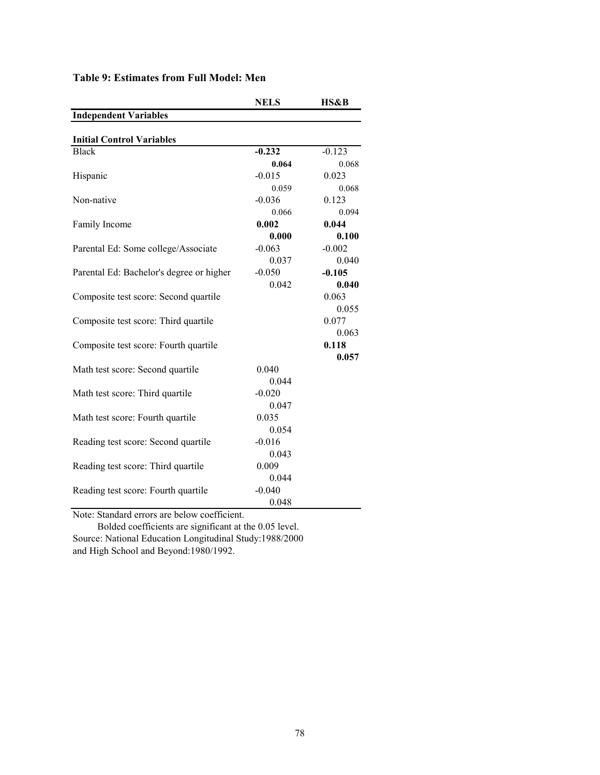|                                             | <b>NELS</b> | HS&B     |
|---------------------------------------------|-------------|----------|
| <b>Independent Variables</b>                |             |          |
|                                             |             |          |
| <b>Initial Control Variables</b>            |             |          |
| <b>Black</b>                                | $-0.232$    | $-0.123$ |
|                                             | 0.064       | 0.068    |
| Hispanic                                    | $-0.015$    | 0.023    |
|                                             | 0.059       | 0.068    |
| Non-native                                  | $-0.036$    | 0.123    |
|                                             | 0.066       | 0.094    |
| Family Income                               | 0.002       | 0.044    |
|                                             | 0.000       | 0.100    |
| Parental Ed: Some college/Associate         | $-0.063$    | $-0.002$ |
|                                             | 0.037       | 0.040    |
| Parental Ed: Bachelor's degree or higher    | $-0.050$    | $-0.105$ |
|                                             | 0.042       | 0.040    |
| Composite test score: Second quartile       |             | 0.063    |
|                                             |             | 0.055    |
| Composite test score: Third quartile        |             | 0.077    |
|                                             |             | 0.063    |
| Composite test score: Fourth quartile       |             | 0.118    |
|                                             |             | 0.057    |
| Math test score: Second quartile            | 0.040       |          |
|                                             | 0.044       |          |
| Math test score: Third quartile             | $-0.020$    |          |
|                                             | 0.047       |          |
| Math test score: Fourth quartile            | 0.035       |          |
|                                             | 0.054       |          |
| Reading test score: Second quartile         | $-0.016$    |          |
|                                             | 0.043       |          |
| Reading test score: Third quartile          | 0.009       |          |
|                                             | 0.044       |          |
| Reading test score: Fourth quartile         | $-0.040$    |          |
|                                             | 0.048       |          |
| Note: Standard errors are helow coefficient |             |          |

## **Table 9: Estimates from Full Model: Men**

Note: Standard errors are below coefficient.

 Bolded coefficients are significant at the 0.05 level. Source: National Education Longitudinal Study:1988/2000 and High School and Beyond:1980/1992.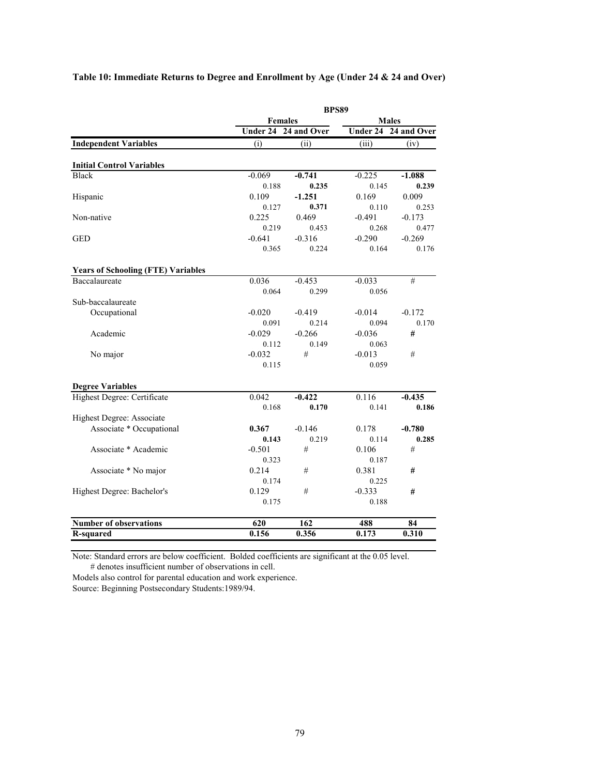|                                           |                      |          | <b>BPS89</b>         |          |  |
|-------------------------------------------|----------------------|----------|----------------------|----------|--|
|                                           | <b>Females</b>       |          | <b>Males</b>         |          |  |
|                                           | Under 24 24 and Over |          | Under 24 24 and Over |          |  |
| <b>Independent Variables</b>              | (i)                  | (ii)     | (iii)                | (iv)     |  |
| <b>Initial Control Variables</b>          |                      |          |                      |          |  |
| <b>Black</b>                              | $-0.069$             | $-0.741$ | $-0.225$             | $-1.088$ |  |
|                                           | 0.188                | 0.235    | 0.145                | 0.239    |  |
| Hispanic                                  | 0.109                | $-1.251$ | 0.169                | 0.009    |  |
|                                           | 0.127                | 0.371    | 0.110                | 0.253    |  |
| Non-native                                | 0.225                | 0.469    | $-0.491$             | $-0.173$ |  |
|                                           | 0.219                | 0.453    | 0.268                | 0.477    |  |
| <b>GED</b>                                | $-0.641$             | $-0.316$ | $-0.290$             | $-0.269$ |  |
|                                           | 0.365                | 0.224    | 0.164                | 0.176    |  |
| <b>Years of Schooling (FTE) Variables</b> |                      |          |                      |          |  |
| <b>Baccalaureate</b>                      | 0.036                | $-0.453$ | $-0.033$             | #        |  |
|                                           | 0.064                | 0.299    | 0.056                |          |  |
| Sub-baccalaureate                         |                      |          |                      |          |  |
| Occupational                              | $-0.020$             | $-0.419$ | $-0.014$             | $-0.172$ |  |
|                                           | 0.091                | 0.214    | 0.094                | 0.170    |  |
| Academic                                  | $-0.029$             | $-0.266$ | $-0.036$             | #        |  |
|                                           | 0.112                | 0.149    | 0.063                |          |  |
| No major                                  | $-0.032$             | #        | $-0.013$             | #        |  |
|                                           | 0.115                |          | 0.059                |          |  |
| <b>Degree Variables</b>                   |                      |          |                      |          |  |
| Highest Degree: Certificate               | 0.042                | $-0.422$ | 0.116                | $-0.435$ |  |
|                                           | 0.168                | 0.170    | 0.141                | 0.186    |  |
| Highest Degree: Associate                 |                      |          |                      |          |  |
| Associate * Occupational                  | 0.367                | $-0.146$ | 0.178                | $-0.780$ |  |
|                                           | 0.143                | 0.219    | 0.114                | 0.285    |  |
| Associate * Academic                      | $-0.501$             | #        | 0.106                | #        |  |
|                                           | 0.323                |          | 0.187                |          |  |
| Associate * No major                      | 0.214                | #        | 0.381                | #        |  |
|                                           | 0.174                |          | 0.225                |          |  |
| Highest Degree: Bachelor's                | 0.129                | #        | $-0.333$             | #        |  |
|                                           | 0.175                |          | 0.188                |          |  |
| <b>Number of observations</b>             | 620                  | 162      | 488                  | 84       |  |
| R-squared                                 | 0.156                | 0.356    | 0.173                | 0.310    |  |

Note: Standard errors are below coefficient. Bolded coefficients are significant at the 0.05 level. # denotes insufficient number of observations in cell.

Models also control for parental education and work experience.

Source: Beginning Postsecondary Students:1989/94.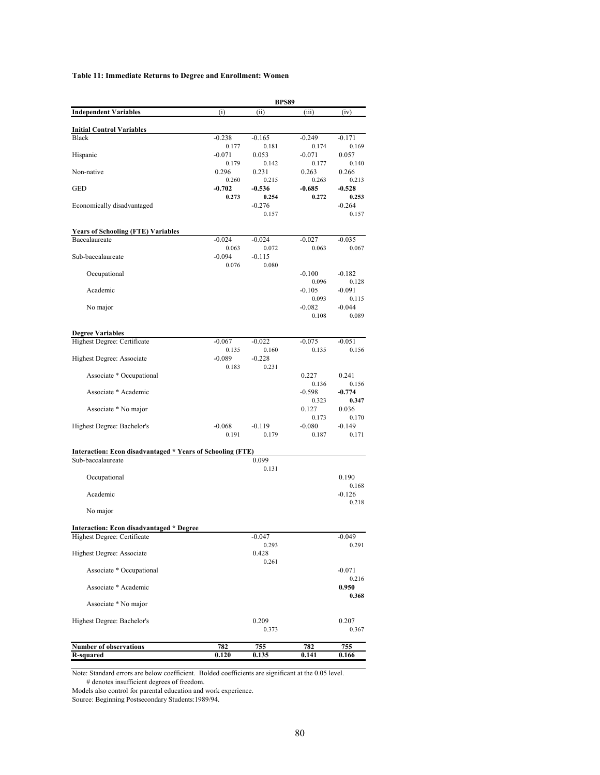### **Table 11: Immediate Returns to Degree and Enrollment: Women**

|                                                            | <b>BPS89</b>      |                   |                   |                   |  |
|------------------------------------------------------------|-------------------|-------------------|-------------------|-------------------|--|
| <b>Independent Variables</b>                               | (i)               | (ii)              | (iii)             | (iv)              |  |
| <b>Initial Control Variables</b>                           |                   |                   |                   |                   |  |
| <b>Black</b>                                               | $-0.238$          | $-0.165$          | $-0.249$          | $-0.171$          |  |
| Hispanic                                                   | 0.177<br>$-0.071$ | 0.181<br>0.053    | 0.174<br>$-0.071$ | 0.169<br>0.057    |  |
|                                                            | 0.179             | 0.142             | 0.177             | 0.140             |  |
| Non-native                                                 | 0.296<br>0.260    | 0.231<br>0.215    | 0.263<br>0.263    | 0.266<br>0.213    |  |
| <b>GED</b>                                                 | $-0.702$          | $-0.536$          | $-0.685$          | $-0.528$          |  |
|                                                            | 0.273             | 0.254             | 0.272             | 0.253             |  |
| Economically disadvantaged                                 |                   | $-0.276$<br>0.157 |                   | $-0.264$<br>0.157 |  |
| <b>Years of Schooling (FTE) Variables</b>                  |                   |                   |                   |                   |  |
| Baccalaureate                                              | $-0.024$          | $-0.024$          | $-0.027$          | $-0.035$          |  |
|                                                            | 0.063             | 0.072             | 0.063             | 0.067             |  |
| Sub-baccalaureate                                          | $-0.094$<br>0.076 | $-0.115$<br>0.080 |                   |                   |  |
| Occupational                                               |                   |                   | $-0.100$          | $-0.182$          |  |
| Academic                                                   |                   |                   | 0.096<br>$-0.105$ | 0.128<br>$-0.091$ |  |
|                                                            |                   |                   | 0.093             | 0.115             |  |
| No major                                                   |                   |                   | $-0.082$          | $-0.044$          |  |
|                                                            |                   |                   | 0.108             | 0.089             |  |
| <b>Degree Variables</b>                                    |                   |                   |                   |                   |  |
| Highest Degree: Certificate                                | $-0.067$<br>0.135 | $-0.022$<br>0.160 | $-0.075$<br>0.135 | $-0.051$<br>0.156 |  |
| Highest Degree: Associate                                  | $-0.089$          | $-0.228$          |                   |                   |  |
|                                                            | 0.183             | 0.231             |                   |                   |  |
| Associate * Occupational                                   |                   |                   | 0.227<br>0.136    | 0.241<br>0.156    |  |
| Associate * Academic                                       |                   |                   | $-0.598$          | $-0.774$          |  |
| Associate * No major                                       |                   |                   | 0.323<br>0.127    | 0.347<br>0.036    |  |
|                                                            |                   |                   | 0.173             | 0.170             |  |
| Highest Degree: Bachelor's                                 | $-0.068$<br>0.191 | $-0.119$<br>0.179 | $-0.080$<br>0.187 | $-0.149$<br>0.171 |  |
|                                                            |                   |                   |                   |                   |  |
| Interaction: Econ disadvantaged * Years of Schooling (FTE) |                   |                   |                   |                   |  |
| Sub-baccalaureate                                          |                   | 0.099<br>0.131    |                   |                   |  |
| Occupational                                               |                   |                   |                   | 0.190             |  |
| Academic                                                   |                   |                   |                   | 0.168<br>$-0.126$ |  |
|                                                            |                   |                   |                   | 0.218             |  |
| No major                                                   |                   |                   |                   |                   |  |
| <b>Interaction: Econ disadvantaged * Degree</b>            |                   |                   |                   |                   |  |
| Highest Degree: Certificate                                |                   | $-0.047$          |                   | $-0.049$          |  |
| Highest Degree: Associate                                  |                   | 0.293<br>0.428    |                   | 0.291             |  |
|                                                            |                   | 0.261             |                   |                   |  |
| Associate * Occupational                                   |                   |                   |                   | $-0.071$<br>0.216 |  |
| Associate * Academic                                       |                   |                   |                   | 0.950             |  |
| Associate * No major                                       |                   |                   |                   | 0.368             |  |
|                                                            |                   |                   |                   |                   |  |
| Highest Degree: Bachelor's                                 |                   | 0.209             |                   | 0.207             |  |
|                                                            |                   | 0.373             |                   | 0.367             |  |
| <b>Number of observations</b>                              | 782               | 755               | 782               | 755               |  |
| R-squared                                                  | 0.120             | 0.135             | 0.141             | 0.166             |  |

Note: Standard errors are below coefficient. Bolded coefficients are significant at the 0.05 level. # denotes insufficient degrees of freedom.

Models also control for parental education and work experience.

Source: Beginning Postsecondary Students:1989/94.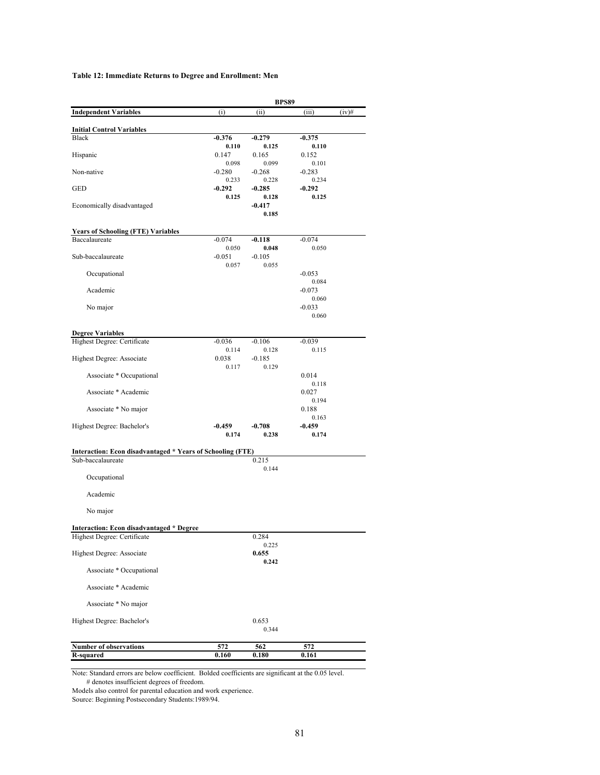### **Table 12: Immediate Returns to Degree and Enrollment: Men**

|                                                            |                   | <b>BPS89</b>      |                   |          |
|------------------------------------------------------------|-------------------|-------------------|-------------------|----------|
| <b>Independent Variables</b>                               | (i)               | (ii)              | (iii)             | $(iv)$ # |
| <b>Initial Control Variables</b>                           |                   |                   |                   |          |
| <b>Black</b>                                               | $-0.376$          | $-0.279$          | $-0.375$          |          |
|                                                            | 0.110             | 0.125             | 0.110             |          |
| Hispanic                                                   | 0.147<br>0.098    | 0.165<br>0.099    | 0.152<br>0.101    |          |
| Non-native                                                 | $-0.280$          | $-0.268$          | $-0.283$          |          |
|                                                            | 0.233             | 0.228             | 0.234             |          |
| GED                                                        | $-0.292$<br>0.125 | $-0.285$<br>0.128 | $-0.292$<br>0.125 |          |
| Economically disadvantaged                                 |                   | $-0.417$          |                   |          |
|                                                            |                   | 0.185             |                   |          |
| <b>Years of Schooling (FTE) Variables</b>                  |                   |                   |                   |          |
| Baccalaureate                                              | $-0.074$          | $-0.118$          | $-0.074$          |          |
|                                                            | 0.050             | 0.048             | 0.050             |          |
| Sub-baccalaureate                                          | $-0.051$<br>0.057 | $-0.105$<br>0.055 |                   |          |
| Occupational                                               |                   |                   | $-0.053$          |          |
|                                                            |                   |                   | 0.084             |          |
| Academic                                                   |                   |                   | $-0.073$<br>0.060 |          |
| No major                                                   |                   |                   | $-0.033$          |          |
|                                                            |                   |                   | 0.060             |          |
| <b>Degree Variables</b>                                    |                   |                   |                   |          |
| Highest Degree: Certificate                                | $-0.036$          | $-0.106$          | $-0.039$          |          |
|                                                            | 0.114             | 0.128             | 0.115             |          |
| Highest Degree: Associate                                  | 0.038<br>0.117    | $-0.185$<br>0.129 |                   |          |
| Associate * Occupational                                   |                   |                   | 0.014             |          |
|                                                            |                   |                   | 0.118             |          |
| Associate * Academic                                       |                   |                   | 0.027<br>0.194    |          |
| Associate * No major                                       |                   |                   | 0.188             |          |
|                                                            |                   |                   | 0.163             |          |
| Highest Degree: Bachelor's                                 | $-0.459$<br>0.174 | $-0.708$<br>0.238 | $-0.459$<br>0.174 |          |
|                                                            |                   |                   |                   |          |
| Interaction: Econ disadvantaged * Years of Schooling (FTE) |                   |                   |                   |          |
| Sub-baccalaureate                                          |                   | 0.215<br>0.144    |                   |          |
| Occupational                                               |                   |                   |                   |          |
|                                                            |                   |                   |                   |          |
| Academic                                                   |                   |                   |                   |          |
| No major                                                   |                   |                   |                   |          |
|                                                            |                   |                   |                   |          |
| <b>Interaction: Econ disadvantaged * Degree</b>            |                   | 0.284             |                   |          |
| Highest Degree: Certificate                                |                   | 0.225             |                   |          |
| Highest Degree: Associate                                  |                   | 0.655             |                   |          |
| Associate * Occupational                                   |                   | 0.242             |                   |          |
|                                                            |                   |                   |                   |          |
| Associate * Academic                                       |                   |                   |                   |          |
| Associate * No major                                       |                   |                   |                   |          |
| Highest Degree: Bachelor's                                 |                   | 0.653             |                   |          |
|                                                            |                   | 0.344             |                   |          |
| Number of observations                                     | 572               | 562               | 572               |          |
| <b>R-squared</b>                                           | 0.160             | 0.180             | 0.161             |          |

Note: Standard errors are below coefficient. Bolded coefficients are significant at the 0.05 level. # denotes insufficient degrees of freedom.

Models also control for parental education and work experience.

Source: Beginning Postsecondary Students:1989/94.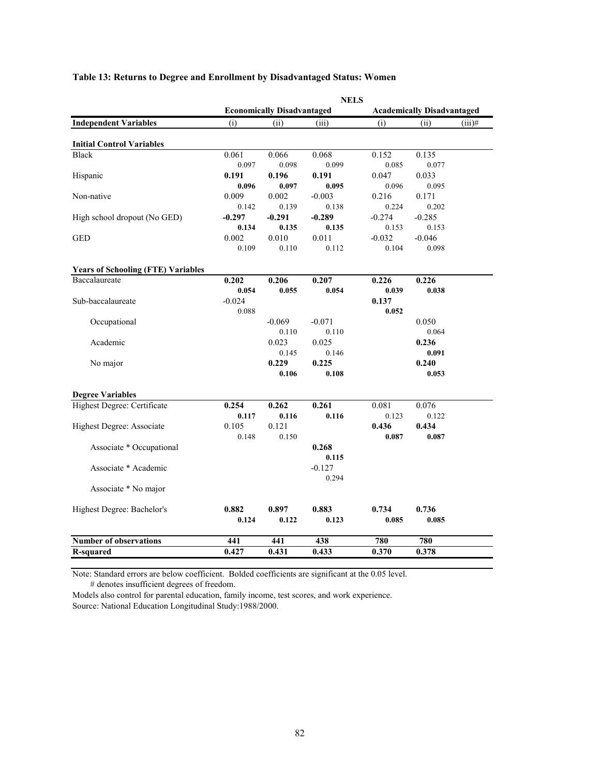| <b>Economically Disadvantaged</b><br><b>Academically Disadvantaged</b><br><b>Independent Variables</b><br>(ii)<br>(i)<br>(ii)<br>(iii)<br>(i)<br>$(iii)$ #<br><b>Initial Control Variables</b><br>0.061<br>0.066<br>0.068<br>0.135<br><b>Black</b><br>0.152<br>0.097<br>0.098<br>0.099<br>0.085<br>0.077<br>Hispanic<br>0.191<br>0.196<br>0.191<br>0.047<br>0.033<br>0.096<br>0.097<br>0.095<br>0.096<br>0.095<br>Non-native<br>0.002<br>0.009<br>$-0.003$<br>0.216<br>0.171<br>0.139<br>0.224<br>0.202<br>0.142<br>0.138<br>High school dropout (No GED)<br>$-0.297$<br>$-0.291$<br>$-0.289$<br>$-0.274$<br>$-0.285$<br>0.134<br>0.135<br>0.135<br>0.153<br>0.153 |  |
|--------------------------------------------------------------------------------------------------------------------------------------------------------------------------------------------------------------------------------------------------------------------------------------------------------------------------------------------------------------------------------------------------------------------------------------------------------------------------------------------------------------------------------------------------------------------------------------------------------------------------------------------------------------------|--|
|                                                                                                                                                                                                                                                                                                                                                                                                                                                                                                                                                                                                                                                                    |  |
|                                                                                                                                                                                                                                                                                                                                                                                                                                                                                                                                                                                                                                                                    |  |
|                                                                                                                                                                                                                                                                                                                                                                                                                                                                                                                                                                                                                                                                    |  |
|                                                                                                                                                                                                                                                                                                                                                                                                                                                                                                                                                                                                                                                                    |  |
|                                                                                                                                                                                                                                                                                                                                                                                                                                                                                                                                                                                                                                                                    |  |
|                                                                                                                                                                                                                                                                                                                                                                                                                                                                                                                                                                                                                                                                    |  |
|                                                                                                                                                                                                                                                                                                                                                                                                                                                                                                                                                                                                                                                                    |  |
|                                                                                                                                                                                                                                                                                                                                                                                                                                                                                                                                                                                                                                                                    |  |
|                                                                                                                                                                                                                                                                                                                                                                                                                                                                                                                                                                                                                                                                    |  |
|                                                                                                                                                                                                                                                                                                                                                                                                                                                                                                                                                                                                                                                                    |  |
|                                                                                                                                                                                                                                                                                                                                                                                                                                                                                                                                                                                                                                                                    |  |
| <b>GED</b><br>0.002<br>0.010<br>0.011<br>$-0.032$<br>$-0.046$                                                                                                                                                                                                                                                                                                                                                                                                                                                                                                                                                                                                      |  |
| 0.110<br>0.112<br>0.098<br>0.109<br>0.104                                                                                                                                                                                                                                                                                                                                                                                                                                                                                                                                                                                                                          |  |
| <b>Years of Schooling (FTE) Variables</b>                                                                                                                                                                                                                                                                                                                                                                                                                                                                                                                                                                                                                          |  |
| 0.206<br>0.207<br>0.226<br>Baccalaureate<br>0.202<br>0.226                                                                                                                                                                                                                                                                                                                                                                                                                                                                                                                                                                                                         |  |
| 0.054<br>0.039<br>0.054<br>0.055<br>0.038                                                                                                                                                                                                                                                                                                                                                                                                                                                                                                                                                                                                                          |  |
| Sub-baccalaureate<br>$-0.024$<br>0.137                                                                                                                                                                                                                                                                                                                                                                                                                                                                                                                                                                                                                             |  |
| 0.088<br>0.052                                                                                                                                                                                                                                                                                                                                                                                                                                                                                                                                                                                                                                                     |  |
| Occupational<br>$-0.069$<br>$-0.071$<br>0.050                                                                                                                                                                                                                                                                                                                                                                                                                                                                                                                                                                                                                      |  |
| 0.110<br>0.110<br>0.064                                                                                                                                                                                                                                                                                                                                                                                                                                                                                                                                                                                                                                            |  |
| Academic<br>0.023<br>0.025<br>0.236                                                                                                                                                                                                                                                                                                                                                                                                                                                                                                                                                                                                                                |  |
| 0.145<br>0.146<br>0.091                                                                                                                                                                                                                                                                                                                                                                                                                                                                                                                                                                                                                                            |  |
| 0.229<br>0.225<br>No major<br>0.240                                                                                                                                                                                                                                                                                                                                                                                                                                                                                                                                                                                                                                |  |
| 0.106<br>0.108<br>0.053                                                                                                                                                                                                                                                                                                                                                                                                                                                                                                                                                                                                                                            |  |
| <b>Degree Variables</b>                                                                                                                                                                                                                                                                                                                                                                                                                                                                                                                                                                                                                                            |  |
| Highest Degree: Certificate<br>0.254<br>0.262<br>0.261<br>0.081<br>0.076                                                                                                                                                                                                                                                                                                                                                                                                                                                                                                                                                                                           |  |
| 0.116<br>0.117<br>0.116<br>0.122<br>0.123                                                                                                                                                                                                                                                                                                                                                                                                                                                                                                                                                                                                                          |  |
| Highest Degree: Associate<br>0.105<br>0.121<br>0.436<br>0.434                                                                                                                                                                                                                                                                                                                                                                                                                                                                                                                                                                                                      |  |
| 0.148<br>0.150<br>0.087<br>0.087                                                                                                                                                                                                                                                                                                                                                                                                                                                                                                                                                                                                                                   |  |
| Associate * Occupational<br>0.268                                                                                                                                                                                                                                                                                                                                                                                                                                                                                                                                                                                                                                  |  |
| 0.115                                                                                                                                                                                                                                                                                                                                                                                                                                                                                                                                                                                                                                                              |  |
| Associate * Academic<br>$-0.127$                                                                                                                                                                                                                                                                                                                                                                                                                                                                                                                                                                                                                                   |  |
| 0.294                                                                                                                                                                                                                                                                                                                                                                                                                                                                                                                                                                                                                                                              |  |
| Associate * No major                                                                                                                                                                                                                                                                                                                                                                                                                                                                                                                                                                                                                                               |  |
|                                                                                                                                                                                                                                                                                                                                                                                                                                                                                                                                                                                                                                                                    |  |
| 0.882<br>0.897<br>0.883<br>0.734<br>0.736<br>Highest Degree: Bachelor's<br>0.085<br>0.124<br>0.122<br>0.123<br>0.085                                                                                                                                                                                                                                                                                                                                                                                                                                                                                                                                               |  |
|                                                                                                                                                                                                                                                                                                                                                                                                                                                                                                                                                                                                                                                                    |  |
| <b>Number of observations</b><br>780<br>441<br>441<br>438<br>780                                                                                                                                                                                                                                                                                                                                                                                                                                                                                                                                                                                                   |  |
| 0.427<br>0.370<br>0.378<br><b>R-squared</b><br>0.431<br>0.433                                                                                                                                                                                                                                                                                                                                                                                                                                                                                                                                                                                                      |  |

## **Table 13: Returns to Degree and Enrollment by Disadvantaged Status: Women**

Note: Standard errors are below coefficient. Bolded coefficients are significant at the 0.05 level.

# denotes insufficient degrees of freedom.

Models also control for parental education, family income, test scores, and work experience. Source: National Education Longitudinal Study:1988/2000.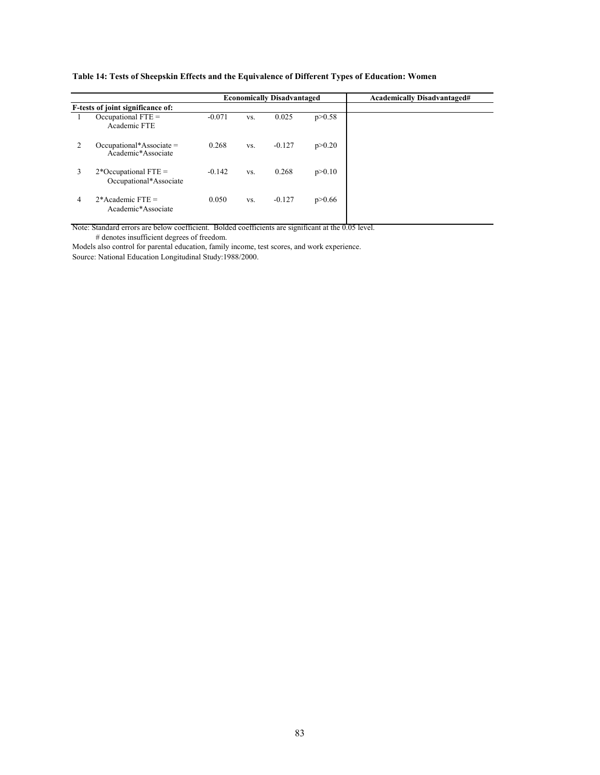|               |                                                  |          |     | <b>Economically Disadvantaged</b> |          | <b>Academically Disadvantaged#</b> |
|---------------|--------------------------------------------------|----------|-----|-----------------------------------|----------|------------------------------------|
|               | F-tests of joint significance of:                |          |     |                                   |          |                                    |
|               | Occupational $FTE =$<br>Academic FTE             | $-0.071$ | VS. | 0.025                             | p > 0.58 |                                    |
| $\mathcal{L}$ | $Occupational*Associate =$<br>Academic*Associate | 0.268    | VS. | $-0.127$                          | p > 0.20 |                                    |
| 3             | $2*Occupational FTE =$<br>Occupational*Associate | $-0.142$ | VS. | 0.268                             | p > 0.10 |                                    |
| 4             | $2*$ Academic FTE =<br>Academic*Associate        | 0.050    | VS. | $-0.127$                          | p > 0.66 |                                    |

**Table 14: Tests of Sheepskin Effects and the Equivalence of Different Types of Education: Women**

Note: Standard errors are below coefficient. Bolded coefficients are significant at the 0.05 level. # denotes insufficient degrees of freedom.

Models also control for parental education, family income, test scores, and work experience.

Source: National Education Longitudinal Study:1988/2000.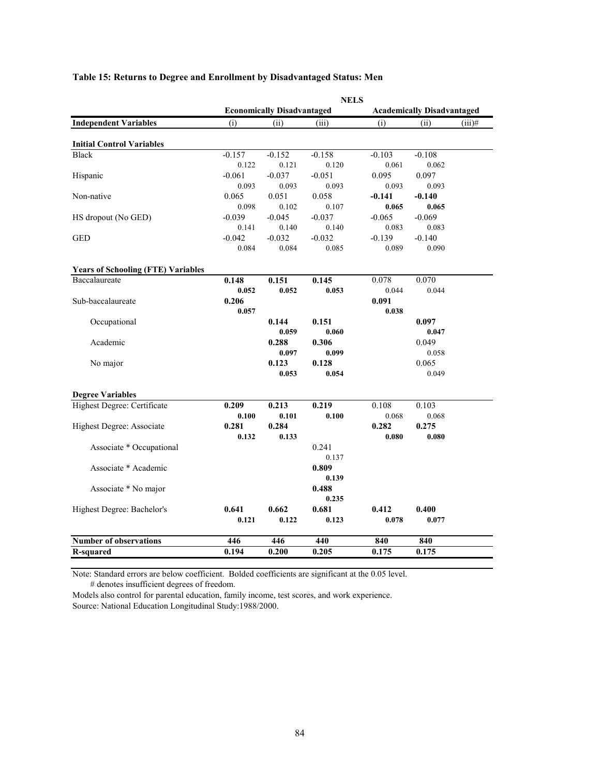|                                           | <b>NELS</b> |                                   |          |          |                                   |           |  |  |
|-------------------------------------------|-------------|-----------------------------------|----------|----------|-----------------------------------|-----------|--|--|
|                                           |             | <b>Economically Disadvantaged</b> |          |          | <b>Academically Disadvantaged</b> |           |  |  |
| <b>Independent Variables</b>              | (i)         | (ii)                              | (iii)    | (i)      | (ii)                              | $(iii)$ # |  |  |
| <b>Initial Control Variables</b>          |             |                                   |          |          |                                   |           |  |  |
| <b>Black</b>                              | $-0.157$    | $-0.152$                          | $-0.158$ | $-0.103$ | $-0.108$                          |           |  |  |
|                                           | 0.122       | 0.121                             | 0.120    | 0.061    | 0.062                             |           |  |  |
| Hispanic                                  | $-0.061$    | $-0.037$                          | $-0.051$ | 0.095    | 0.097                             |           |  |  |
|                                           | 0.093       | 0.093                             | 0.093    | 0.093    | 0.093                             |           |  |  |
| Non-native                                | 0.065       | 0.051                             | 0.058    | $-0.141$ | $-0.140$                          |           |  |  |
|                                           | 0.098       | 0.102                             | 0.107    | 0.065    | 0.065                             |           |  |  |
| HS dropout (No GED)                       | $-0.039$    | $-0.045$                          | $-0.037$ | $-0.065$ | $-0.069$                          |           |  |  |
|                                           | 0.141       | 0.140                             | 0.140    | 0.083    | 0.083                             |           |  |  |
| <b>GED</b>                                | $-0.042$    | $-0.032$                          | $-0.032$ | $-0.139$ | $-0.140$                          |           |  |  |
|                                           | 0.084       | 0.084                             | 0.085    | 0.089    | 0.090                             |           |  |  |
|                                           |             |                                   |          |          |                                   |           |  |  |
| <b>Years of Schooling (FTE) Variables</b> |             |                                   |          |          |                                   |           |  |  |
| Baccalaureate                             | 0.148       | 0.151                             | 0.145    | 0.078    | 0.070                             |           |  |  |
|                                           | 0.052       | 0.052                             | 0.053    | 0.044    | 0.044                             |           |  |  |
| Sub-baccalaureate                         | 0.206       |                                   |          | 0.091    |                                   |           |  |  |
|                                           | 0.057       |                                   |          | 0.038    |                                   |           |  |  |
| Occupational                              |             | 0.144                             | 0.151    |          | 0.097                             |           |  |  |
|                                           |             | 0.059                             | 0.060    |          | 0.047                             |           |  |  |
| Academic                                  |             | 0.288                             | 0.306    |          | 0.049                             |           |  |  |
|                                           |             | 0.097                             | 0.099    |          | 0.058                             |           |  |  |
| No major                                  |             | 0.123                             | 0.128    |          | 0.065                             |           |  |  |
|                                           |             | 0.053                             | 0.054    |          | 0.049                             |           |  |  |
|                                           |             |                                   |          |          |                                   |           |  |  |
| <b>Degree Variables</b>                   |             |                                   |          |          |                                   |           |  |  |
| Highest Degree: Certificate               | 0.209       | 0.213                             | 0.219    | 0.108    | 0.103                             |           |  |  |
|                                           | 0.100       | 0.101                             | 0.100    | 0.068    | 0.068                             |           |  |  |
| Highest Degree: Associate                 | 0.281       | 0.284                             |          | 0.282    | 0.275                             |           |  |  |
|                                           | 0.132       | 0.133                             |          | 0.080    | 0.080                             |           |  |  |
| Associate * Occupational                  |             |                                   | 0.241    |          |                                   |           |  |  |
|                                           |             |                                   | 0.137    |          |                                   |           |  |  |
| Associate * Academic                      |             |                                   | 0.809    |          |                                   |           |  |  |
|                                           |             |                                   | 0.139    |          |                                   |           |  |  |
| Associate * No major                      |             |                                   | 0.488    |          |                                   |           |  |  |
|                                           |             |                                   | 0.235    |          |                                   |           |  |  |
| Highest Degree: Bachelor's                | 0.641       | 0.662                             | 0.681    | 0.412    | 0.400                             |           |  |  |
|                                           | 0.121       | 0.122                             | 0.123    | 0.078    | 0.077                             |           |  |  |
|                                           |             |                                   |          |          |                                   |           |  |  |
| <b>Number of observations</b>             | 446         | 446                               | 440      | 840      | 840                               |           |  |  |
| <b>R-squared</b>                          | 0.194       | 0.200                             | 0.205    | 0.175    | 0.175                             |           |  |  |

## **Table 15: Returns to Degree and Enrollment by Disadvantaged Status: Men**

Note: Standard errors are below coefficient. Bolded coefficients are significant at the 0.05 level.

# denotes insufficient degrees of freedom.

Models also control for parental education, family income, test scores, and work experience. Source: National Education Longitudinal Study:1988/2000.